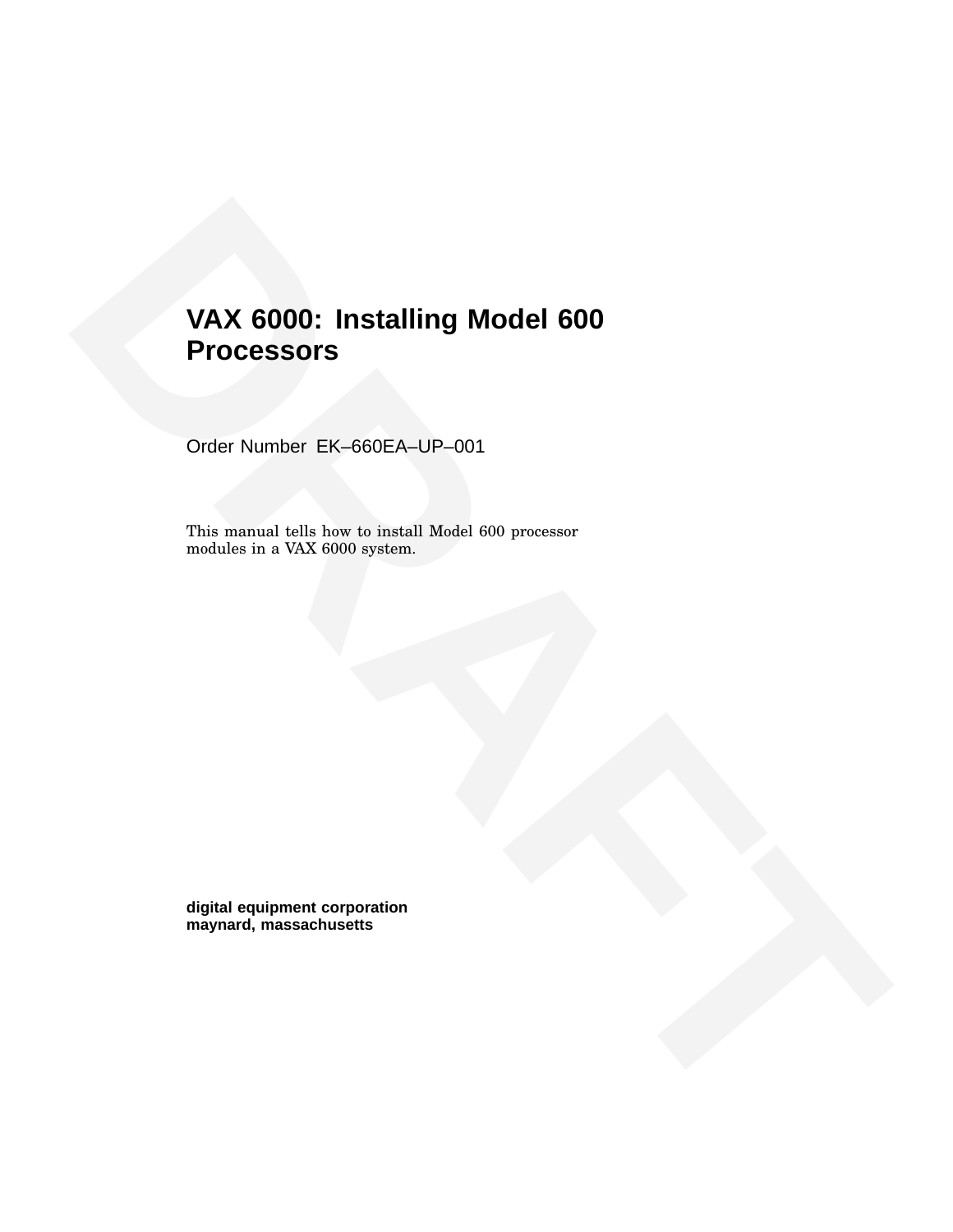# VAX 6000: Installing Model 600<br>Processors<br>Order Number EK-660EA-UP-001<br>This assumed told low to install Model 600 processor<br>models is a VAX 6000 system.<br>Now your and the state of the system of the system of the system of t **VAX 6000: Installing Model 600 Processors**

Order Number EK–660EA–UP–001

This manual tells how to install Model 600 processor modules in a VAX 6000 system.

**digital equipment corporation maynard, massachusetts**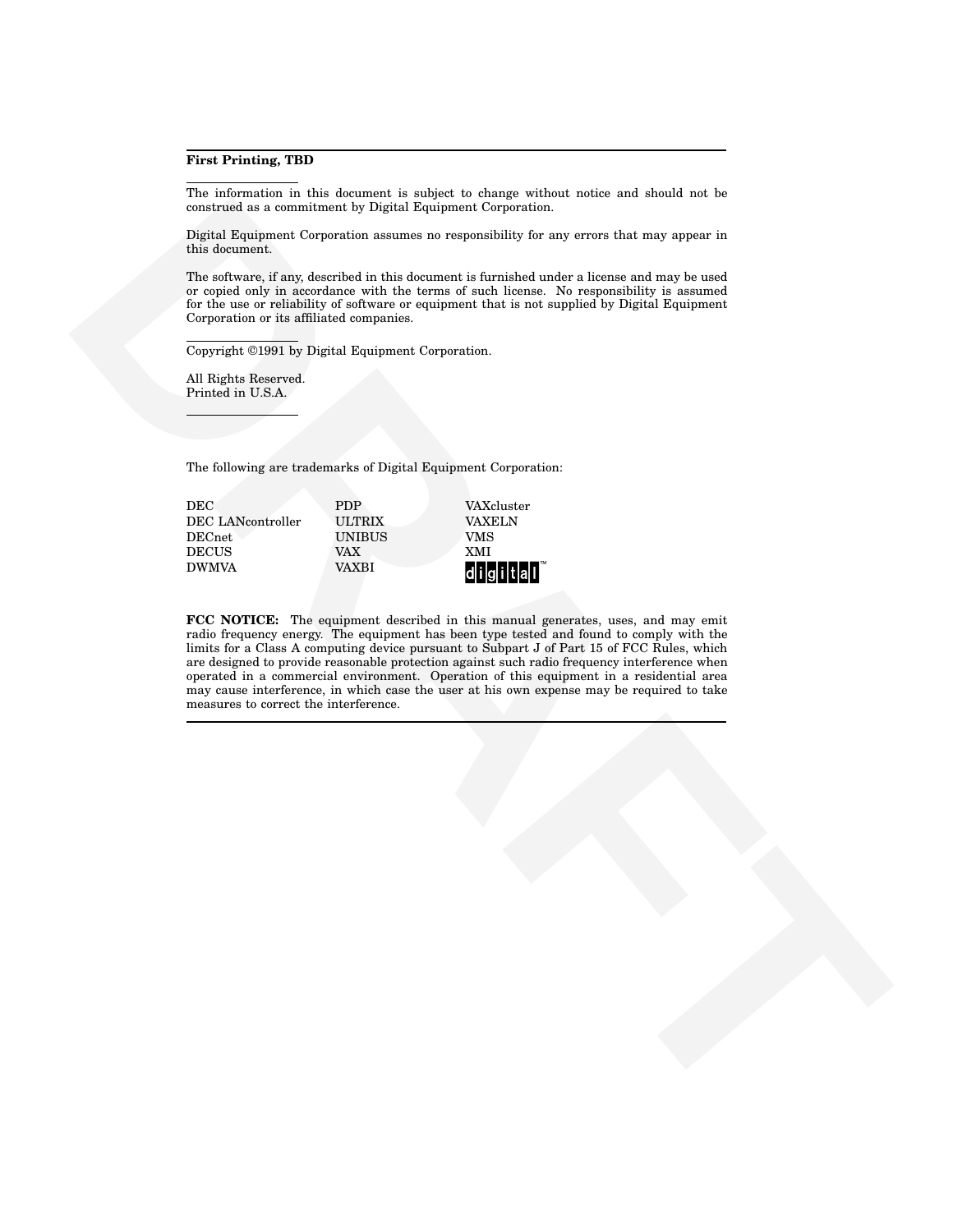#### **First Printing, TBD**

The information in this document is subject to change without notice and should not be construed as a commitment by Digital Equipment Corporation.

Digital Equipment Corporation assumes no responsibility for any errors that may appear in this document.

The software, if any, described in this document is furnished under a license and may be used or copied only in accordance with the terms of such license. No responsibility is assumed for the use or reliability of software or equipment that is not supplied by Digital Equipment Corporation or its affiliated companies.

Copyright ©1991 by Digital Equipment Corporation.

All Rights Reserved. Printed in U.S.A.

The following are trademarks of Digital Equipment Corporation:

| DEC.              | <b>PDP</b>    | VAXcluster    |
|-------------------|---------------|---------------|
| DEC LANcontroller | ULTRIX        | <b>VAXELN</b> |
| DECnet:           | <b>UNIBUS</b> | VMS           |
| DECUS             | VAX           | <b>XMI</b>    |
| <b>DWMVA</b>      | VAXBI         | $d$ i gital   |
|                   |               |               |

**Example 20** and the state of the particular control in the state of the state of the state of the state of the state of the state of the state of the state of the state of the state of the state of the state of the state **FCC NOTICE:** The equipment described in this manual generates, uses, and may emit radio frequency energy. The equipment has been type tested and found to comply with the limits for a Class A computing device pursuant to Subpart J of Part 15 of FCC Rules, which are designed to provide reasonable protection against such radio frequency interference when operated in a commercial environment. Operation of this equipment in a residential area may cause interference, in which case the user at his own expense may be required to take measures to correct the interference.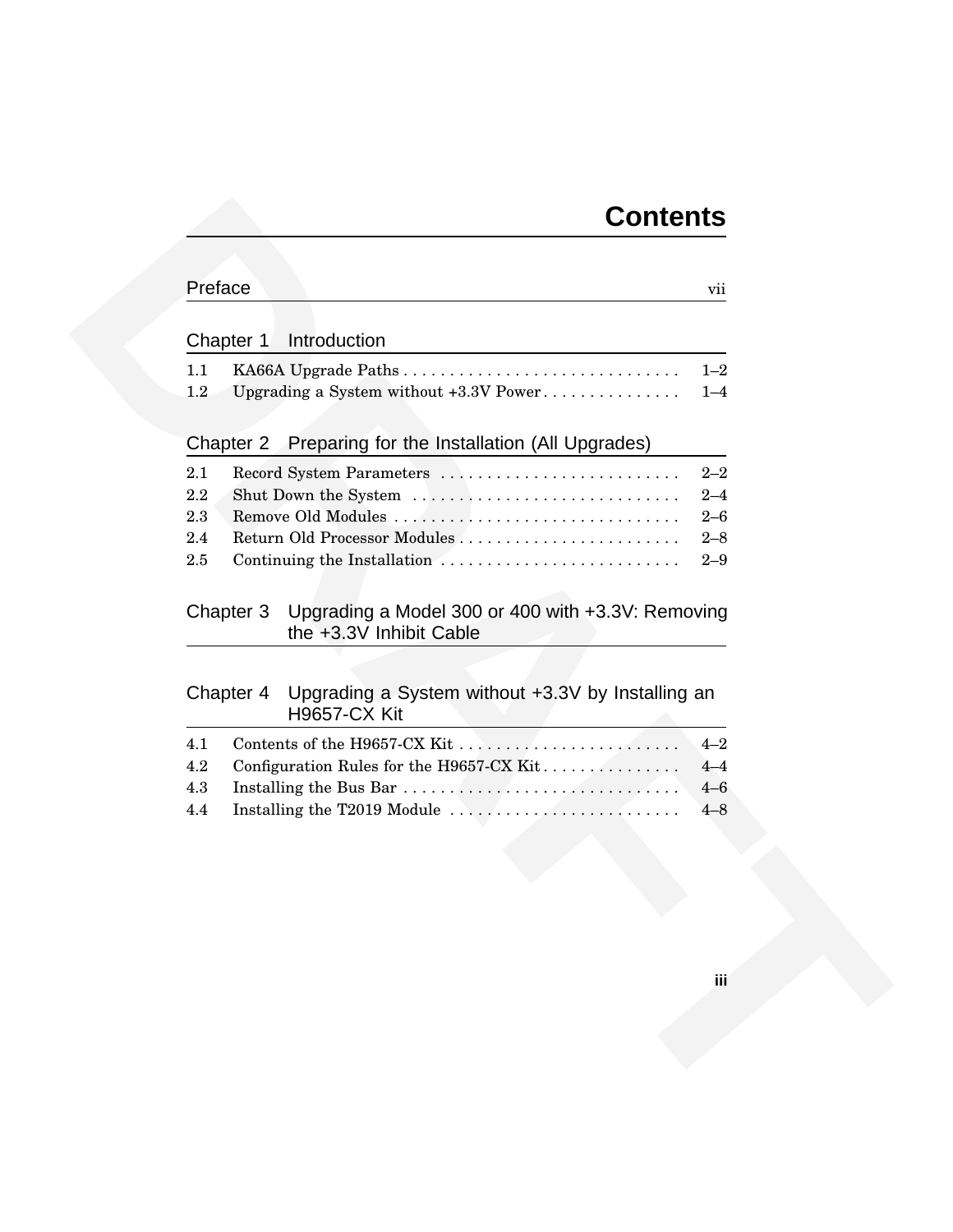# **Contents**

| Introduction<br>Chapter 1<br>1.1<br>KA66A Upgrade Paths<br>1.2<br>Upgrading a System without +3.3V Power<br>Preparing for the Installation (All Upgrades)<br>Chapter 2<br>Record System Parameters<br>2.1<br>2.2<br>Remove Old Modules<br>2.3<br>2.4<br>$2.5\,$<br>Continuing the Installation<br>Chapter 3<br>the +3.3V Inhibit Cable<br>Upgrading a System without +3.3V by Installing an<br>Chapter 4<br><b>H9657-CX Kit</b><br>4.1<br>4.2<br>Configuration Rules for the H9657-CX Kit<br>4.3<br>4.4 |     |
|---------------------------------------------------------------------------------------------------------------------------------------------------------------------------------------------------------------------------------------------------------------------------------------------------------------------------------------------------------------------------------------------------------------------------------------------------------------------------------------------------------|-----|
| $1 - 2$<br>$1 - 4$                                                                                                                                                                                                                                                                                                                                                                                                                                                                                      |     |
|                                                                                                                                                                                                                                                                                                                                                                                                                                                                                                         |     |
| $2 - 2$<br>$2 - 4$<br>$2 - 6$<br>$2 - 8$<br>$2 - 9$<br>Upgrading a Model 300 or 400 with +3.3V: Removing                                                                                                                                                                                                                                                                                                                                                                                                |     |
|                                                                                                                                                                                                                                                                                                                                                                                                                                                                                                         |     |
|                                                                                                                                                                                                                                                                                                                                                                                                                                                                                                         |     |
|                                                                                                                                                                                                                                                                                                                                                                                                                                                                                                         |     |
|                                                                                                                                                                                                                                                                                                                                                                                                                                                                                                         |     |
|                                                                                                                                                                                                                                                                                                                                                                                                                                                                                                         |     |
| $4 - 2$<br>$4 - 4$<br>$4 - 6$<br>$4 - 8$                                                                                                                                                                                                                                                                                                                                                                                                                                                                |     |
|                                                                                                                                                                                                                                                                                                                                                                                                                                                                                                         |     |
|                                                                                                                                                                                                                                                                                                                                                                                                                                                                                                         |     |
|                                                                                                                                                                                                                                                                                                                                                                                                                                                                                                         |     |
|                                                                                                                                                                                                                                                                                                                                                                                                                                                                                                         | jii |
|                                                                                                                                                                                                                                                                                                                                                                                                                                                                                                         |     |

# **iii**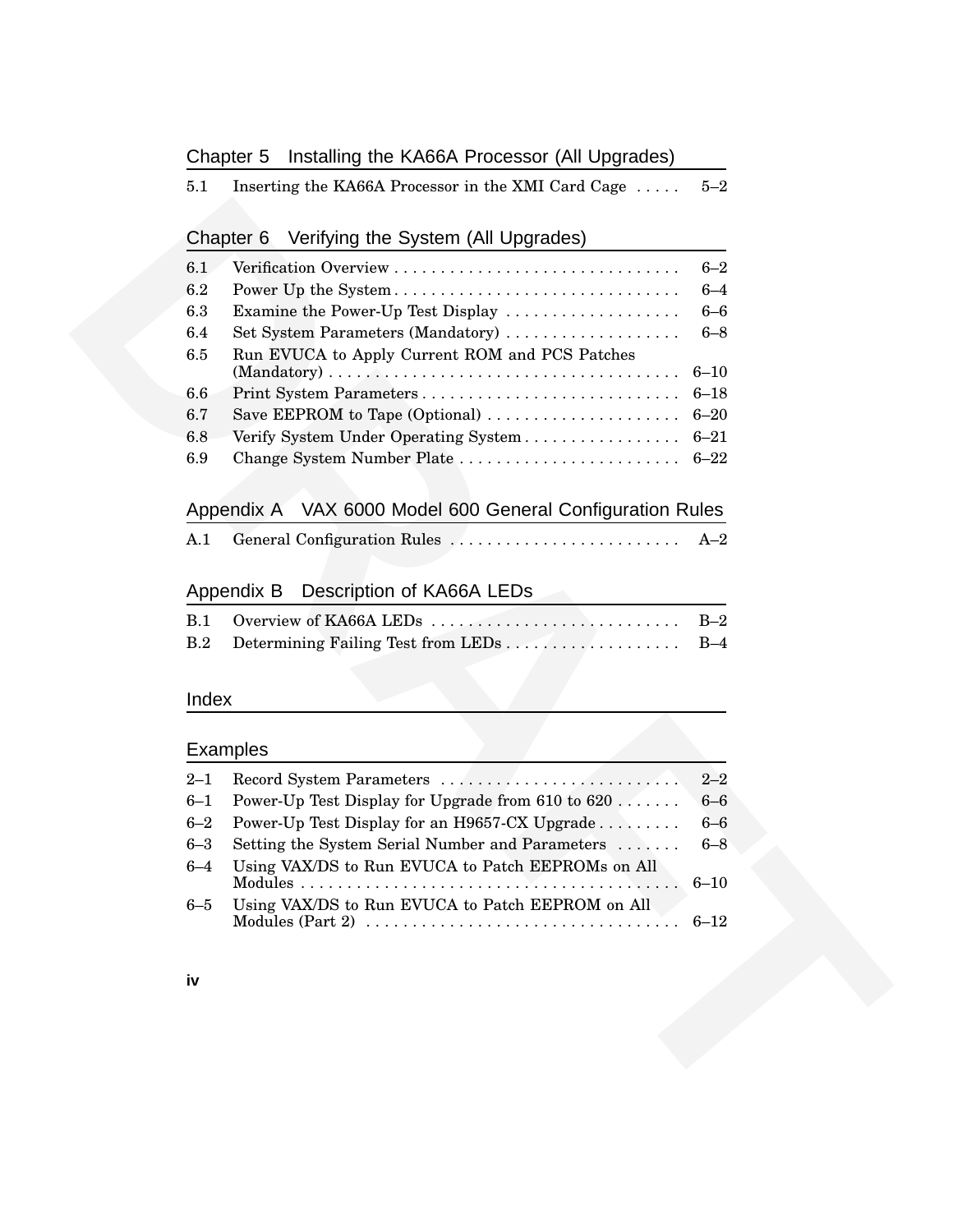#### Chapter 5 Installing the KA66A Processor (All Upgrades)

|  | 5.1 | Inserting the KA66A Processor in the XMI Card Cage $\dots$ | $5\hbox{--}2$ |
|--|-----|------------------------------------------------------------|---------------|
|--|-----|------------------------------------------------------------|---------------|

#### Chapter 6 Verifying the System (All Upgrades)

| 6.2<br>Power Up the System<br>6.3<br>Examine the Power-Up Test Display<br>Set System Parameters (Mandatory)<br>6.4<br>Run EVUCA to Apply Current ROM and PCS Patches<br>6.5 | $6 - 4$  |
|-----------------------------------------------------------------------------------------------------------------------------------------------------------------------------|----------|
|                                                                                                                                                                             |          |
|                                                                                                                                                                             | $6 - 6$  |
|                                                                                                                                                                             | $6 - 8$  |
|                                                                                                                                                                             | $6 - 10$ |
| 6.6                                                                                                                                                                         | $6 - 18$ |
| 6.7                                                                                                                                                                         |          |
| Verify System Under Operating System 6-21<br>6.8                                                                                                                            |          |
| 6.9                                                                                                                                                                         |          |
| VAX 6000 Model 600 General Configuration Rules<br>Appendix A                                                                                                                |          |
| A.1                                                                                                                                                                         | $A-2$    |
| Description of KA66A LEDs<br>Appendix B                                                                                                                                     |          |
| Overview of KA66A LEDS<br>B.1                                                                                                                                               | $B-2$    |
| B.2                                                                                                                                                                         |          |
| <b>Examples</b>                                                                                                                                                             |          |
| $2 - 1$                                                                                                                                                                     | $2 - 2$  |
| $6 - 1$<br>Power-Up Test Display for Upgrade from 610 to $620$                                                                                                              | $6 - 6$  |
| Power-Up Test Display for an H9657-CX Upgrade<br>$6 - 2$                                                                                                                    | $6 - 6$  |
| Setting the System Serial Number and Parameters<br>$6 - 3$                                                                                                                  | $6 - 8$  |
| Using VAX/DS to Run EVUCA to Patch EEPROMs on All<br>$6 - 4$                                                                                                                | $6 - 10$ |
| $6 - 5$<br>Using VAX/DS to Run EVUCA to Patch EEPROM on All                                                                                                                 | $6 - 12$ |
| iv                                                                                                                                                                          |          |
|                                                                                                                                                                             |          |
|                                                                                                                                                                             |          |

# Appendix A VAX 6000 Model 600 General Configuration Rules

|  |  |  |  | $A-2$ |
|--|--|--|--|-------|
|--|--|--|--|-------|

#### Appendix B Description of KA66A LEDs

| B.2 Determining Failing Test from LEDs B-4 |  |
|--------------------------------------------|--|

#### Index

#### Examples

| $6 - 1$ | Power-Up Test Display for Upgrade from $610$ to $620$ | $6 - 6$ |
|---------|-------------------------------------------------------|---------|
| $6 - 2$ | Power-Up Test Display for an H9657-CX Upgrade         | $6-6$   |
| $6 - 3$ | Setting the System Serial Number and Parameters  6–8  |         |
| $6 - 4$ | Using VAX/DS to Run EVUCA to Patch EEPROMs on All     |         |
|         |                                                       |         |
| $6 - 5$ | Using VAX/DS to Run EVUCA to Patch EEPROM on All      |         |
|         |                                                       |         |
|         |                                                       |         |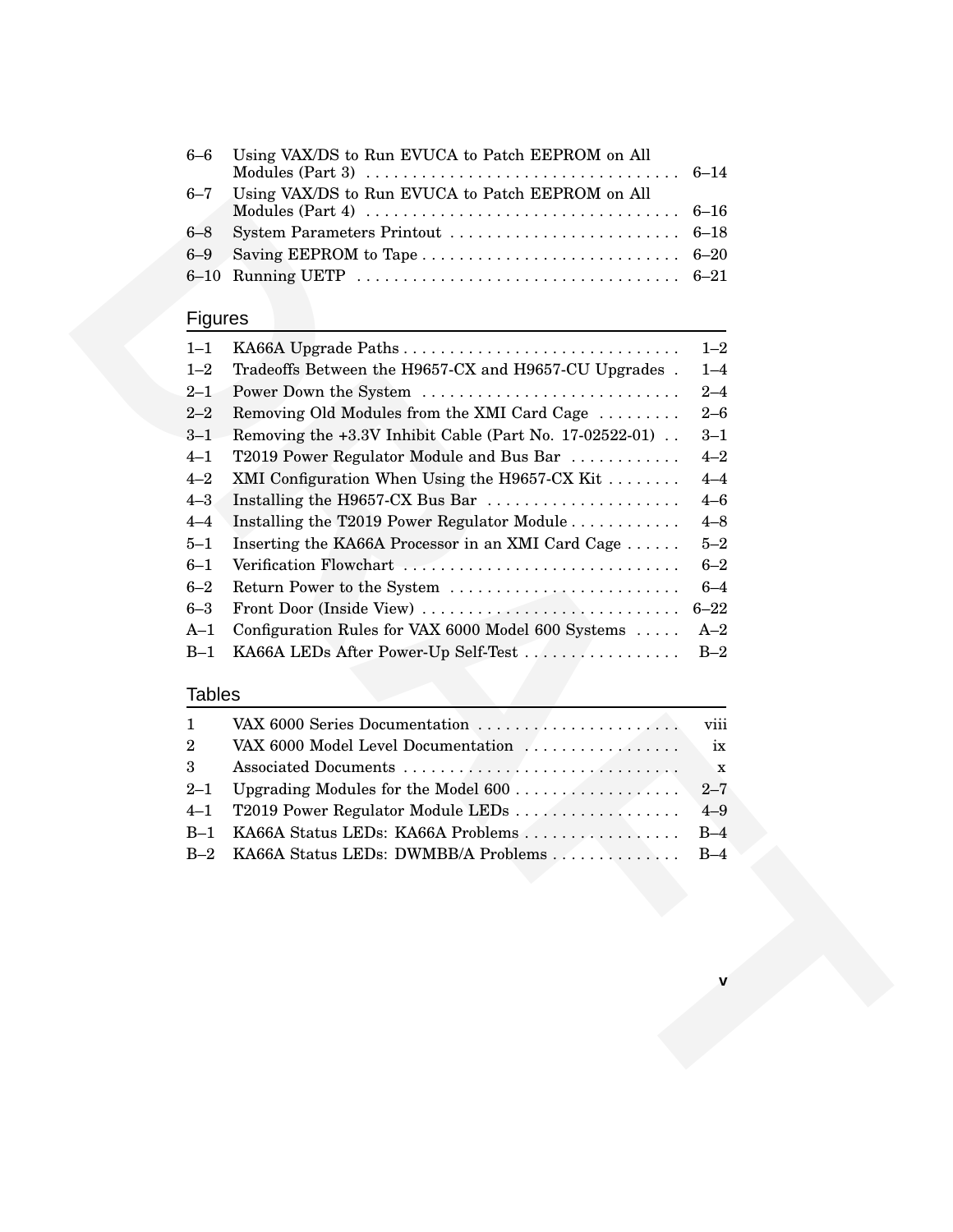| Using VAX/DS to Run EVUCA to Patch EEPROM on All                                                                                                          |                |
|-----------------------------------------------------------------------------------------------------------------------------------------------------------|----------------|
| Using VAX/DS to Run EVUCA to Patch EEPROM on All<br>Modules (Part 4) $\dots \dots \dots \dots \dots \dots \dots \dots \dots \dots \dots \dots \dots 6-16$ |                |
|                                                                                                                                                           |                |
|                                                                                                                                                           |                |
|                                                                                                                                                           |                |
|                                                                                                                                                           | $6 - 7$<br>6–8 |

# **Figures**

| $0 - l$        | USING VANDS to Kun EVUCA to Patch ELPROM on All          | $6 - 16$    |
|----------------|----------------------------------------------------------|-------------|
| 6–8            | System Parameters Printout                               | $6 - 18$    |
| $6 - 9$        |                                                          | $6 - 20$    |
| $6 - 10$       |                                                          |             |
|                |                                                          |             |
| <b>Figures</b> |                                                          |             |
| $1 - 1$        | KA66A Upgrade Paths                                      | $1 - 2$     |
| $1 - 2$        | Tradeoffs Between the H9657-CX and H9657-CU Upgrades.    | $1 - 4$     |
| $2 - 1$        | Power Down the System                                    | $2 - 4$     |
| $2 - 2$        | Removing Old Modules from the XMI Card Cage              | $2 - 6$     |
| $3 - 1$        | Removing the +3.3V Inhibit Cable (Part No. 17-02522-01). | $3 - 1$     |
| $4 - 1$        | T2019 Power Regulator Module and Bus Bar                 | $4 - 2$     |
| $4 - 2$        | XMI Configuration When Using the H9657-CX Kit            | $4 - 4$     |
| $4 - 3$        | Installing the H9657-CX Bus Bar                          | $4 - 6$     |
| $4 - 4$        | Installing the T2019 Power Regulator Module              | $4 - 8$     |
| $5 - 1$        | Inserting the KA66A Processor in an XMI Card Cage        | $5 - 2$     |
| $6 - 1$        | Verification Flowchart                                   | $6 - 2$     |
| $6 - 2$        |                                                          | $6 - 4$     |
|                | Return Power to the System                               |             |
| $6 - 3$        | Front Door (Inside View)                                 | $6 - 22$    |
| $A-1$          | Configuration Rules for VAX 6000 Model 600 Systems       | $A-2$       |
| $B-1$          | KA66A LEDs After Power-Up Self-Test                      | $B-2$       |
| <b>Tables</b>  |                                                          |             |
| 1              | VAX 6000 Series Documentation                            | viii        |
| 2              | VAX 6000 Model Level Documentation                       | ix          |
| 3              |                                                          | $\mathbf X$ |
| $2 - 1$        |                                                          | $2 - 7$     |
| $4 - 1$        | T2019 Power Regulator Module LEDs                        | $4 - 9$     |
| $B-1$          | KA66A Status LEDs: KA66A Problems                        | $B-4$       |
| $B-2$          | KA66A Status LEDs: DWMBB/A Problems                      | $B-4$       |
|                |                                                          |             |
|                |                                                          |             |
|                |                                                          |             |
|                |                                                          |             |
|                |                                                          |             |
|                |                                                          |             |
|                |                                                          |             |
|                |                                                          |             |
|                |                                                          |             |
|                |                                                          |             |
|                |                                                          |             |
|                |                                                          |             |
|                |                                                          |             |
|                |                                                          |             |
|                |                                                          |             |

# **Tables**

| B-1 KA66A Status LEDs: KA66A Problems B-4    |  |
|----------------------------------------------|--|
| B-2 KA66A Status LEDs: DWMBB/A Problems  B-4 |  |
|                                              |  |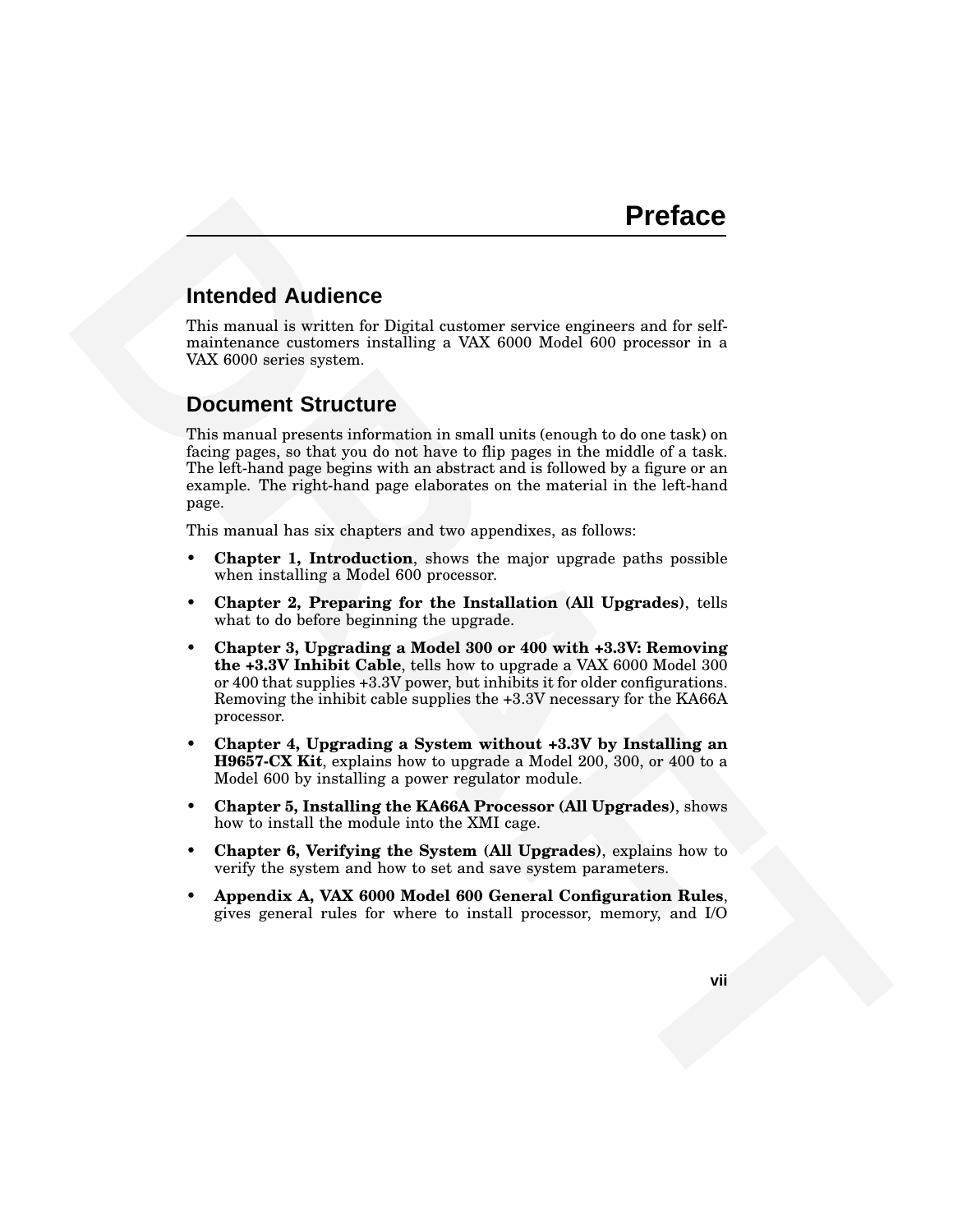#### **Intended Audience**

This manual is written for Digital customer service engineers and for selfmaintenance customers installing a VAX 6000 Model 600 processor in a VAX 6000 series system.

#### **Document Structure**

**Proface**<br>
Internated Audience<br>
This manual is written for Digital curotence service engineers and for self-<br>
molecones protective frequency and the self-<br>
wave considered by the constraints in a word of the self-<br>
DOCUMEN This manual presents information in small units (enough to do one task) on facing pages, so that you do not have to flip pages in the middle of a task. The left-hand page begins with an abstract and is followed by a figure or an example. The right-hand page elaborates on the material in the left-hand page.

This manual has six chapters and two appendixes, as follows:

- **Chapter 1, Introduction**, shows the major upgrade paths possible when installing a Model 600 processor.
- **Chapter 2, Preparing for the Installation (All Upgrades)**, tells what to do before beginning the upgrade.
- **Chapter 3, Upgrading a Model 300 or 400 with +3.3V: Removing the +3.3V Inhibit Cable**, tells how to upgrade a VAX 6000 Model 300 or 400 that supplies +3.3V power, but inhibits it for older configurations. Removing the inhibit cable supplies the +3.3V necessary for the KA66A processor.
- **Chapter 4, Upgrading a System without +3.3V by Installing an H9657-CX Kit**, explains how to upgrade a Model 200, 300, or 400 to a Model 600 by installing a power regulator module.
- **Chapter 5, Installing the KA66A Processor (All Upgrades)**, shows how to install the module into the XMI cage.
- **Chapter 6, Verifying the System (All Upgrades)**, explains how to verify the system and how to set and save system parameters.
- **Appendix A, VAX 6000 Model 600 General Configuration Rules**, gives general rules for where to install processor, memory, and I/O

**vii**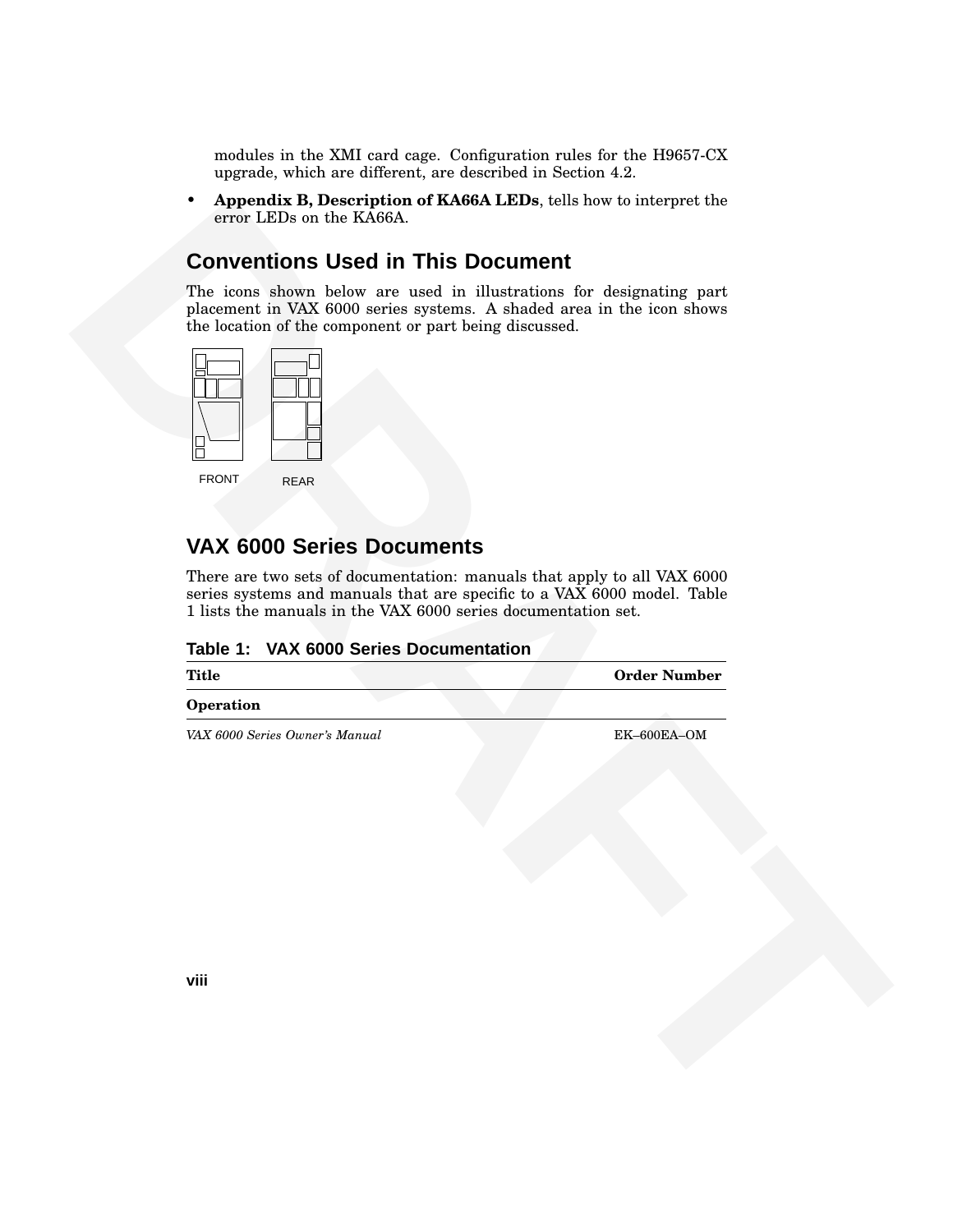modules in the XMI card cage. Configuration rules for the H9657-CX upgrade, which are different, are described in Section 4.2.

• **Appendix B, Description of KA66A LEDs**, tells how to interpret the error LEDs on the KA66A.

#### **Conventions Used in This Document**



## **VAX 6000 Series Documents**

| Table 1: VAX 6000 Series Documentation |  |  |  |  |  |  |
|----------------------------------------|--|--|--|--|--|--|
|----------------------------------------|--|--|--|--|--|--|

| The icons shown below are used in illustrations for designating part<br>placement in VAX 6000 series systems. A shaded area in the icon shows<br>the location of the component or part being discussed.<br><b>FRONT</b><br><b>REAR</b>                                                            |                     |
|---------------------------------------------------------------------------------------------------------------------------------------------------------------------------------------------------------------------------------------------------------------------------------------------------|---------------------|
| <b>VAX 6000 Series Documents</b><br>There are two sets of documentation: manuals that apply to all VAX 6000<br>series systems and manuals that are specific to a VAX 6000 model. Table<br>1 lists the manuals in the VAX 6000 series documentation set.<br>Table 1: VAX 6000 Series Documentation |                     |
| <b>Title</b>                                                                                                                                                                                                                                                                                      | <b>Order Number</b> |
| Operation<br>VAX 6000 Series Owner's Manual                                                                                                                                                                                                                                                       | EK-600EA-OM         |
|                                                                                                                                                                                                                                                                                                   |                     |
| viii                                                                                                                                                                                                                                                                                              |                     |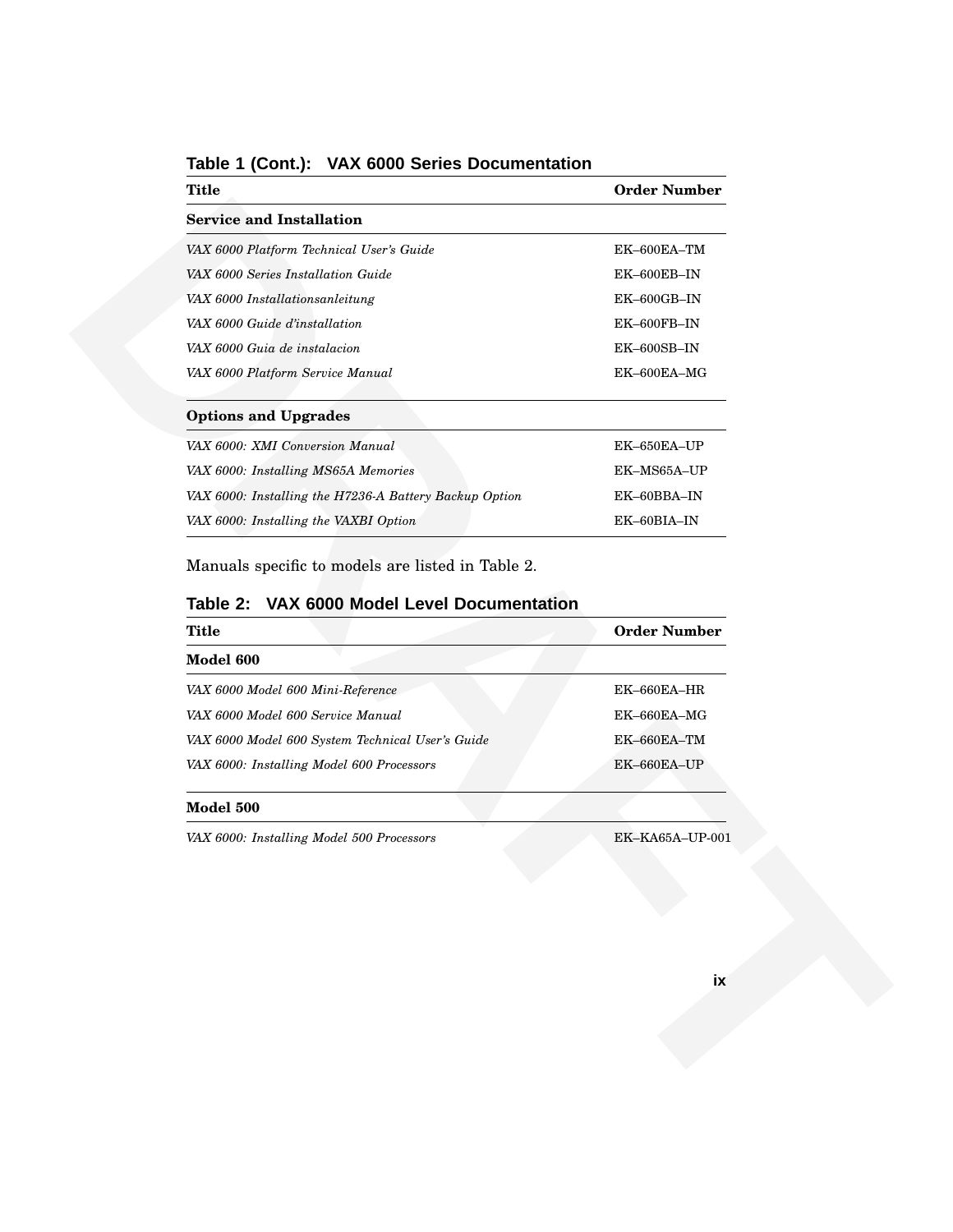| <b>Title</b>                                                                                     | <b>Order Number</b> |
|--------------------------------------------------------------------------------------------------|---------------------|
| <b>Service and Installation</b>                                                                  |                     |
| VAX 6000 Platform Technical User's Guide                                                         | EK-600EA-TM         |
| VAX 6000 Series Installation Guide                                                               | EK-600EB-IN         |
| VAX 6000 Installationsanleitung                                                                  | EK-600GB-IN         |
| VAX 6000 Guide d'installation                                                                    | EK-600FB-IN         |
| VAX 6000 Guia de instalacion                                                                     | EK-600SB-IN         |
| VAX 6000 Platform Service Manual                                                                 | EK-600EA-MG         |
| <b>Options and Upgrades</b>                                                                      |                     |
| VAX 6000: XMI Conversion Manual                                                                  | EK-650EA-UP         |
| VAX 6000: Installing MS65A Memories                                                              | EK-MS65A-UP         |
| VAX 6000: Installing the H7236-A Battery Backup Option                                           | EK-60BBA-IN         |
| VAX 6000: Installing the VAXBI Option                                                            | EK-60BIA-IN         |
| Manuals specific to models are listed in Table 2.<br>Table 2: VAX 6000 Model Level Documentation |                     |
| <b>Title</b>                                                                                     | <b>Order Number</b> |
| Model 600                                                                                        |                     |
| VAX 6000 Model 600 Mini-Reference                                                                | EK-660EA-HR         |
|                                                                                                  |                     |
| VAX 6000 Model 600 Service Manual                                                                | EK-660EA-MG         |
| VAX 6000 Model 600 System Technical User's Guide                                                 | EK-660EA-TM         |
| VAX 6000: Installing Model 600 Processors                                                        | EK-660EA-UP         |
| Model 500                                                                                        |                     |
| VAX 6000: Installing Model 500 Processors                                                        | EK-KA65A-UP-001     |
|                                                                                                  |                     |
|                                                                                                  | ix                  |

#### **Table 1 (Cont.): VAX 6000 Series Documentation**

#### **Table 2: VAX 6000 Model Level Documentation**

| Title                                            | <b>Order Number</b> |
|--------------------------------------------------|---------------------|
| Model 600                                        |                     |
| VAX 6000 Model 600 Mini-Reference                | $EK-660EA-HR$       |
| VAX 6000 Model 600 Service Manual                | $EK-660EA-MG$       |
| VAX 6000 Model 600 System Technical User's Guide | EK-660EA-TM         |
| VAX 6000: Installing Model 600 Processors        | EK-660EA-UP         |

#### **Model 500**

#### **ix**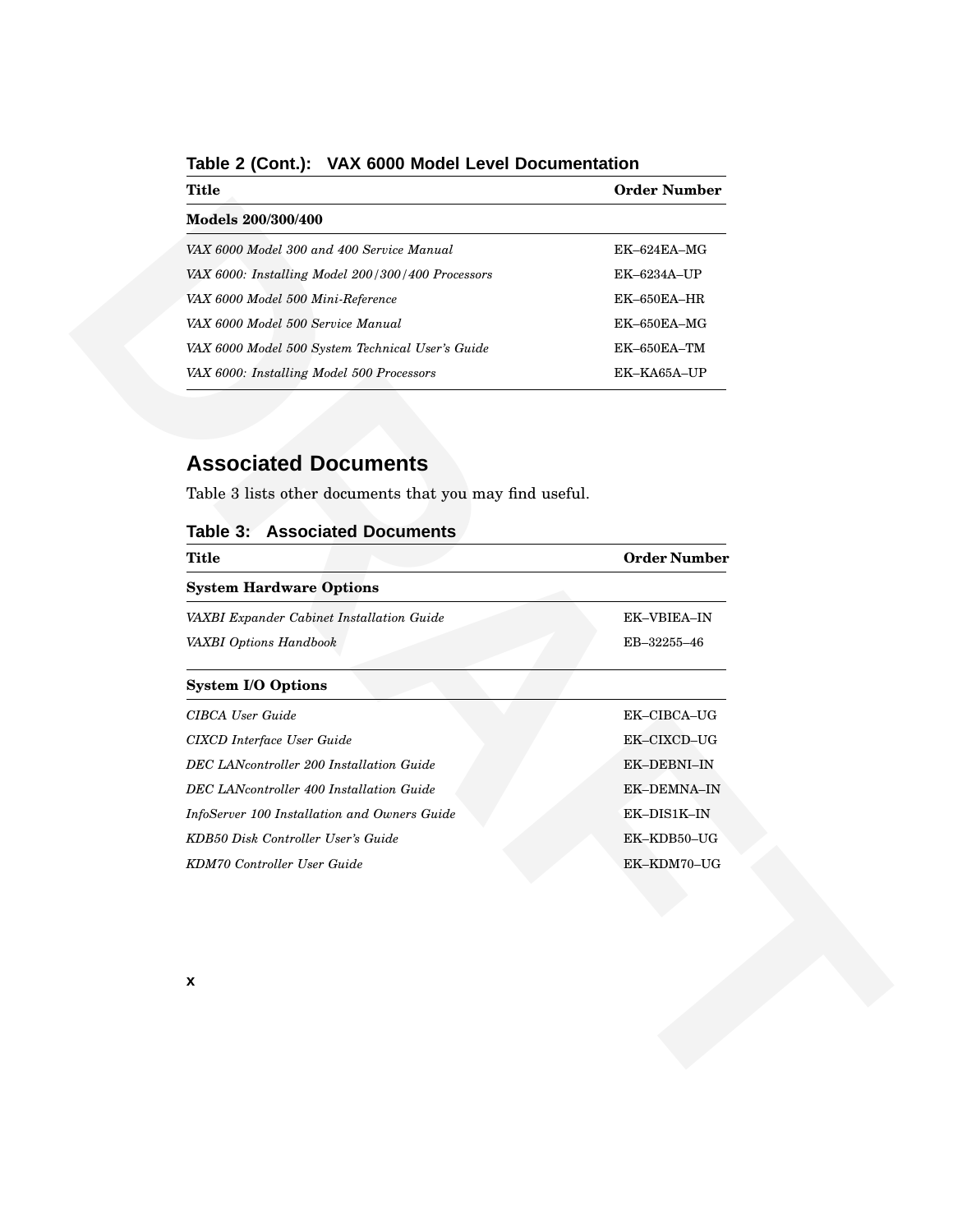| Title                                             | <b>Order Number</b> |
|---------------------------------------------------|---------------------|
| Models 200/300/400                                |                     |
| VAX 6000 Model 300 and 400 Service Manual         | $EK-624EA-MG$       |
| VAX 6000: Installing Model 200/300/400 Processors | $EK-6234A-UP$       |
| VAX 6000 Model 500 Mini-Reference                 | $EK-650EA-HR$       |
| VAX 6000 Model 500 Service Manual                 | $EK-650EA-MG$       |
| VAX 6000 Model 500 System Technical User's Guide  | $EK$ –650 $EA$ – TM |
| VAX 6000: Installing Model 500 Processors         | EK-KA65A-UP         |

**Table 2 (Cont.): VAX 6000 Model Level Documentation**

# **Associated Documents**

| Models 200/300/400<br>VAX 6000 Model 300 and 400 Service Manual<br>EK-624EA-MG<br>VAX 6000: Installing Model 200/300/400 Processors<br>EK-6234A-UP<br>EK-650EA-HR<br>VAX 6000 Model 500 Mini-Reference<br>VAX 6000 Model 500 Service Manual<br>EK-650EA-MG<br>VAX 6000 Model 500 System Technical User's Guide<br>EK-650EA-TM<br>VAX 6000: Installing Model 500 Processors<br>EK-KA65A-UP<br><b>Associated Documents</b><br>Table 3 lists other documents that you may find useful.<br><b>Table 3: Associated Documents</b><br><b>Title</b><br><b>Order Number</b><br><b>System Hardware Options</b><br>VAXBI Expander Cabinet Installation Guide<br>EK-VBIEA-IN<br>EB-32255-46<br>VAXBI Options Handbook<br><b>System I/O Options</b><br>CIBCA User Guide<br>EK-CIBCA-UG<br>CIXCD Interface User Guide<br>EK-CIXCD-UG<br>EK-DEBNI-IN<br>DEC LANcontroller 200 Installation Guide<br>DEC LANcontroller 400 Installation Guide<br>EK-DEMNA-IN<br>EK-DIS1K-IN<br>InfoServer 100 Installation and Owners Guide<br>KDB50 Disk Controller User's Guide<br>EK-KDB50-UG<br>KDM70 Controller User Guide<br>EK-KDM70-UG | $\pmb{\mathsf{x}}$ | ≖≖∪≖ | otavi tamnoj |
|----------------------------------------------------------------------------------------------------------------------------------------------------------------------------------------------------------------------------------------------------------------------------------------------------------------------------------------------------------------------------------------------------------------------------------------------------------------------------------------------------------------------------------------------------------------------------------------------------------------------------------------------------------------------------------------------------------------------------------------------------------------------------------------------------------------------------------------------------------------------------------------------------------------------------------------------------------------------------------------------------------------------------------------------------------------------------------------------------------------|--------------------|------|--------------|
|                                                                                                                                                                                                                                                                                                                                                                                                                                                                                                                                                                                                                                                                                                                                                                                                                                                                                                                                                                                                                                                                                                                |                    |      |              |
|                                                                                                                                                                                                                                                                                                                                                                                                                                                                                                                                                                                                                                                                                                                                                                                                                                                                                                                                                                                                                                                                                                                |                    |      |              |
|                                                                                                                                                                                                                                                                                                                                                                                                                                                                                                                                                                                                                                                                                                                                                                                                                                                                                                                                                                                                                                                                                                                |                    |      |              |
|                                                                                                                                                                                                                                                                                                                                                                                                                                                                                                                                                                                                                                                                                                                                                                                                                                                                                                                                                                                                                                                                                                                |                    |      |              |
|                                                                                                                                                                                                                                                                                                                                                                                                                                                                                                                                                                                                                                                                                                                                                                                                                                                                                                                                                                                                                                                                                                                |                    |      |              |
|                                                                                                                                                                                                                                                                                                                                                                                                                                                                                                                                                                                                                                                                                                                                                                                                                                                                                                                                                                                                                                                                                                                |                    |      |              |
|                                                                                                                                                                                                                                                                                                                                                                                                                                                                                                                                                                                                                                                                                                                                                                                                                                                                                                                                                                                                                                                                                                                |                    |      |              |
|                                                                                                                                                                                                                                                                                                                                                                                                                                                                                                                                                                                                                                                                                                                                                                                                                                                                                                                                                                                                                                                                                                                |                    |      |              |
|                                                                                                                                                                                                                                                                                                                                                                                                                                                                                                                                                                                                                                                                                                                                                                                                                                                                                                                                                                                                                                                                                                                |                    |      |              |
|                                                                                                                                                                                                                                                                                                                                                                                                                                                                                                                                                                                                                                                                                                                                                                                                                                                                                                                                                                                                                                                                                                                |                    |      |              |
|                                                                                                                                                                                                                                                                                                                                                                                                                                                                                                                                                                                                                                                                                                                                                                                                                                                                                                                                                                                                                                                                                                                |                    |      |              |
|                                                                                                                                                                                                                                                                                                                                                                                                                                                                                                                                                                                                                                                                                                                                                                                                                                                                                                                                                                                                                                                                                                                |                    |      |              |
|                                                                                                                                                                                                                                                                                                                                                                                                                                                                                                                                                                                                                                                                                                                                                                                                                                                                                                                                                                                                                                                                                                                |                    |      |              |
|                                                                                                                                                                                                                                                                                                                                                                                                                                                                                                                                                                                                                                                                                                                                                                                                                                                                                                                                                                                                                                                                                                                |                    |      |              |
|                                                                                                                                                                                                                                                                                                                                                                                                                                                                                                                                                                                                                                                                                                                                                                                                                                                                                                                                                                                                                                                                                                                |                    |      |              |
|                                                                                                                                                                                                                                                                                                                                                                                                                                                                                                                                                                                                                                                                                                                                                                                                                                                                                                                                                                                                                                                                                                                |                    |      |              |
|                                                                                                                                                                                                                                                                                                                                                                                                                                                                                                                                                                                                                                                                                                                                                                                                                                                                                                                                                                                                                                                                                                                |                    |      |              |
|                                                                                                                                                                                                                                                                                                                                                                                                                                                                                                                                                                                                                                                                                                                                                                                                                                                                                                                                                                                                                                                                                                                |                    |      |              |
|                                                                                                                                                                                                                                                                                                                                                                                                                                                                                                                                                                                                                                                                                                                                                                                                                                                                                                                                                                                                                                                                                                                |                    |      |              |
|                                                                                                                                                                                                                                                                                                                                                                                                                                                                                                                                                                                                                                                                                                                                                                                                                                                                                                                                                                                                                                                                                                                |                    |      |              |
|                                                                                                                                                                                                                                                                                                                                                                                                                                                                                                                                                                                                                                                                                                                                                                                                                                                                                                                                                                                                                                                                                                                |                    |      |              |
|                                                                                                                                                                                                                                                                                                                                                                                                                                                                                                                                                                                                                                                                                                                                                                                                                                                                                                                                                                                                                                                                                                                |                    |      |              |
|                                                                                                                                                                                                                                                                                                                                                                                                                                                                                                                                                                                                                                                                                                                                                                                                                                                                                                                                                                                                                                                                                                                |                    |      |              |
|                                                                                                                                                                                                                                                                                                                                                                                                                                                                                                                                                                                                                                                                                                                                                                                                                                                                                                                                                                                                                                                                                                                |                    |      |              |
|                                                                                                                                                                                                                                                                                                                                                                                                                                                                                                                                                                                                                                                                                                                                                                                                                                                                                                                                                                                                                                                                                                                |                    |      |              |

#### **Table 3: Associated Documents**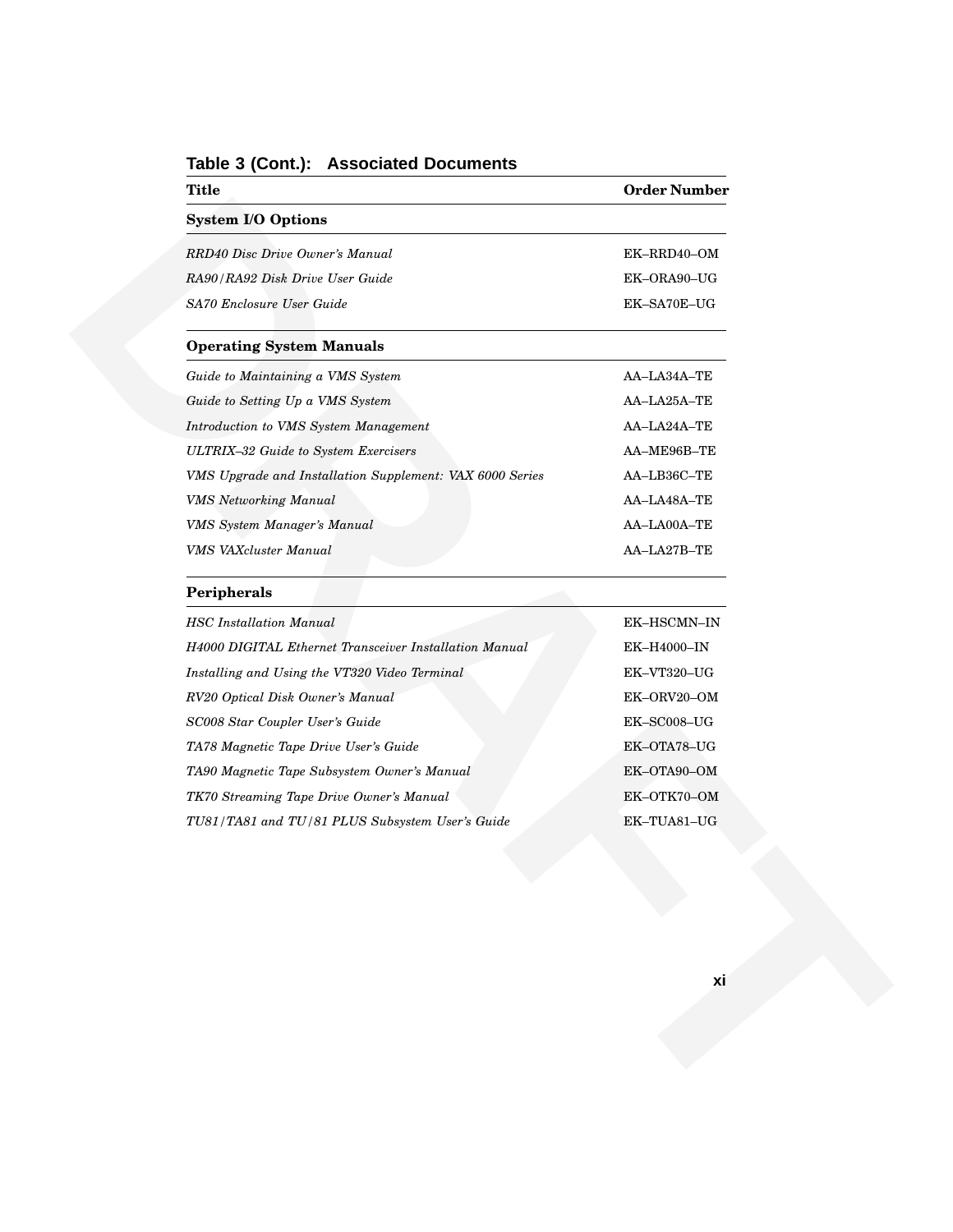| <b>Title</b>                                             | <b>Order Number</b>           |
|----------------------------------------------------------|-------------------------------|
| <b>System I/O Options</b>                                |                               |
| RRD40 Disc Drive Owner's Manual                          | EK-RRD40-OM                   |
| RA90/RA92 Disk Drive User Guide                          | EK-ORA90-UG                   |
| SA70 Enclosure User Guide                                | EK-SA70E-UG                   |
| <b>Operating System Manuals</b>                          |                               |
| Guide to Maintaining a VMS System                        | AA-LA34A-TE                   |
| Guide to Setting Up a VMS System                         | AA-LA25A-TE                   |
| Introduction to VMS System Management                    | AA-LA24A-TE                   |
| ULTRIX-32 Guide to System Exercisers                     | AA-ME96B-TE                   |
| VMS Upgrade and Installation Supplement: VAX 6000 Series | AA-LB36C-TE                   |
| <b>VMS</b> Networking Manual                             | AA-LA48A-TE                   |
| VMS System Manager's Manual                              | AA-LA00A-TE                   |
| VMS VAXcluster Manual                                    | AA-LA27B-TE                   |
| Peripherals                                              |                               |
| <b>HSC</b> Installation Manual                           | EK-HSCMN-IN                   |
| H4000 DIGITAL Ethernet Transceiver Installation Manual   | EK-H4000-IN                   |
| Installing and Using the VT320 Video Terminal            | EK-VT320-UG                   |
| RV20 Optical Disk Owner's Manual                         | EK-ORV20-OM                   |
| SC008 Star Coupler User's Guide                          | $\mbox{EK-SC008--} \mbox{UG}$ |
| TA78 Magnetic Tape Drive User's Guide                    | EK-OTA78-UG                   |
| TA90 Magnetic Tape Subsystem Owner's Manual              | EK-OTA90-OM                   |
| TK70 Streaming Tape Drive Owner's Manual                 | EK-OTK70-OM                   |
| TU81/TA81 and TU/81 PLUS Subsystem User's Guide          | EK-TUA81-UG                   |
|                                                          |                               |
|                                                          |                               |
|                                                          |                               |
|                                                          |                               |
|                                                          | xi                            |
|                                                          |                               |
|                                                          |                               |

#### **Table 3 (Cont.): Associated Documents**

#### **Peripherals**

| <b>HSC</b> Installation Manual                         | EK-HSCMN-IN    |
|--------------------------------------------------------|----------------|
| H4000 DIGITAL Ethernet Transceiver Installation Manual | EK-H4000-IN    |
| Installing and Using the VT320 Video Terminal          | EK-VT320-UG    |
| RV20 Optical Disk Owner's Manual                       | EK-ORV20-OM    |
| SC008 Star Coupler User's Guide                        | $EK$ -SC008-UG |
| TA78 Magnetic Tape Drive User's Guide                  | EK-OTA78-UG    |
| TA90 Magnetic Tape Subsystem Owner's Manual            | EK-OTA90-OM    |
| TK70 Streaming Tape Drive Owner's Manual               | EK-OTK70-OM    |
| TU81/TA81 and TU/81 PLUS Subsystem User's Guide        | EK-TUA81-UG    |
|                                                        |                |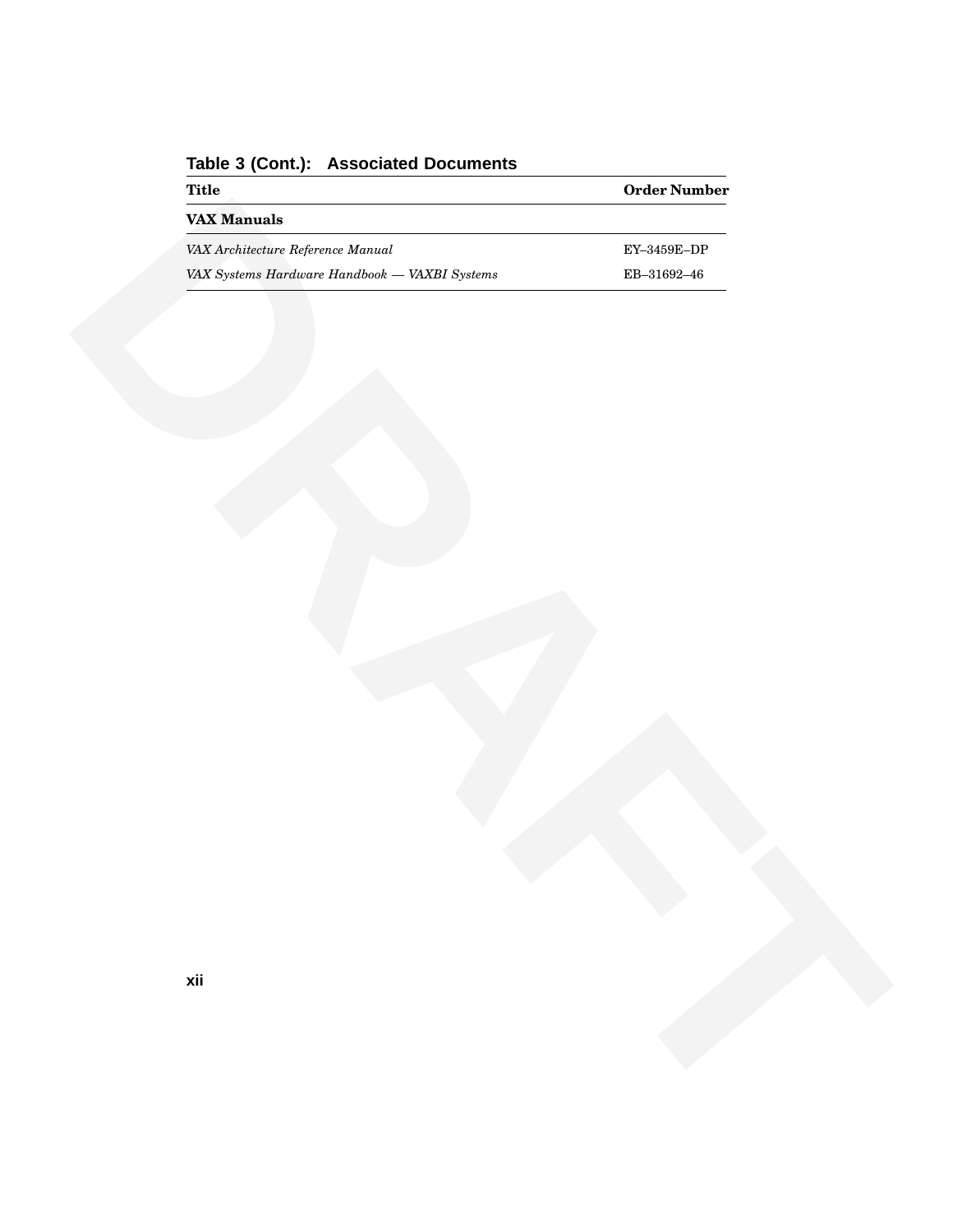| <b>Title</b><br><b>VAX Manuals</b>            | ${\bf Order\, Number}$                          |
|-----------------------------------------------|-------------------------------------------------|
| VAX Architecture Reference Manual             | ${\rm EY}\text{--}3459{\rm E}\text{--}{\rm DP}$ |
| VAX Systems Hardware Handbook - VAXBI Systems | $\mathrm{EB}{-}31692{-}46$                      |
|                                               |                                                 |
|                                               |                                                 |
|                                               |                                                 |
| Q.                                            |                                                 |
| xii                                           |                                                 |
|                                               |                                                 |
|                                               |                                                 |

**Table 3 (Cont.): Associated Documents**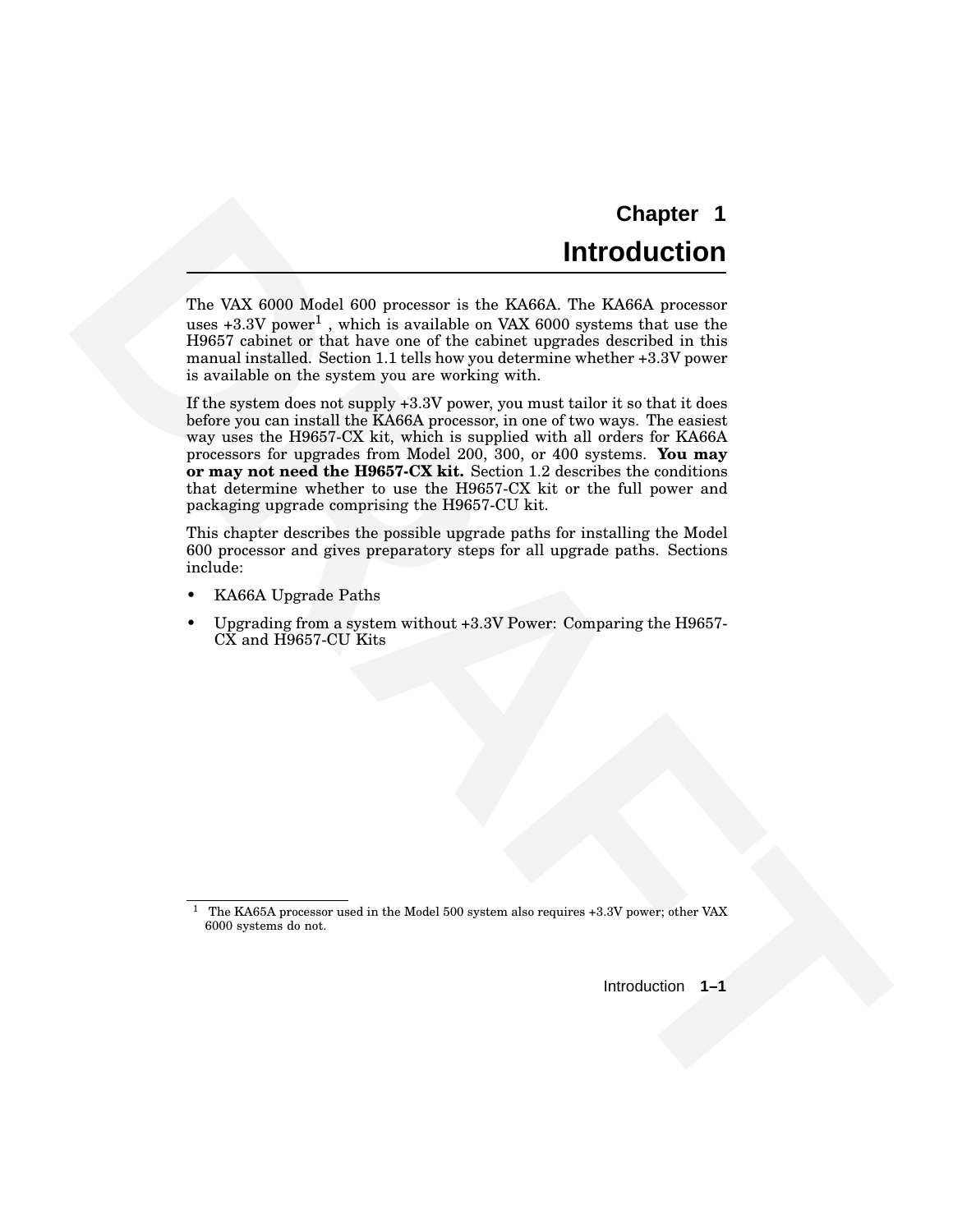# **Chapter 1 Introduction**

The VAX 6000 Model 600 processor is the KA66A. The KA66A processor uses +3.3V power<sup>1</sup> , which is available on VAX 6000 systems that use the H9657 cabinet or that have one of the cabinet upgrades described in this manual installed. Section 1.1 tells how you determine whether +3.3V power is available on the system you are working with.

**Chapter 1**<br> **DRAFT COLUME 2002**<br> **DRAFT COLUME 2003**<br>
The VAX 6000 Nederle 600 processes in the Ka665. The Ka66 precesses<br>
times -3.7N power, which is credibate on VAX 6000 gesterms that use use<br>
means an exactly served b If the system does not supply +3.3V power, you must tailor it so that it does before you can install the KA66A processor, in one of two ways. The easiest way uses the H9657-CX kit, which is supplied with all orders for KA66A processors for upgrades from Model 200, 300, or 400 systems. **You may or may not need the H9657-CX kit.** Section 1.2 describes the conditions that determine whether to use the H9657-CX kit or the full power and packaging upgrade comprising the H9657-CU kit.

This chapter describes the possible upgrade paths for installing the Model 600 processor and gives preparatory steps for all upgrade paths. Sections include:

- KA66A Upgrade Paths
- Upgrading from a system without +3.3V Power: Comparing the H9657- CX and H9657-CU Kits

Introduction **1–1**

<sup>&</sup>lt;sup>1</sup> The KA65A processor used in the Model 500 system also requires +3.3V power; other VAX 6000 systems do not.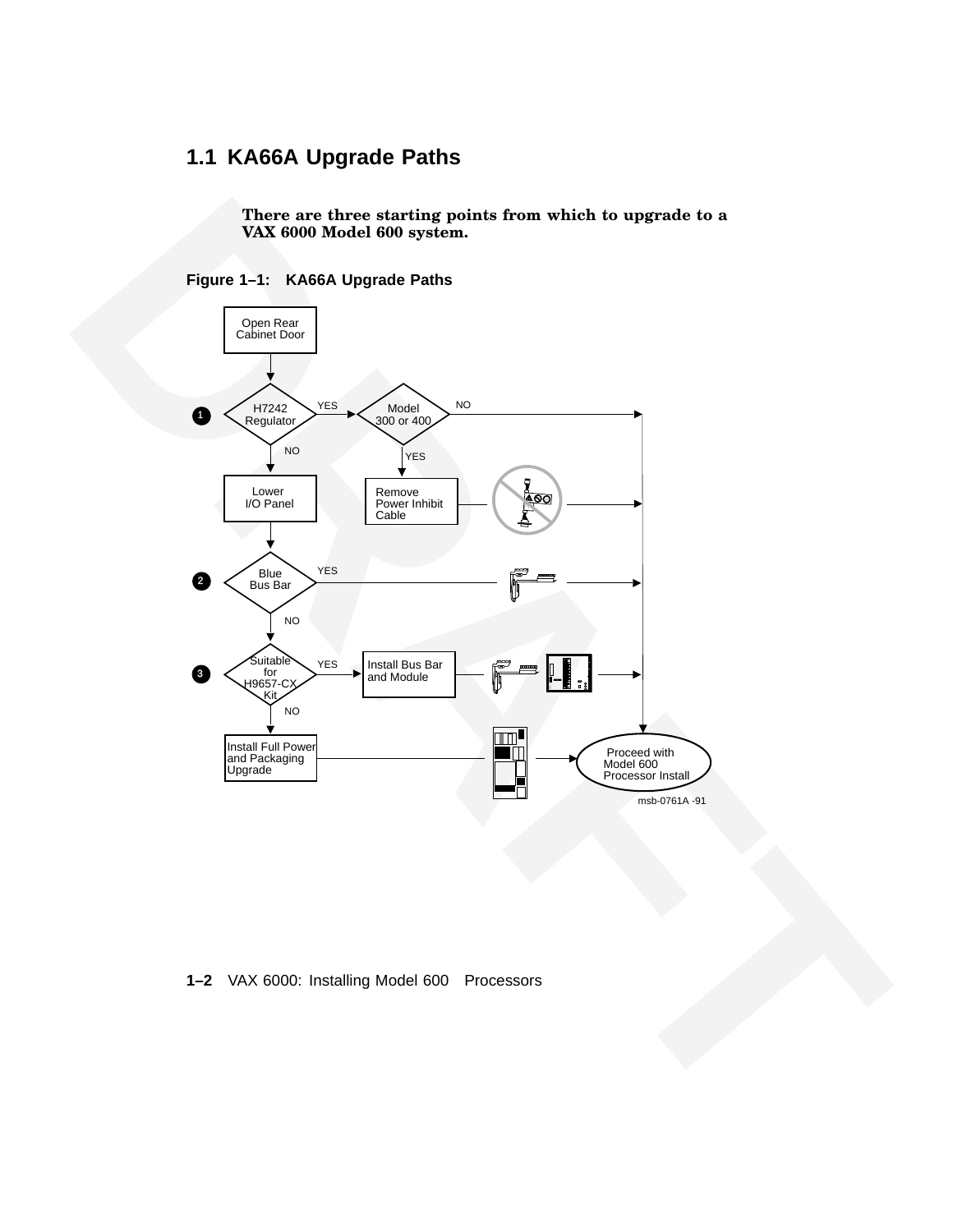# **1.1 KA66A Upgrade Paths**

**There are three starting points from which to upgrade to a VAX 6000 Model 600 system.**





#### **1–2** VAX 6000: Installing Model 600 Processors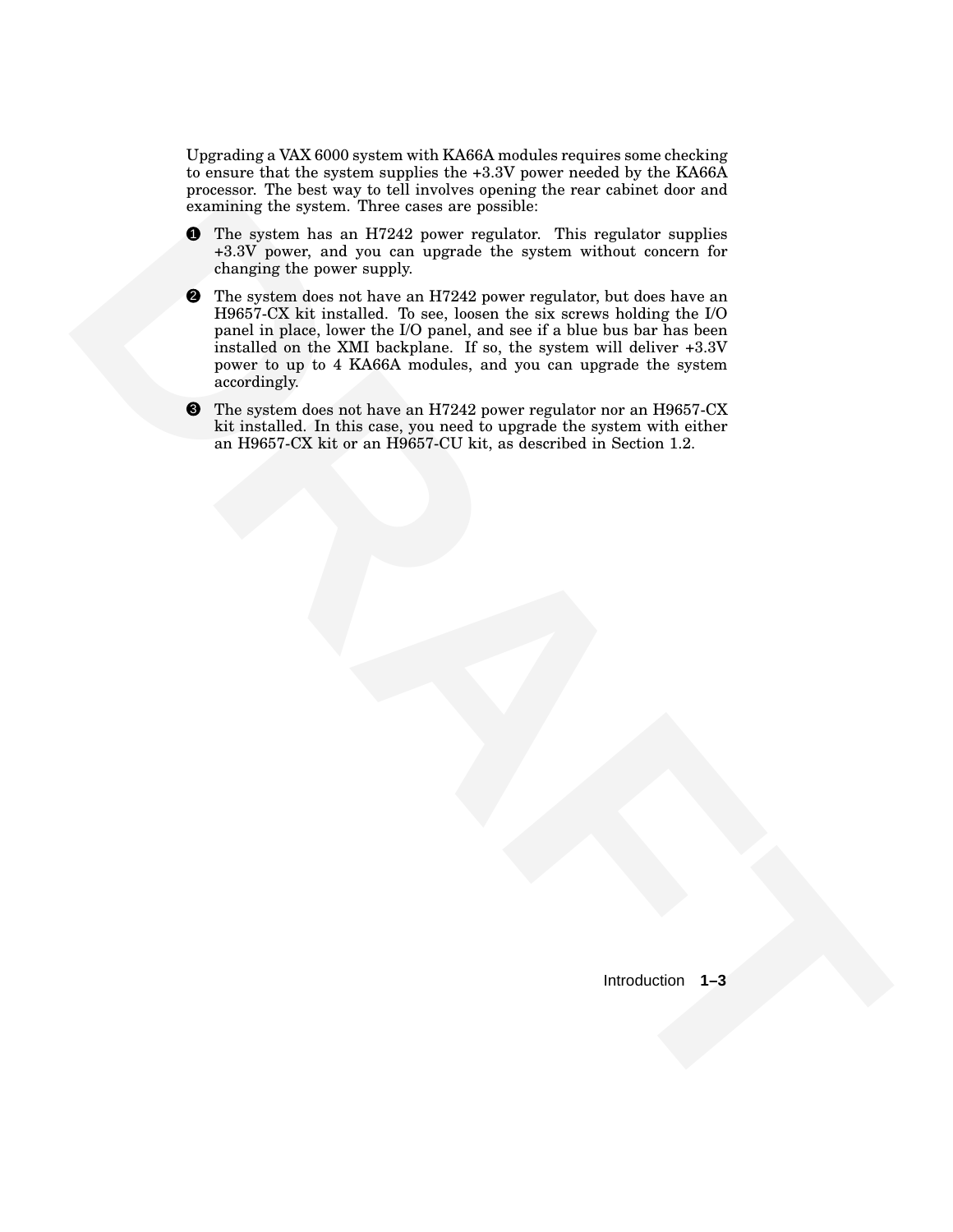Upgrading a VAX 6000 system with KA66A modules requires some checking to ensure that the system supplies the +3.3V power needed by the KA66A processor. The best way to tell involves opening the rear cabinet door and examining the system. Three cases are possible:

- **1** The system has an H7242 power regulator. This regulator supplies +3.3V power, and you can upgrade the system without concern for changing the power supply.
- **CONTROL** the system Theorem can be presented the system and the system of the system and the system and you can use the system will be the system will be the system of the system of the system of the system of the system **2** The system does not have an H7242 power regulator, but does have an H9657-CX kit installed. To see, loosen the six screws holding the I/O panel in place, lower the I/O panel, and see if a blue bus bar has been installed on the XMI backplane. If so, the system will deliver +3.3V power to up to 4 KA66A modules, and you can upgrade the system accordingly.
	- **3** The system does not have an H7242 power regulator nor an H9657-CX kit installed. In this case, you need to upgrade the system with either an H9657-CX kit or an H9657-CU kit, as described in Section 1.2.

Introduction **1–3**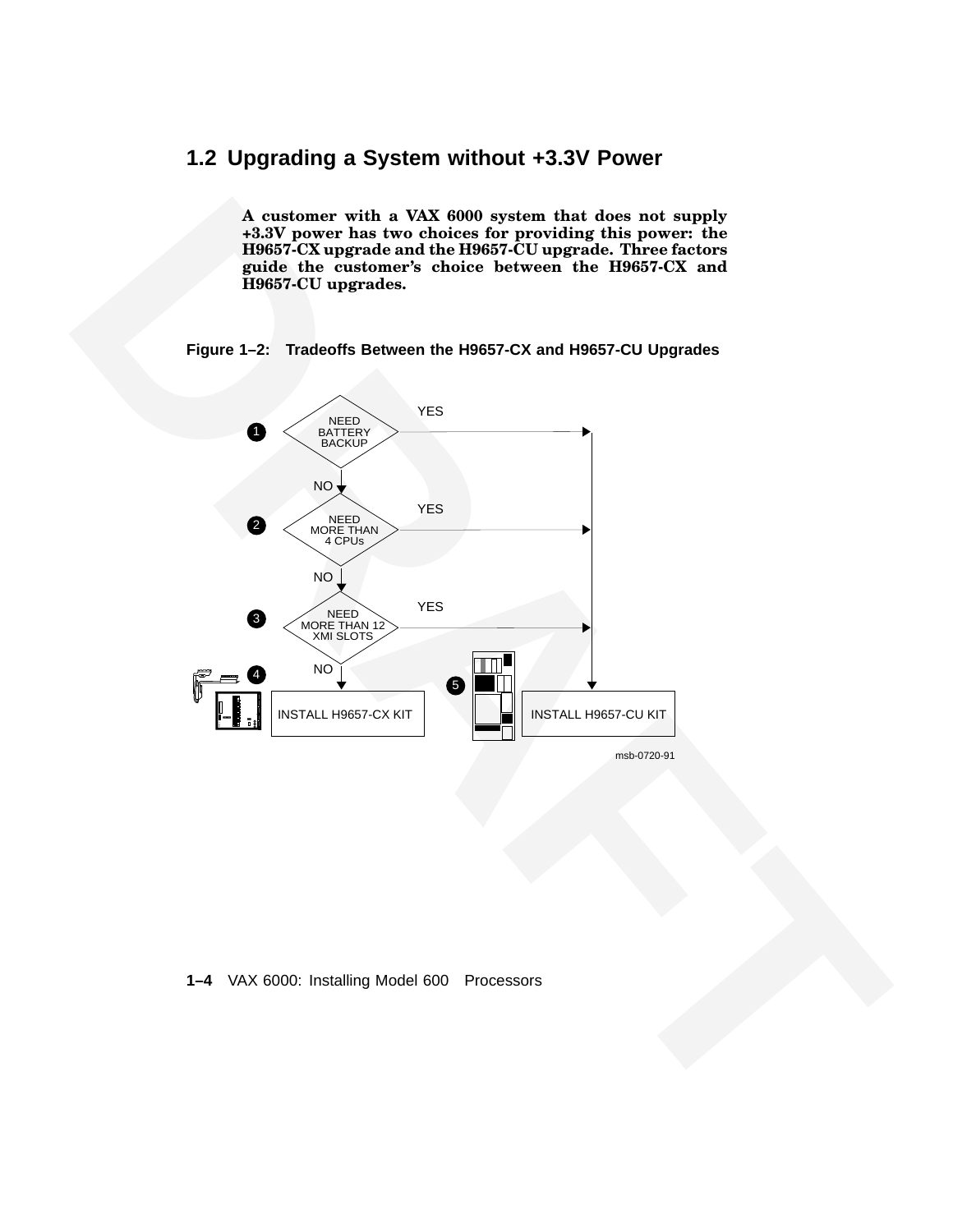# **1.2 Upgrading a System without +3.3V Power**

**A customer with a VAX 6000 system that does not supply +3.3V power has two choices for providing this power: the H9657-CX upgrade and the H9657-CU upgrade. Three factors guide the customer's choice between the H9657-CX and H9657-CU upgrades.**

#### **Figure 1–2: Tradeoffs Between the H9657-CX and H9657-CU Upgrades**



**1–4** VAX 6000: Installing Model 600 Processors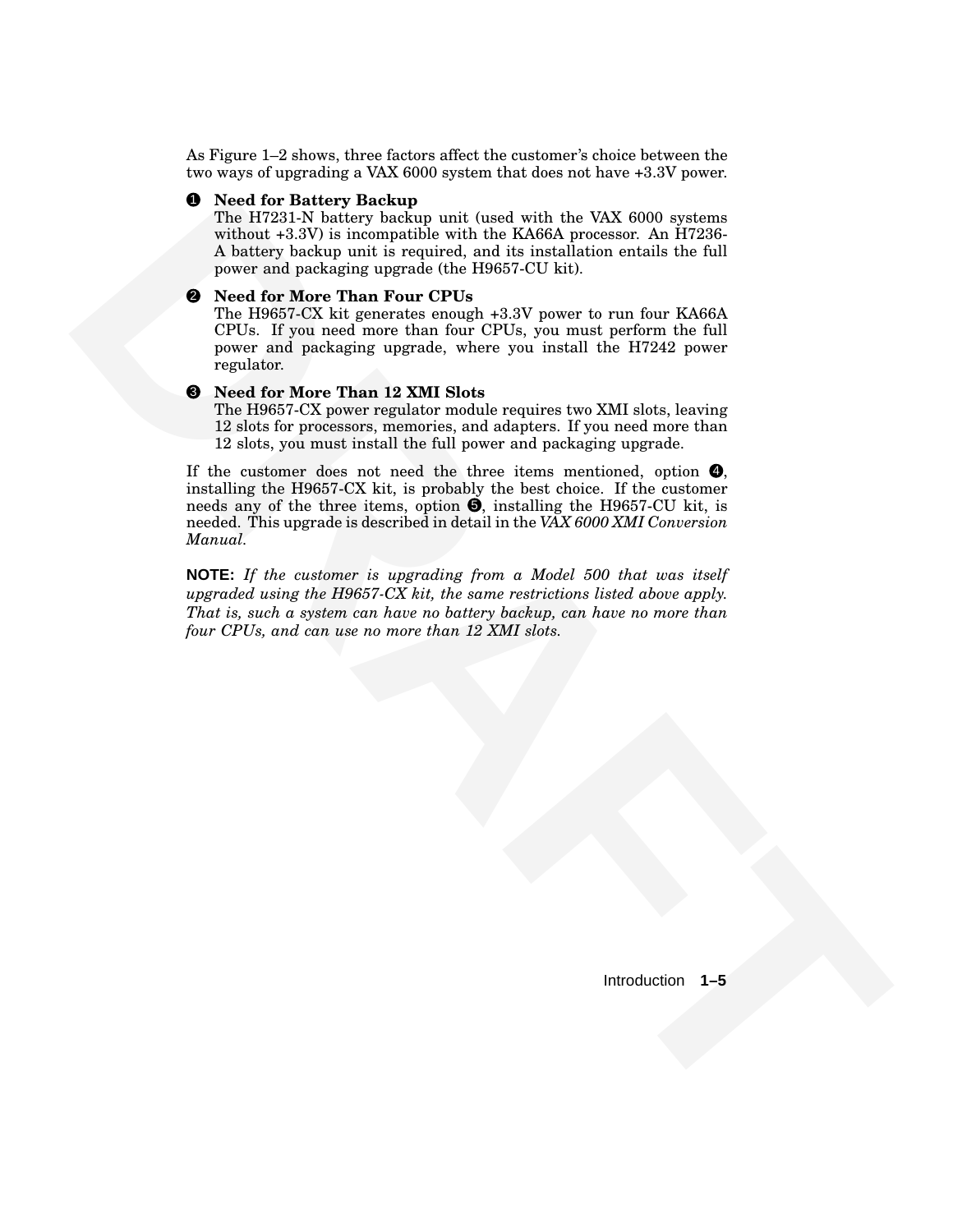As Figure 1–2 shows, three factors affect the customer's choice between the two ways of upgrading a VAX 6000 system that does not have +3.3V power.

#### 1 **Need for Battery Backup**

The H7231-N battery backup unit (used with the VAX 6000 systems without +3.3V) is incompatible with the KA66A processor. An H7236- A battery backup unit is required, and its installation entails the full power and packaging upgrade (the H9657-CU kit).

#### 2 **Need for More Than Four CPUs**

The H9657-CX kit generates enough +3.3V power to run four KA66A CPUs. If you need more than four CPUs, you must perform the full power and packaging upgrade, where you install the H7242 power regulator.

#### 3 **Need for More Than 12 XMI Slots**

The H9657-CX power regulator module requires two XMI slots, leaving 12 slots for processors, memories, and adapters. If you need more than 12 slots, you must install the full power and packaging upgrade.

**S** Newl for Halferty Business point from series that the 10 series of the NAT of the SASE of the series what the series and the series and the series of the first of the series and the series of the first point of the se If the customer does not need the three items mentioned, option  $\bullet$ , installing the H9657-CX kit, is probably the best choice. If the customer needs any of the three items, option  $\Theta$ , installing the H9657-CU kit, is needed. This upgrade is described in detail in the *VAX 6000 XMI Conversion Manual.*

**NOTE:** *If the customer is upgrading from a Model 500 that was itself upgraded using the H9657-CX kit, the same restrictions listed above apply. That is, such a system can have no battery backup, can have no more than four CPUs, and can use no more than 12 XMI slots.*

Introduction **1–5**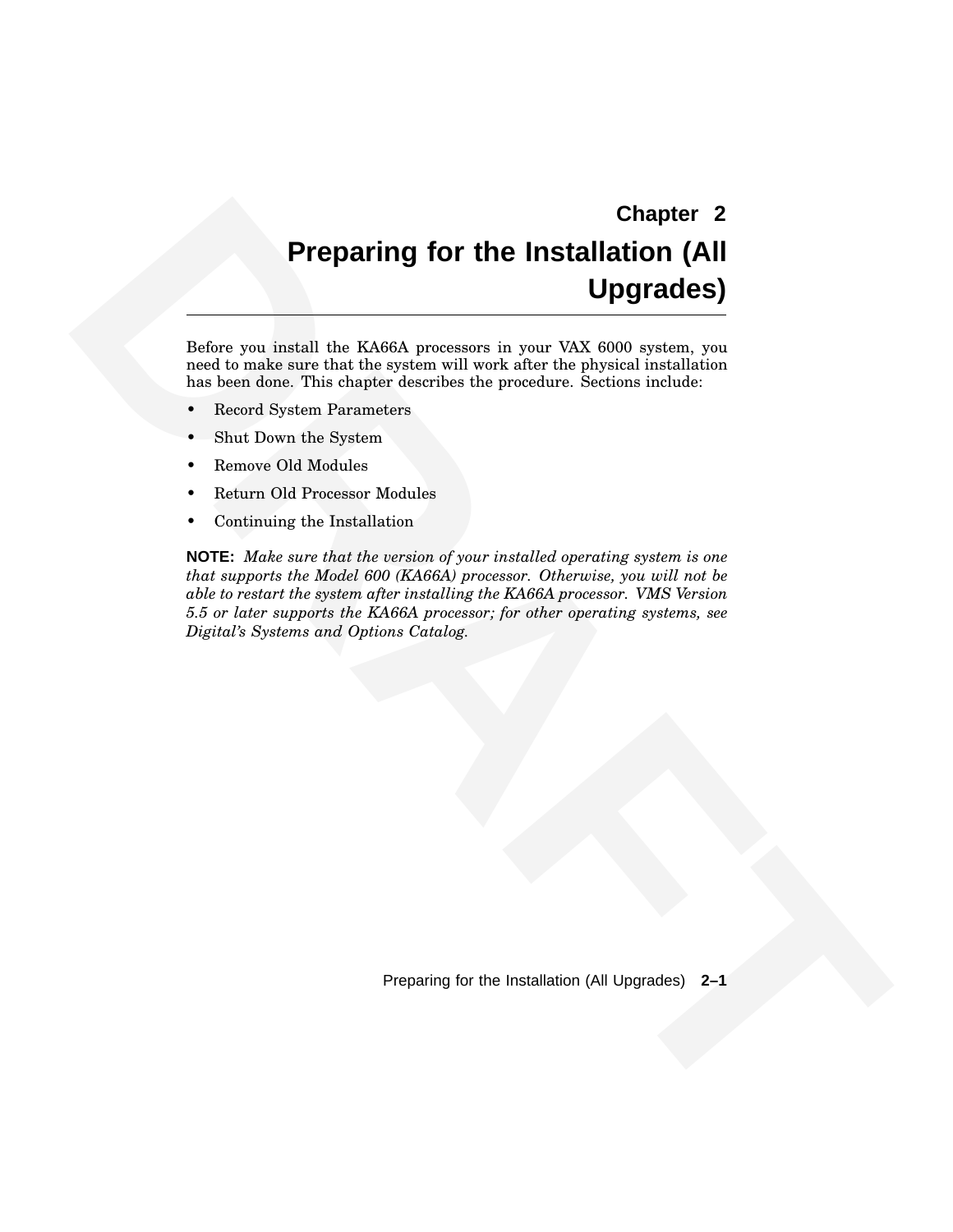# **Chapter 2 Preparing for the Installation (All Upgrades)**

Before you install the KA66A processors in your VAX 6000 system, you need to make sure that the system will work after the physical installation has been done. This chapter describes the procedure. Sections include:

- Record System Parameters
- Shut Down the System
- Remove Old Modules
- Return Old Processor Modules
- Continuing the Installation

**Chapter 2**<br> **Chapter 2**<br> **Departing for the Installation (All Upgrades)**<br> **Before you hastall the KM6M processors in your VAX 6000 explains the second second the state and second the processing in the processing constrain NOTE:** *Make sure that the version of your installed operating system is one that supports the Model 600 (KA66A) processor. Otherwise, you will not be able to restart the system after installing the KA66A processor. VMS Version 5.5 or later supports the KA66A processor; for other operating systems, see Digital's Systems and Options Catalog.*

Preparing for the Installation (All Upgrades) **2–1**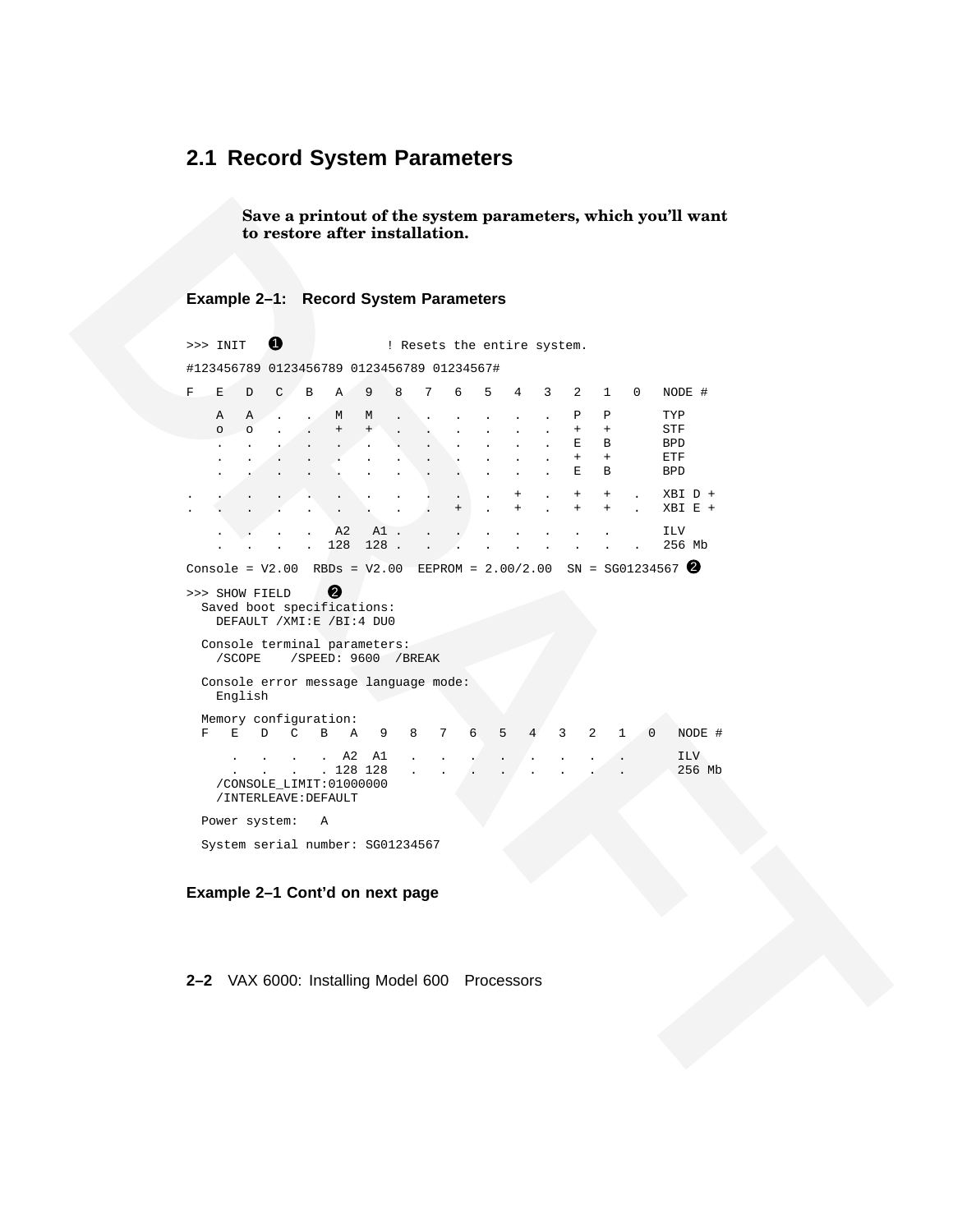#### **2.1 Record System Parameters**

**Save a printout of the system parameters, which you'll want to restore after installation.**

#### **Example 2–1: Record System Parameters**

**Example 2-1:** Record System parameters, which you'll want<br> **Example 2-1:** Record System Parameters<br>  $\therefore$  and **DRAFT CONTINENTS**<br>  $\therefore$  and **DRAFT CONTINENTS**<br>  $\therefore$  and  $\therefore$  and  $\therefore$  and  $\therefore$  and  $\therefore$  and  $\therefore$  and  $\Rightarrow$  INIT  $\bullet$  : Resets the entire system. #123456789 0123456789 0123456789 01234567# F E D C B A 9 8 7 6 5 4 3 2 1 0 NODE # A A . . M M . . . . . . P P TYP o o . . + + . . . . . . + + STF . . . . . . . . . . . . E B BPD . . . . . . . . . . . . + + ETF . . . . . . . . . . . . E B BPD . . . . . . . . . . . + . + + . XBI D + . . . . . . . . . + . + . + + . XBI E + . . . . A2 A1 . . . . . . . . . ILV . . 128 128 . . . . . . . . . . 256 Mb Console = V2.00 RBDs = V2.00 EEPROM = 2.00/2.00 SN = SG01234567  $\bigcirc$ >>> SHOW FIELD 2 Saved boot specifications: DEFAULT /XMI:E /BI:4 DU0 Console terminal parameters: /SCOPE /SPEED: 9600 /BREAK Console error message language mode: English Memory configuration: F E D C B A 9 8 7 6 5 4 3 2 1 0 NODE # . . . . A2 A1 . . . . . . . . . . ILV . 128 128 . . . . . . . . . . 256 Mb /CONSOLE\_LIMIT:01000000 /INTERLEAVE:DEFAULT Power system: A System serial number: SG01234567

**Example 2–1 Cont'd on next page**

**2–2** VAX 6000: Installing Model 600 Processors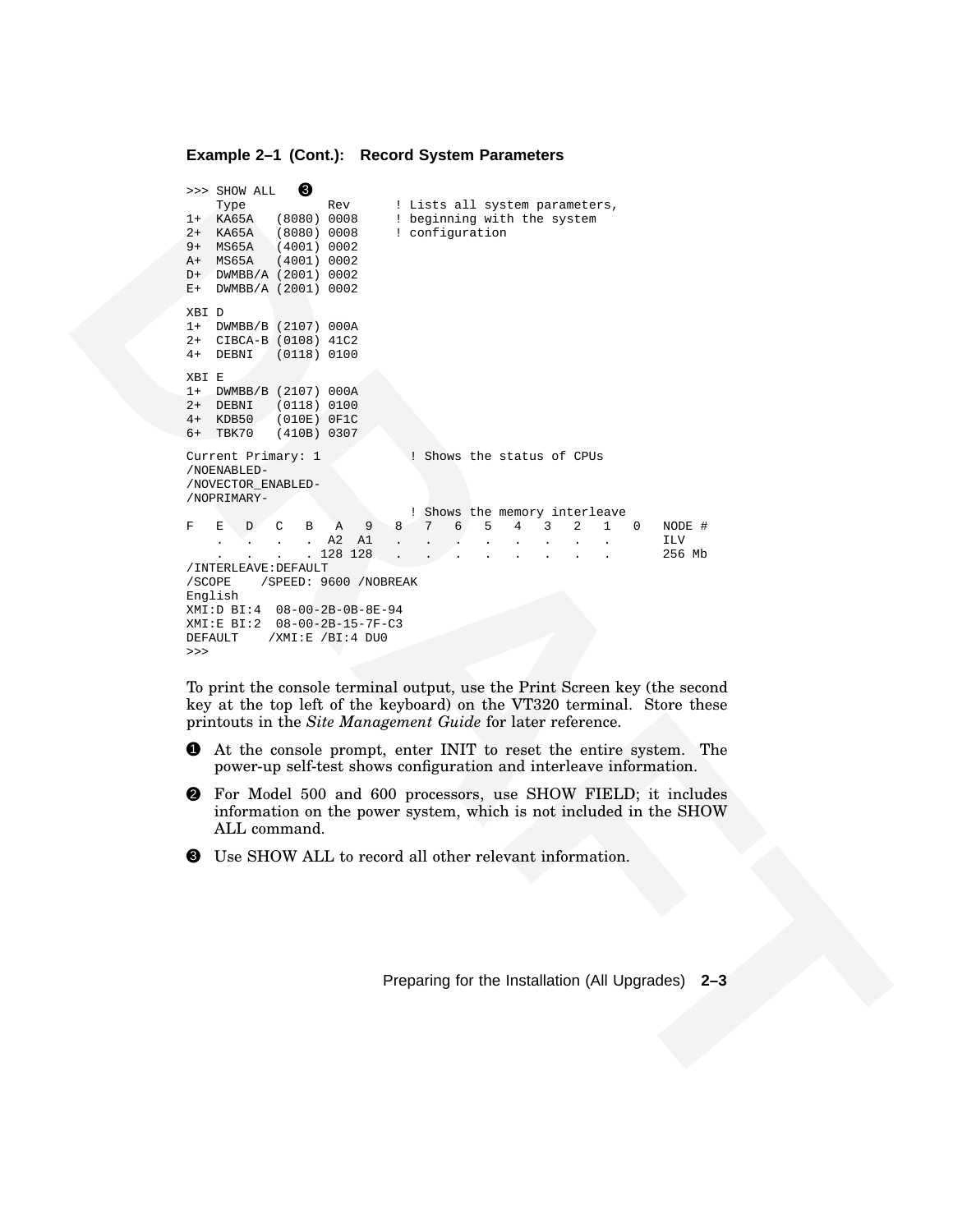#### **Example 2–1 (Cont.): Record System Parameters**

```
EVALUATION<br>
EVALUATION<br>
EVALUATION<br>
EVALUATION<br>
EVALUATION<br>
EVALUATION<br>
EVALUATION<br>
EVALUATION<br>
EVALUATION<br>
EVALUATION<br>
EVALUATION<br>
EVALUATION<br>
EVALUATION<br>
EVALUATION<br>
EVALUATION<br>
EVALUATION
                           \Rightarrow SHOW ALL \bigcirc Type
                           Type Rev ! Lists all system parameters,<br>1+ KA65A (8080) 0008 ! beginning with the system
                                                          ! beginning with the system
                           2+ KA65A (8080) 0008 ! configuration
                           9+ MS65A (4001) 0002
                           A+ MS65A (4001) 0002
                           D+ DWMBB/A (2001) 0002
                           E+ DWMBB/A (2001) 0002
                           XBI D
                           1+ DWMBB/B (2107) 000A
                           2+ CIBCA-B (0108) 41C2
                           4+ DEBNI (0118) 0100
                           XBI E
                           1+ DWMBB/B (2107) 000A
                           2+ DEBNI (0118) 0100<br>4+ KDB50 (010E) 0F1C
                                        (010E) 0F1C
                           6+ TBK70 (410B) 0307
                           Current Primary: 1 1 1 : Shows the status of CPUs
                           /NOENABLED-
                           /NOVECTOR_ENABLED-
                           /NOPRIMARY-
                                                            ! Shows the memory interleave<br>7 6 5 4 3 2 1
                           F E D C B A 9 8 7 6 5 4 3 2 1 0 NODE #
                               . . . . A2 A1 . . . . . . . . ILV
                                             . 128128/INTERLEAVE:DEFAULT
                           /SCOPE /SPEED: 9600 /NOBREAK
                           English
                           XMI:D BI:4 08-00-2B-0B-8E-94
                           XMI:E BI:2 08-00-2B-15-7F-C3
                           DEFAULT /XMI:E /BI:4 DU0
```
To print the console terminal output, use the Print Screen key (the second key at the top left of the keyboard) on the VT320 terminal. Store these printouts in the *Site Management Guide* for later reference.

- 1 At the console prompt, enter INIT to reset the entire system. The power-up self-test shows configuration and interleave information.
- 2 For Model 500 and 600 processors, use SHOW FIELD; it includes information on the power system, which is not included in the SHOW ALL command.
- <sup>3</sup> Use SHOW ALL to record all other relevant information.

>>>

Preparing for the Installation (All Upgrades) **2–3**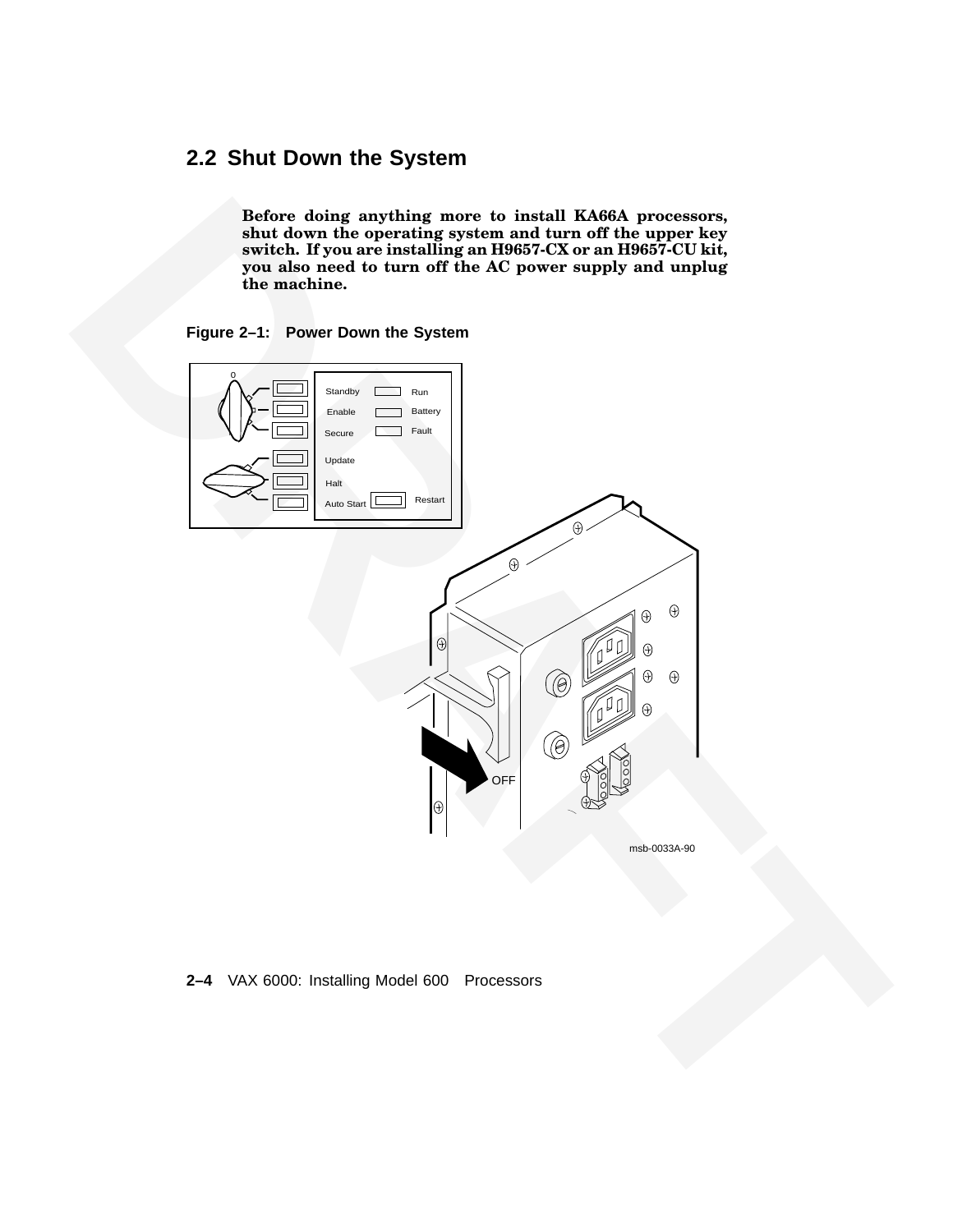# **2.2 Shut Down the System**

**Before doing anything more to install KA66A processors, shut down the operating system and turn off the upper key switch. If you are installing an H9657-CX or an H9657-CU kit, you also need to turn off the AC power supply and unplug the machine.**





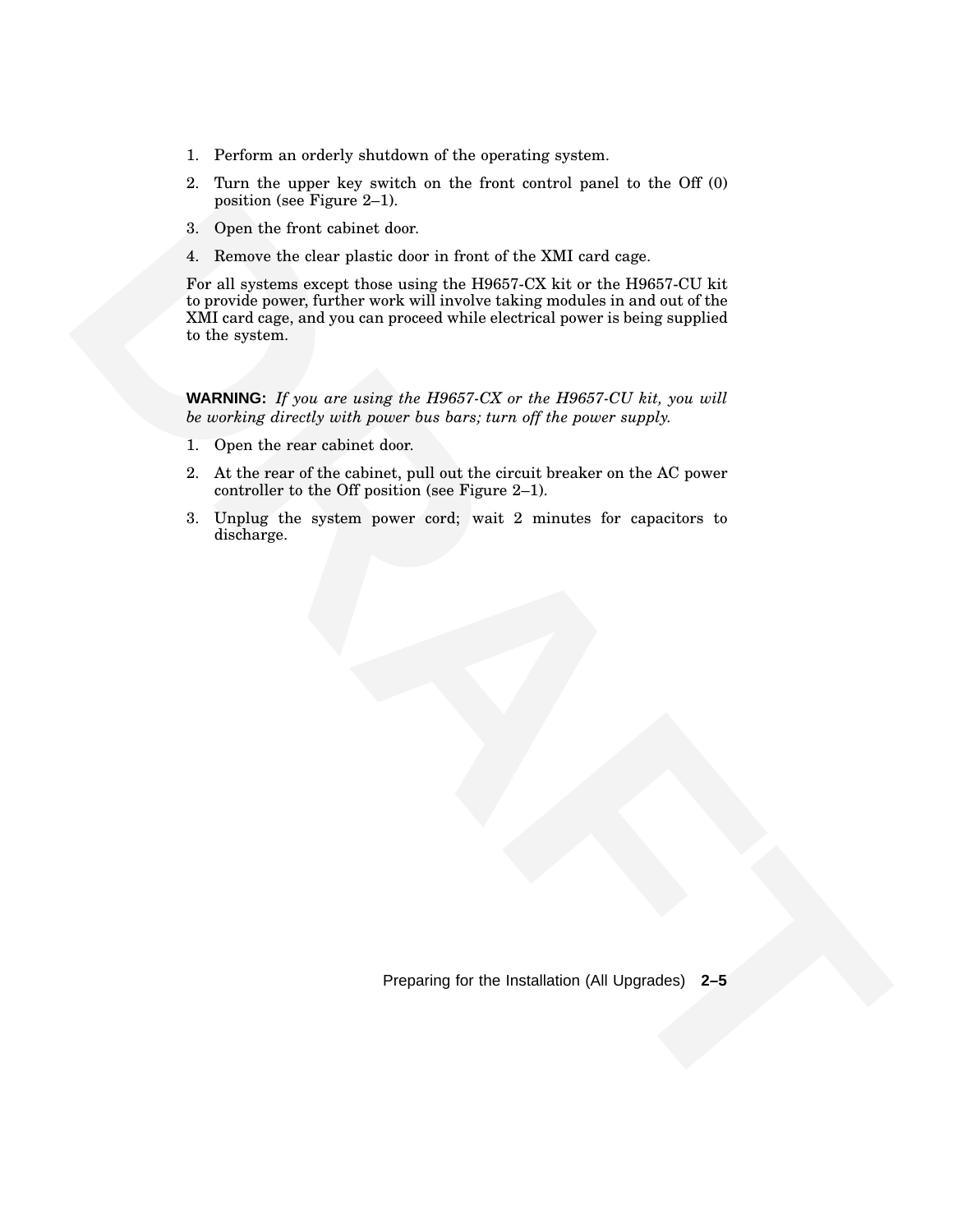- 1. Perform an orderly shutdown of the operating system.
- 2. Turn the upper key switch on the front control panel to the Off (0) position (see Figure 2–1).
- 3. Open the front cabinet door.
- 4. Remove the clear plastic door in front of the XMI card cage.

position (see Figure 2.1).<br> **Copen the front antivert dour:**<br> **3.** Depends the characteristic dour finding the DRAFT ANX bit can disperse a matrix of the control of properties in the property finding the DRAFT ANY bit can For all systems except those using the H9657-CX kit or the H9657-CU kit to provide power, further work will involve taking modules in and out of the XMI card cage, and you can proceed while electrical power is being supplied to the system.

**WARNING:** *If you are using the H9657-CX or the H9657-CU kit, you will be working directly with power bus bars; turn off the power supply.*

- 1. Open the rear cabinet door.
- 2. At the rear of the cabinet, pull out the circuit breaker on the AC power controller to the Off position (see Figure 2–1).
- 3. Unplug the system power cord; wait 2 minutes for capacitors to discharge.

Preparing for the Installation (All Upgrades) **2–5**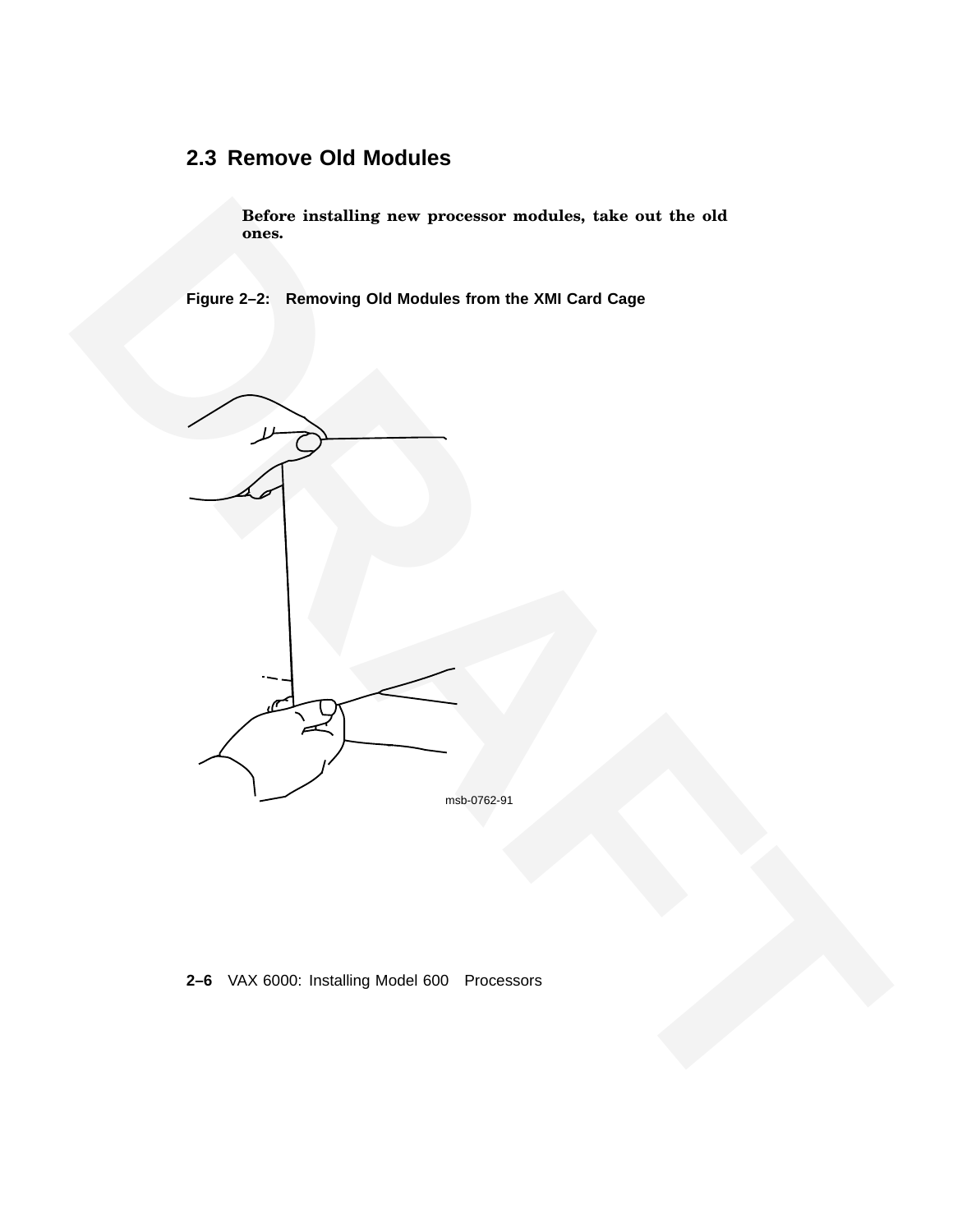# **2.3 Remove Old Modules**

**Before installing new processor modules, take out the old ones.**

**Figure 2–2: Removing Old Modules from the XMI Card Cage**



**2–6** VAX 6000: Installing Model 600 Processors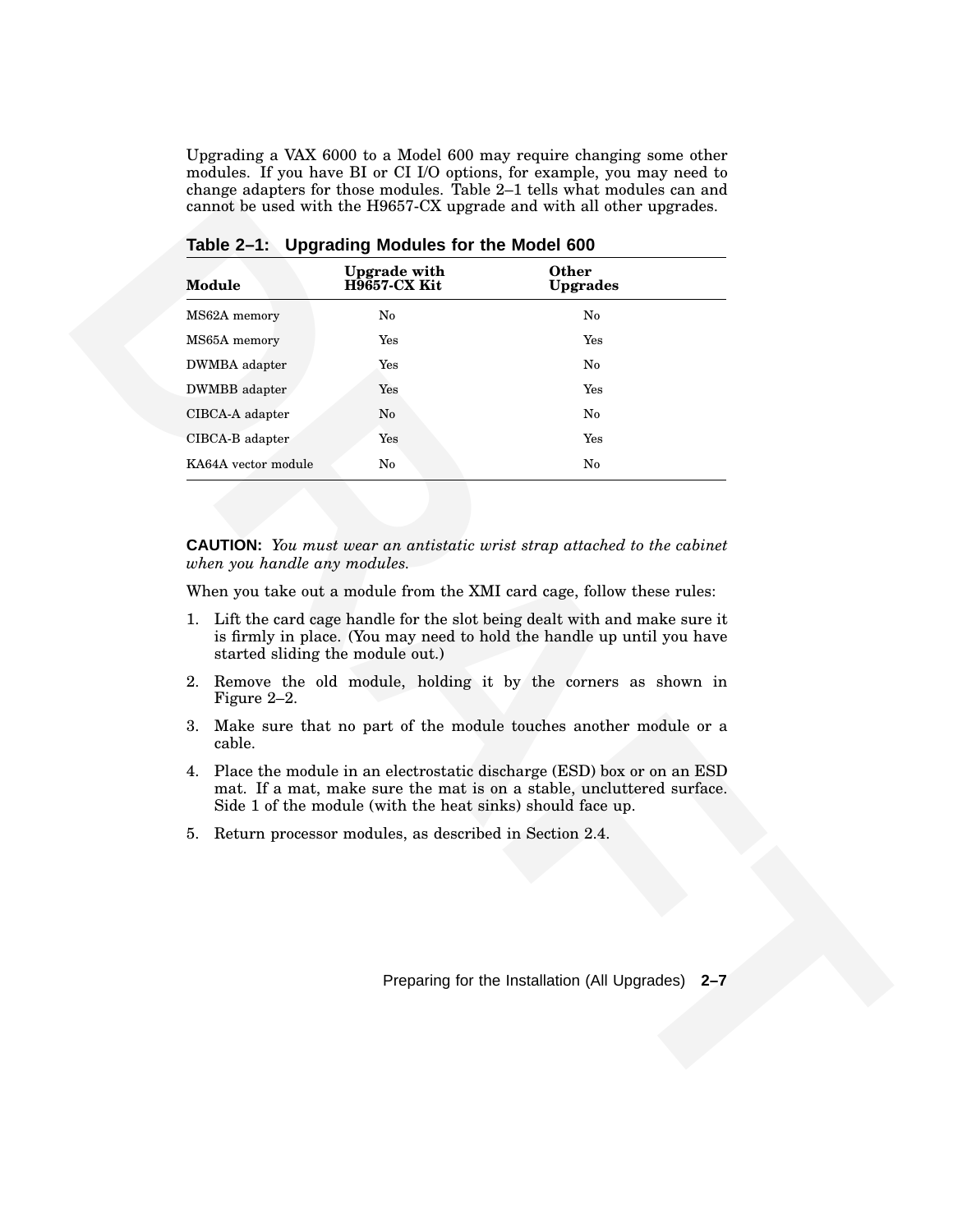Upgrading a VAX 6000 to a Model 600 may require changing some other modules. If you have BI or CI I/O options, for example, you may need to change adapters for those modules. Table 2–1 tells what modules can and cannot be used with the H9657-CX upgrade and with all other upgrades.

| MS62A memory<br>No<br>No<br>MS65A memory<br>$\operatorname{Yes}$<br>Yes<br>DWMBA adapter<br>Yes<br>No<br>DWMBB adapter<br>Yes<br>Yes<br>CIBCA-A adapter<br>No<br>No<br>CIBCA-B adapter<br>Yes<br>Yes<br>KA64A vector module<br>$\mathbf{N}\mathbf{o}$<br>No<br><b>CAUTION:</b> You must wear an antistatic wrist strap attached to the cabinet<br>when you handle any modules.<br>When you take out a module from the XMI card cage, follow these rules:<br>1. Lift the card cage handle for the slot being dealt with and make sure it<br>is firmly in place. (You may need to hold the handle up until you have<br>started sliding the module out.)<br>2. Remove the old module, holding it by the corners as shown in<br>Figure $2-2$ .<br>3. Make sure that no part of the module touches another module or a<br>cable.<br>4. Place the module in an electrostatic discharge (ESD) box or on an ESD<br>mat. If a mat, make sure the mat is on a stable, uncluttered surface.<br>Side 1 of the module (with the heat sinks) should face up.<br>Return processor modules, as described in Section 2.4.<br>5. | <b>Module</b> | <b>Upgrade with</b><br><b>H9657-CX Kit</b> | Other<br>Upgrades |
|----------------------------------------------------------------------------------------------------------------------------------------------------------------------------------------------------------------------------------------------------------------------------------------------------------------------------------------------------------------------------------------------------------------------------------------------------------------------------------------------------------------------------------------------------------------------------------------------------------------------------------------------------------------------------------------------------------------------------------------------------------------------------------------------------------------------------------------------------------------------------------------------------------------------------------------------------------------------------------------------------------------------------------------------------------------------------------------------------------------|---------------|--------------------------------------------|-------------------|
|                                                                                                                                                                                                                                                                                                                                                                                                                                                                                                                                                                                                                                                                                                                                                                                                                                                                                                                                                                                                                                                                                                                |               |                                            |                   |
|                                                                                                                                                                                                                                                                                                                                                                                                                                                                                                                                                                                                                                                                                                                                                                                                                                                                                                                                                                                                                                                                                                                |               |                                            |                   |
|                                                                                                                                                                                                                                                                                                                                                                                                                                                                                                                                                                                                                                                                                                                                                                                                                                                                                                                                                                                                                                                                                                                |               |                                            |                   |
|                                                                                                                                                                                                                                                                                                                                                                                                                                                                                                                                                                                                                                                                                                                                                                                                                                                                                                                                                                                                                                                                                                                |               |                                            |                   |
|                                                                                                                                                                                                                                                                                                                                                                                                                                                                                                                                                                                                                                                                                                                                                                                                                                                                                                                                                                                                                                                                                                                |               |                                            |                   |
|                                                                                                                                                                                                                                                                                                                                                                                                                                                                                                                                                                                                                                                                                                                                                                                                                                                                                                                                                                                                                                                                                                                |               |                                            |                   |
|                                                                                                                                                                                                                                                                                                                                                                                                                                                                                                                                                                                                                                                                                                                                                                                                                                                                                                                                                                                                                                                                                                                |               |                                            |                   |
|                                                                                                                                                                                                                                                                                                                                                                                                                                                                                                                                                                                                                                                                                                                                                                                                                                                                                                                                                                                                                                                                                                                |               |                                            |                   |
|                                                                                                                                                                                                                                                                                                                                                                                                                                                                                                                                                                                                                                                                                                                                                                                                                                                                                                                                                                                                                                                                                                                |               |                                            |                   |
|                                                                                                                                                                                                                                                                                                                                                                                                                                                                                                                                                                                                                                                                                                                                                                                                                                                                                                                                                                                                                                                                                                                |               |                                            |                   |
|                                                                                                                                                                                                                                                                                                                                                                                                                                                                                                                                                                                                                                                                                                                                                                                                                                                                                                                                                                                                                                                                                                                |               |                                            |                   |
|                                                                                                                                                                                                                                                                                                                                                                                                                                                                                                                                                                                                                                                                                                                                                                                                                                                                                                                                                                                                                                                                                                                |               |                                            |                   |
|                                                                                                                                                                                                                                                                                                                                                                                                                                                                                                                                                                                                                                                                                                                                                                                                                                                                                                                                                                                                                                                                                                                |               |                                            |                   |
|                                                                                                                                                                                                                                                                                                                                                                                                                                                                                                                                                                                                                                                                                                                                                                                                                                                                                                                                                                                                                                                                                                                |               |                                            |                   |
| Preparing for the Installation (All Upgrades) 2-7                                                                                                                                                                                                                                                                                                                                                                                                                                                                                                                                                                                                                                                                                                                                                                                                                                                                                                                                                                                                                                                              |               |                                            |                   |
|                                                                                                                                                                                                                                                                                                                                                                                                                                                                                                                                                                                                                                                                                                                                                                                                                                                                                                                                                                                                                                                                                                                |               |                                            |                   |
|                                                                                                                                                                                                                                                                                                                                                                                                                                                                                                                                                                                                                                                                                                                                                                                                                                                                                                                                                                                                                                                                                                                |               |                                            |                   |

**Table 2–1: Upgrading Modules for the Model 600**

- 1. Lift the card cage handle for the slot being dealt with and make sure it is firmly in place. (You may need to hold the handle up until you have started sliding the module out.)
- 2. Remove the old module, holding it by the corners as shown in Figure 2–2.
- 3. Make sure that no part of the module touches another module or a cable.
- 4. Place the module in an electrostatic discharge (ESD) box or on an ESD mat. If a mat, make sure the mat is on a stable, uncluttered surface. Side 1 of the module (with the heat sinks) should face up.
- 5. Return processor modules, as described in Section 2.4.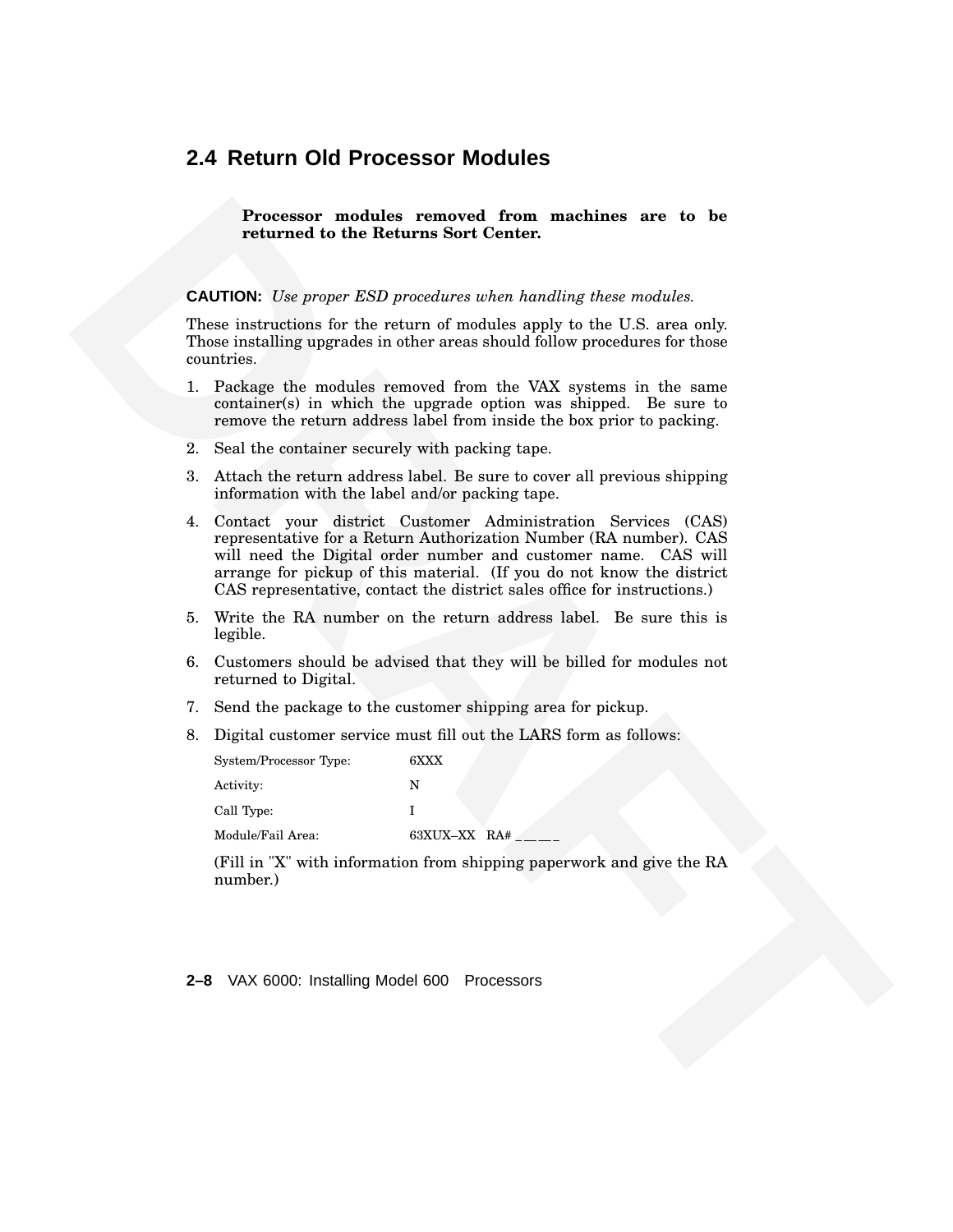#### **2.4 Return Old Processor Modules**

**Processor modules removed from machines are to be returned to the Returns Sort Center.**

**CAUTION:** *Use proper ESD procedures when handling these modules.*

These instructions for the return of modules apply to the U.S. area only. Those installing upgrades in other areas should follow procedures for those countries.

- 1. Package the modules removed from the VAX systems in the same container(s) in which the upgrade option was shipped. Be sure to remove the return address label from inside the box prior to packing.
- 2. Seal the container securely with packing tape.
- 3. Attach the return address label. Be sure to cover all previous shipping information with the label and/or packing tape.
- **Processor Processor Controller removered from machines are to be cluster and the list of the relation of the model is the controller process of the controller and the model of the system is the system in the controlle** 4. Contact your district Customer Administration Services (CAS) representative for a Return Authorization Number (RA number). CAS will need the Digital order number and customer name. CAS will arrange for pickup of this material. (If you do not know the district CAS representative, contact the district sales office for instructions.)
	- 5. Write the RA number on the return address label. Be sure this is legible.
	- 6. Customers should be advised that they will be billed for modules not returned to Digital.
	- 7. Send the package to the customer shipping area for pickup.
	- 8. Digital customer service must fill out the LARS form as follows:

| System/Processor Type: | 6XXX         |
|------------------------|--------------|
| Activity:              | N            |
| Call Type:             |              |
| Module/Fail Area:      | 63XUX-XX RA# |

(Fill in "X" with information from shipping paperwork and give the RA number.)

**2–8** VAX 6000: Installing Model 600 Processors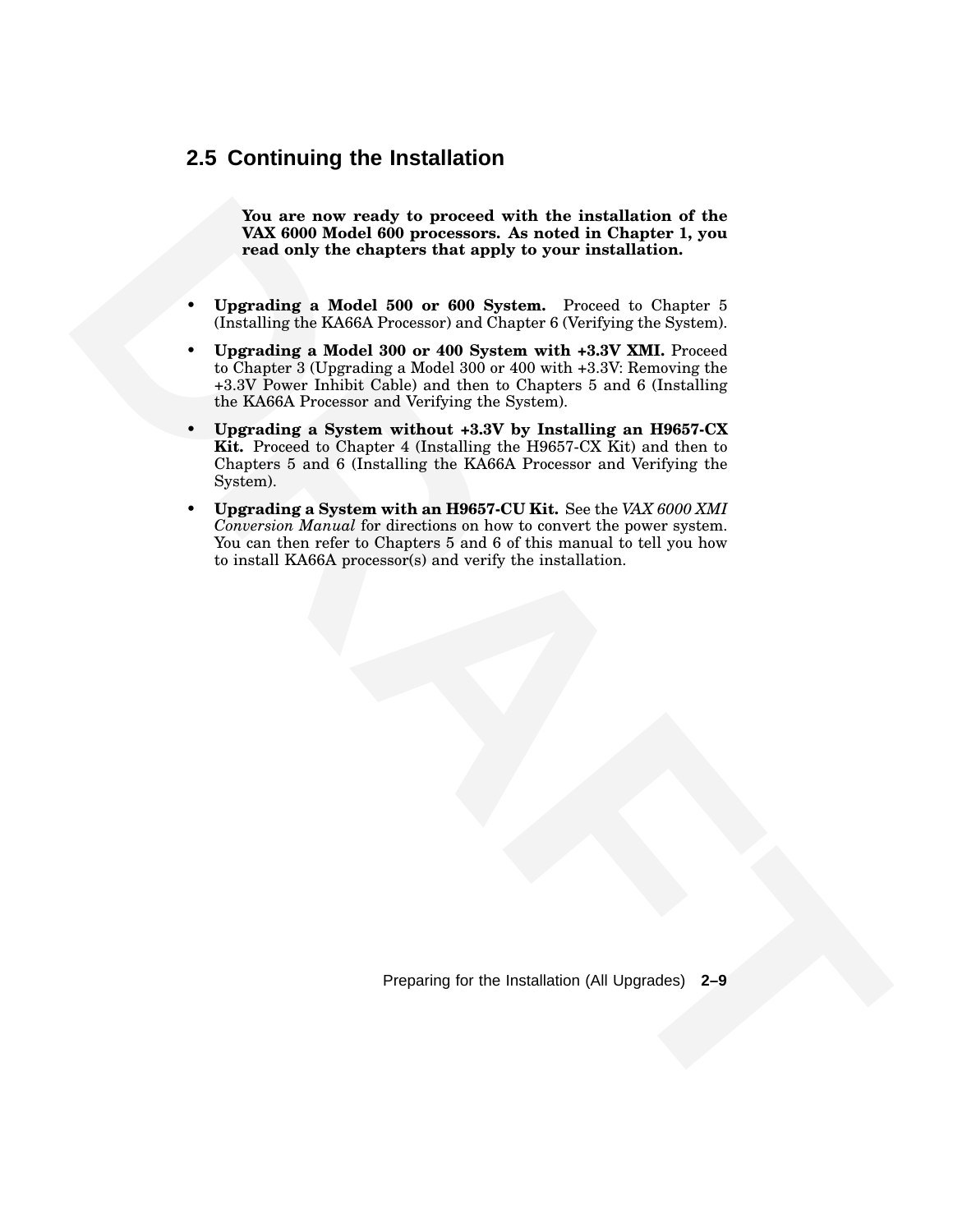#### **2.5 Continuing the Installation**

**You are now ready to proceed with the installation of the VAX 6000 Model 600 processors. As noted in Chapter 1, you read only the chapters that apply to your installation.**

- **Upgrading a Model 500 or 600 System.** Proceed to Chapter 5 (Installing the KA66A Processor) and Chapter 6 (Verifying the System).
- **Upgrading a Model 300 or 400 System with +3.3V XMI.** Proceed to Chapter 3 (Upgrading a Model 300 or 400 with +3.3V: Removing the +3.3V Power Inhibit Cable) and then to Chapters 5 and 6 (Installing the KA66A Processor and Verifying the System).
- **EVALUATION THE CONFIGURATION CONTINUES IN A SURFACE OF THE CONFIGURATION CONFIGURATION CONFIGURATION CONFIGURATION CONFIGURATION CONFIGURATION CONFIGURATION CONFIGURATION CONFIGURATION CONFIGURATION CONFIGURATION CONFIGU** • **Upgrading a System without +3.3V by Installing an H9657-CX Kit.** Proceed to Chapter 4 (Installing the H9657-CX Kit) and then to Chapters 5 and 6 (Installing the KA66A Processor and Verifying the System).
	- **Upgrading a System with an H9657-CU Kit.** See the *VAX 6000 XMI Conversion Manual* for directions on how to convert the power system. You can then refer to Chapters 5 and 6 of this manual to tell you how to install KA66A processor(s) and verify the installation.

Preparing for the Installation (All Upgrades) **2–9**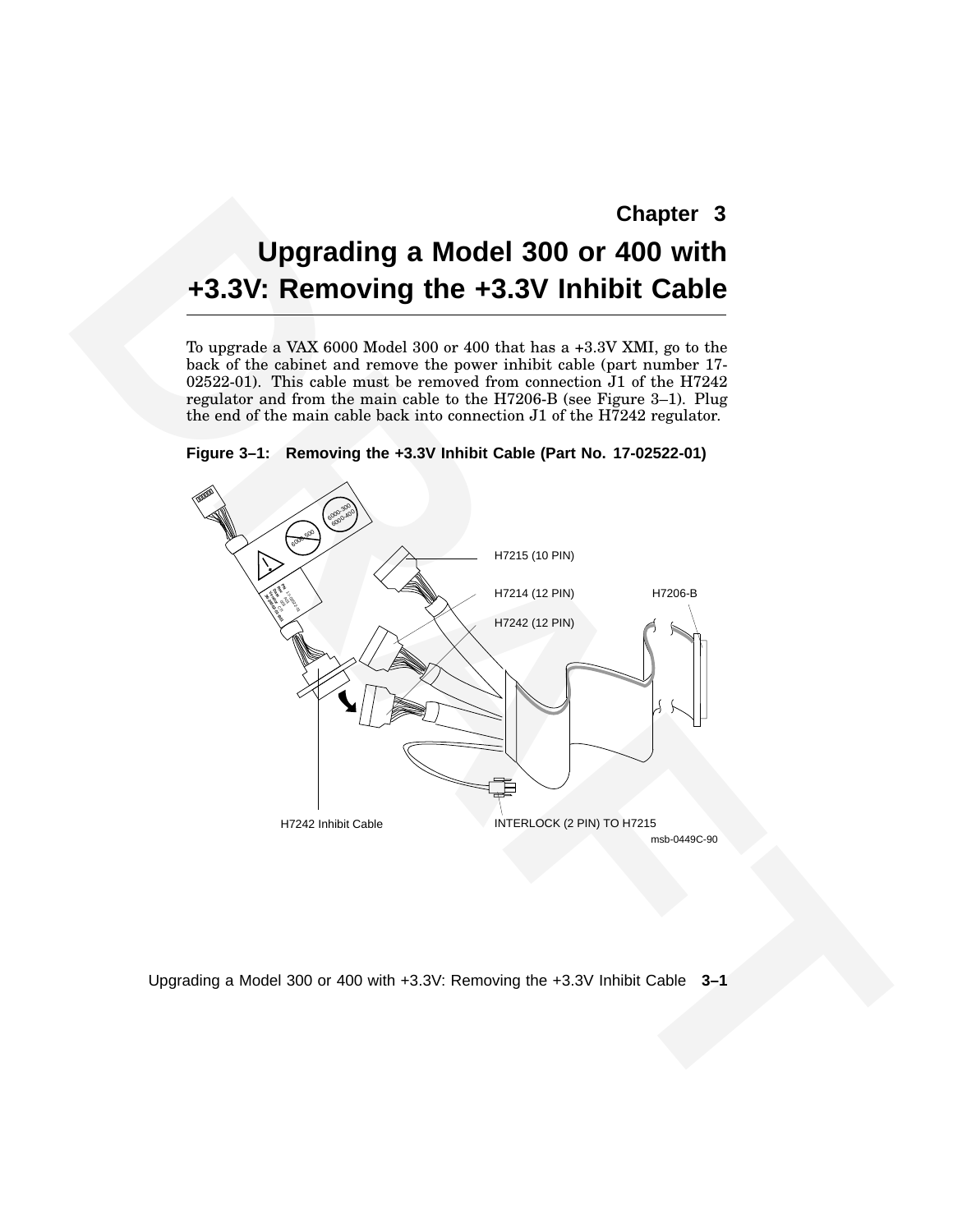# **Upgrading a Model 300 or 400 with +3.3V: Removing the +3.3V Inhibit Cable**

To upgrade a VAX 6000 Model 300 or 400 that has a +3.3V XMI, go to the back of the cabinet and remove the power inhibit cable (part number 17- 02522-01). This cable must be removed from connection J1 of the H7242 regulator and from the main cable to the H7206-B (see Figure 3–1). Plug the end of the main cable back into connection J1 of the H7242 regulator.





Upgrading a Model 300 or 400 with +3.3V: Removing the +3.3V Inhibit Cable **3–1**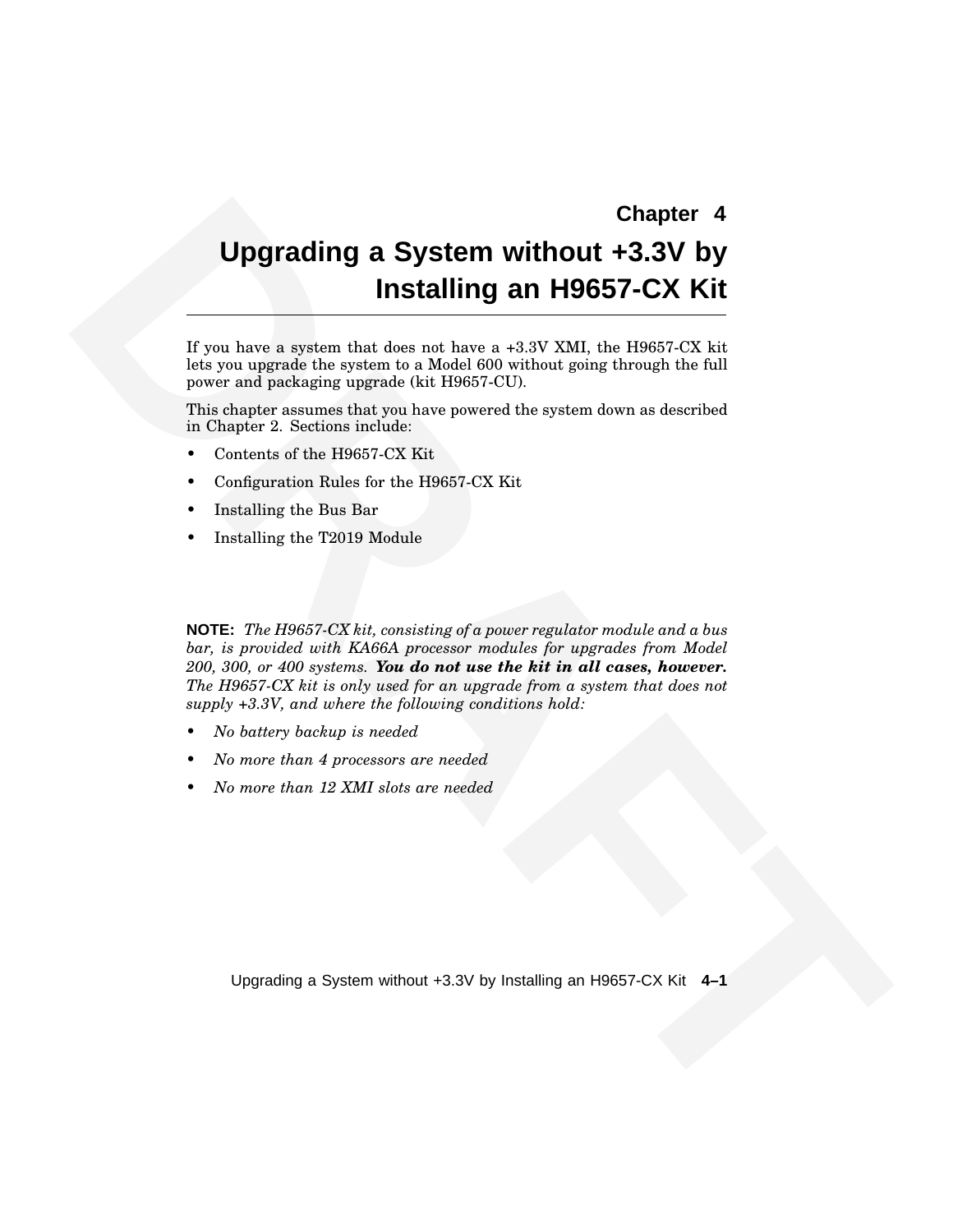#### **Chapter 4**

# **Upgrading a System without +3.3V by Installing an H9657-CX Kit**

If you have a system that does not have a +3.3V XMI, the H9657-CX kit lets you upgrade the system to a Model 600 without going through the full power and packaging upgrade (kit H9657-CU).

This chapter assumes that you have powered the system down as described in Chapter 2. Sections include:

- Contents of the H9657-CX Kit
- Configuration Rules for the H9657-CX Kit
- Installing the Bus Bar
- Installing the T2019 Module

**Chapter 4**<br> **Chapter 4**<br> **Chapter 3 System with<br>
The stalling an H9657-CX Kit<br>** *Lives* **have a system that does not have a +3.47 XML So Higher.<br>
However and policities regenerate the filter of Chapter and the Tall<br>
princip NOTE:** *The H9657-CX kit, consisting of a power regulator module and a bus bar, is provided with KA66A processor modules for upgrades from Model 200, 300, or 400 systems. You do not use the kit in all cases, however. The H9657-CX kit is only used for an upgrade from a system that does not supply +3.3V, and where the following conditions hold:*

- *• No battery backup is needed*
- *• No more than 4 processors are needed*
- *• No more than 12 XMI slots are needed*

Upgrading a System without +3.3V by Installing an H9657-CX Kit **4–1**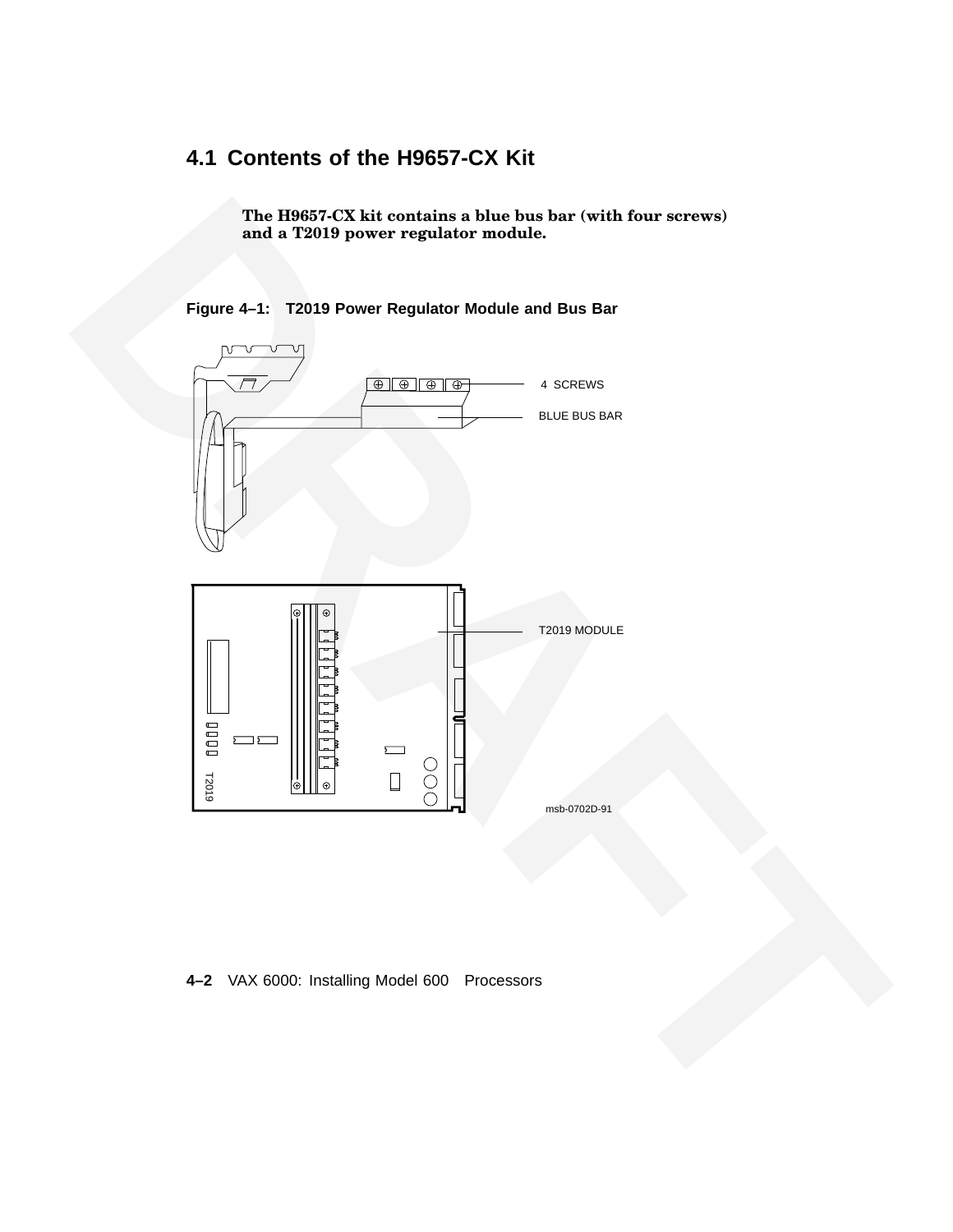# **4.1 Contents of the H9657-CX Kit**

**The H9657-CX kit contains a blue bus bar (with four screws) and a T2019 power regulator module.**



**Figure 4–1: T2019 Power Regulator Module and Bus Bar**

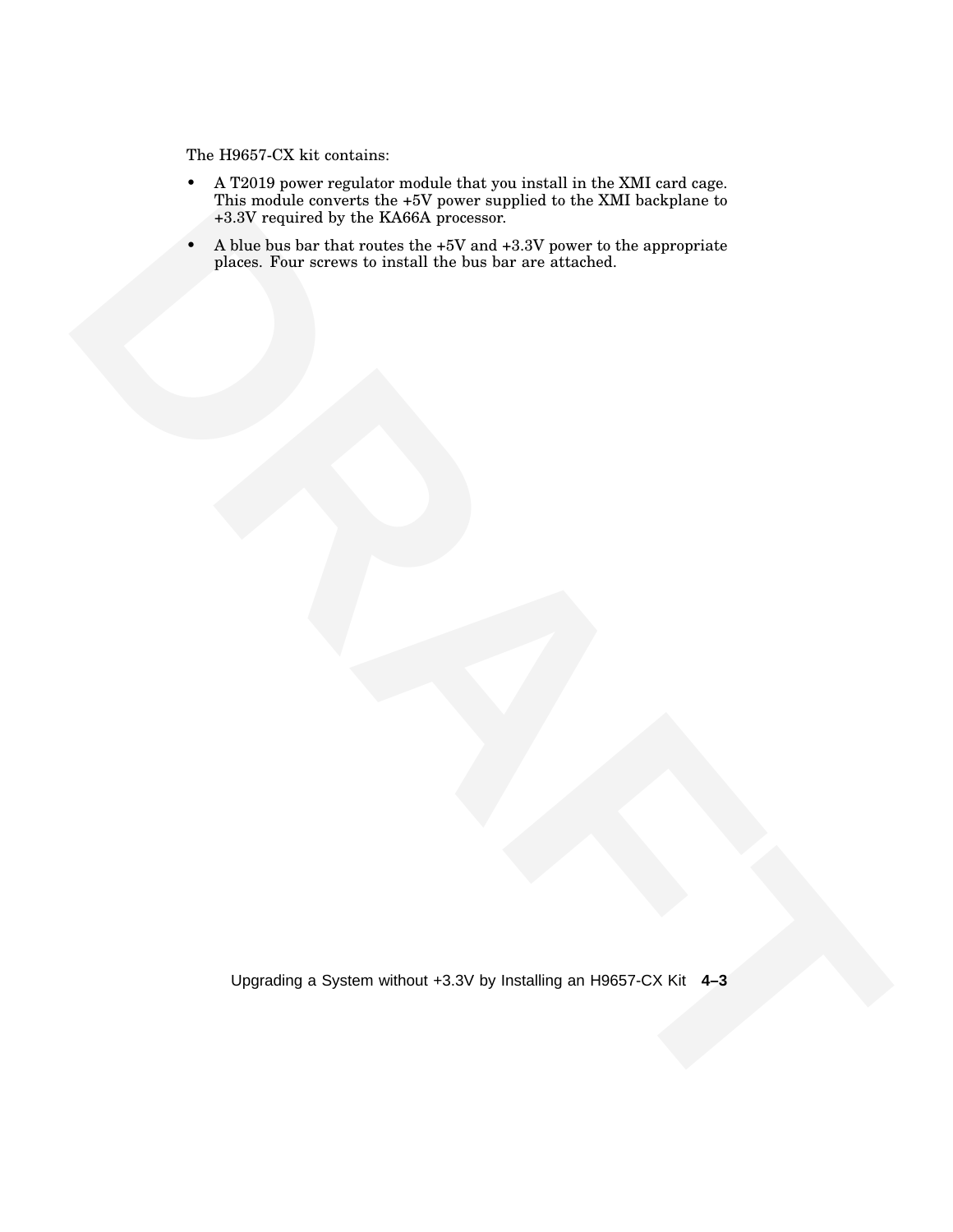The H9657-CX kit contains:

- A T2019 power regulator module that you install in the XMI card cage. This module converts the +5V power supplied to the XMI backplane to +3.3V required by the KA66A processor.
- This models inserest that a 19 year was projected to the XXM busing<br>also required by the KNMA processes<br>Also bus the three terms can not a -3.8 year of a -4.8 year of the street of the superceptions<br>Also be the correspondi • A blue bus bar that routes the  $+5V$  and  $+3.3V$  power to the appropriate places. Four screws to install the bus bar are attached.

Upgrading a System without +3.3V by Installing an H9657-CX Kit **4–3**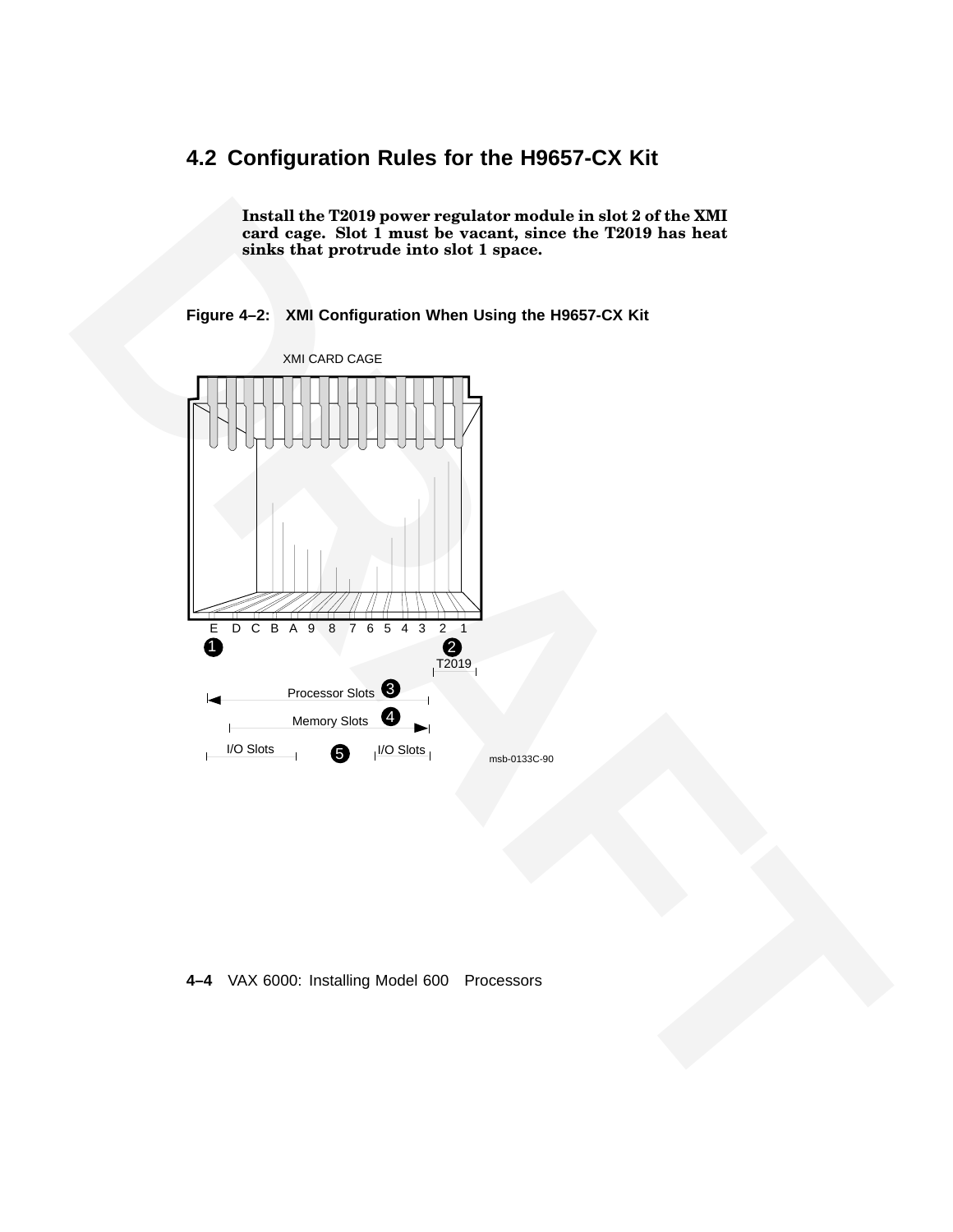# **4.2 Configuration Rules for the H9657-CX Kit**

**Install the T2019 power regulator module in slot 2 of the XMI card cage. Slot 1 must be vacant, since the T2019 has heat sinks that protrude into slot 1 space.**





#### **4–4** VAX 6000: Installing Model 600 Processors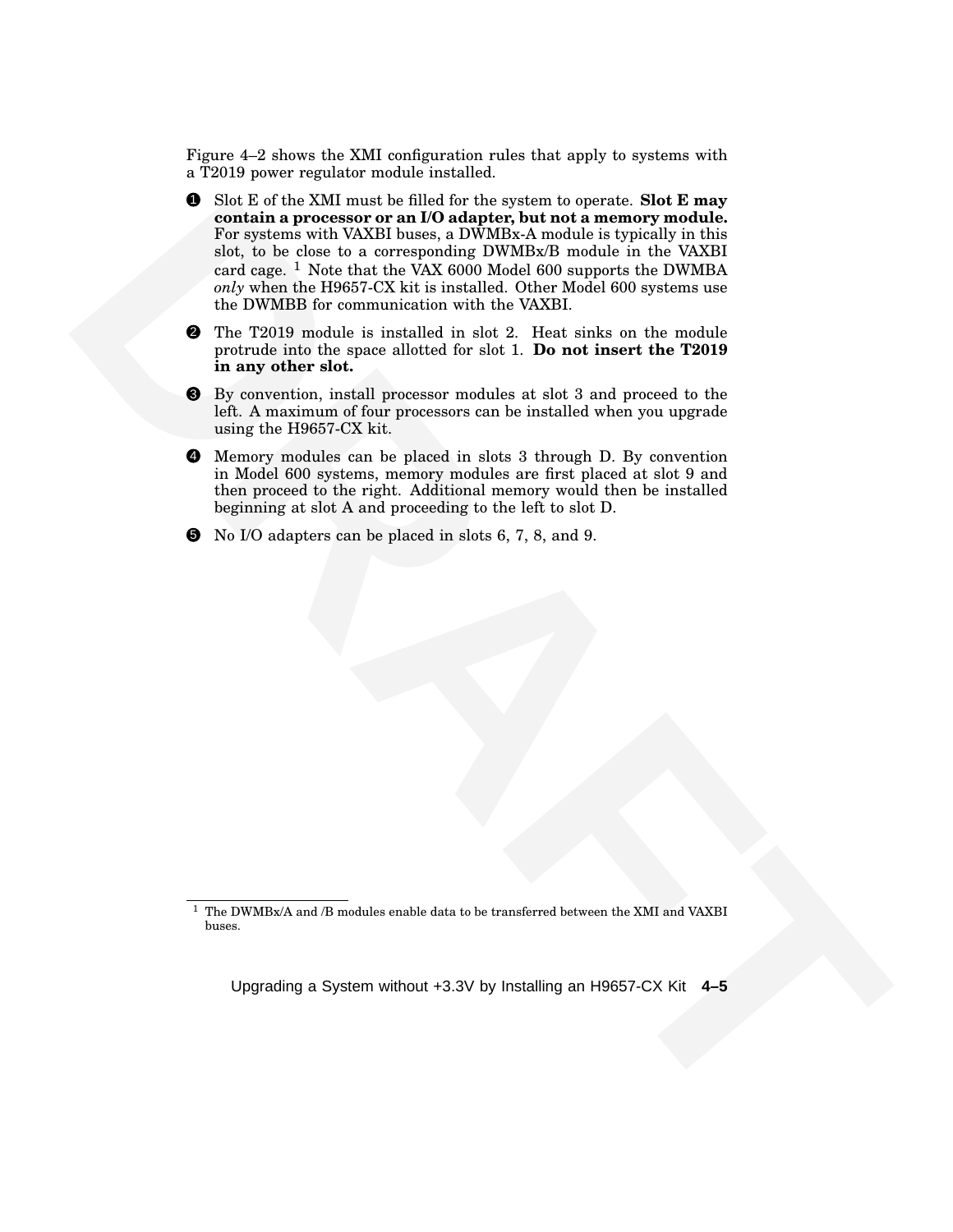Figure 4–2 shows the XMI configuration rules that apply to systems with a T2019 power regulator module installed.

- **S** Since of the XMI must be filled for the optical interpretis that E any other than the state of the observed in the UVMER state of the Consequence of the Consequence of the Consequence of the Consequence of the Consequ 1 Slot E of the XMI must be filled for the system to operate. **Slot E may contain a processor or an I/O adapter, but not a memory module.** For systems with VAXBI buses, a DWMBx-A module is typically in this slot, to be close to a corresponding DWMBx/B module in the VAXBI card cage.  $1$  Note that the VAX 6000 Model 600 supports the DWMBA *only* when the H9657-CX kit is installed. Other Model 600 systems use the DWMBB for communication with the VAXBI.
	- 2 The T2019 module is installed in slot 2. Heat sinks on the module protrude into the space allotted for slot 1. **Do not insert the T2019 in any other slot.**
	- 3 By convention, install processor modules at slot 3 and proceed to the left. A maximum of four processors can be installed when you upgrade using the H9657-CX kit.
	- 4 Memory modules can be placed in slots 3 through D. By convention in Model 600 systems, memory modules are first placed at slot 9 and then proceed to the right. Additional memory would then be installed beginning at slot A and proceeding to the left to slot D.
	- 5 No I/O adapters can be placed in slots 6, 7, 8, and 9.

Upgrading a System without +3.3V by Installing an H9657-CX Kit **4–5**

 $1$  The DWMBx/A and /B modules enable data to be transferred between the XMI and VAXBI buses.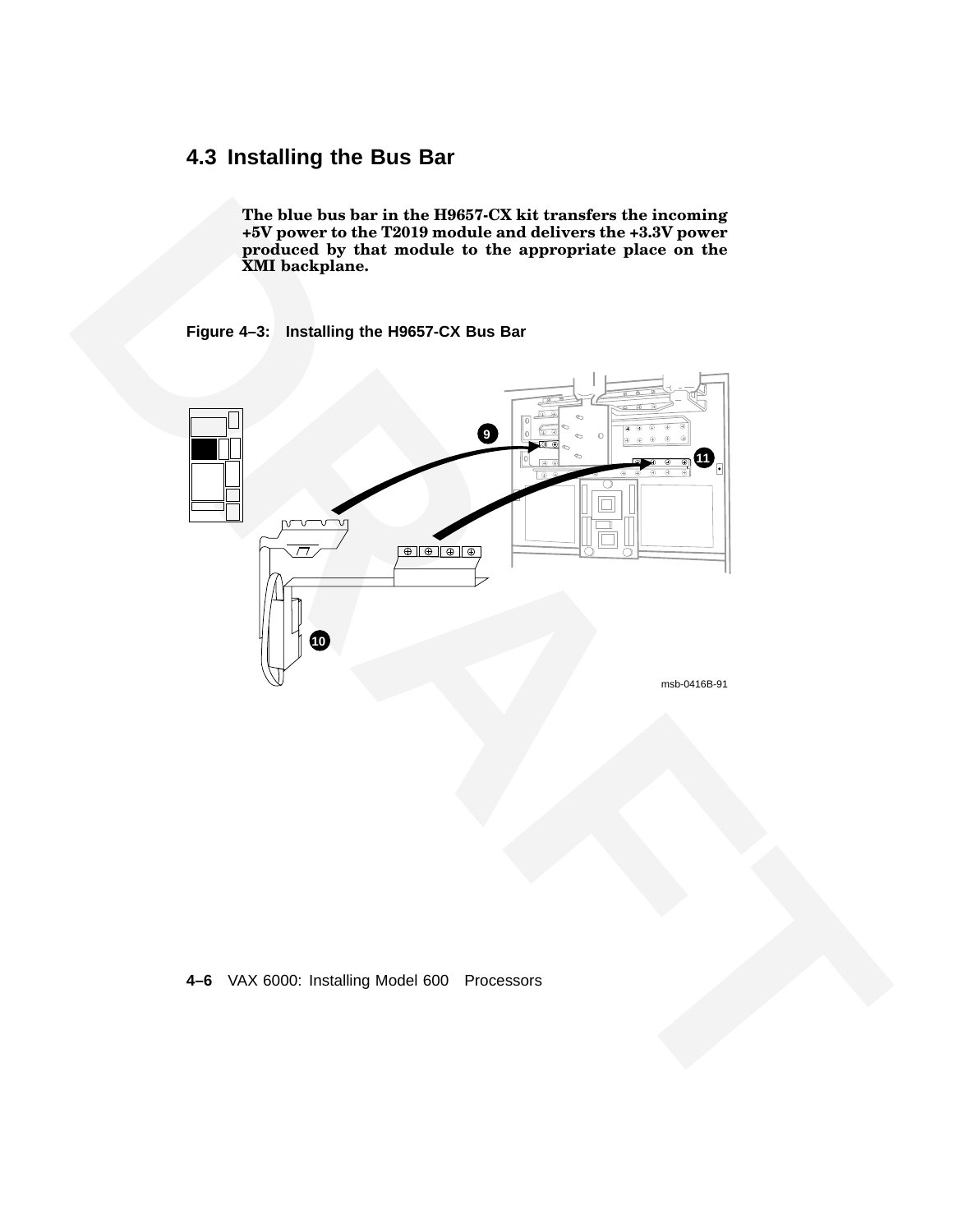# **4.3 Installing the Bus Bar**

**The blue bus bar in the H9657-CX kit transfers the incoming +5V power to the T2019 module and delivers the +3.3V power produced by that module to the appropriate place on the XMI backplane.**

#### **Figure 4–3: Installing the H9657-CX Bus Bar**



#### **4–6** VAX 6000: Installing Model 600 Processors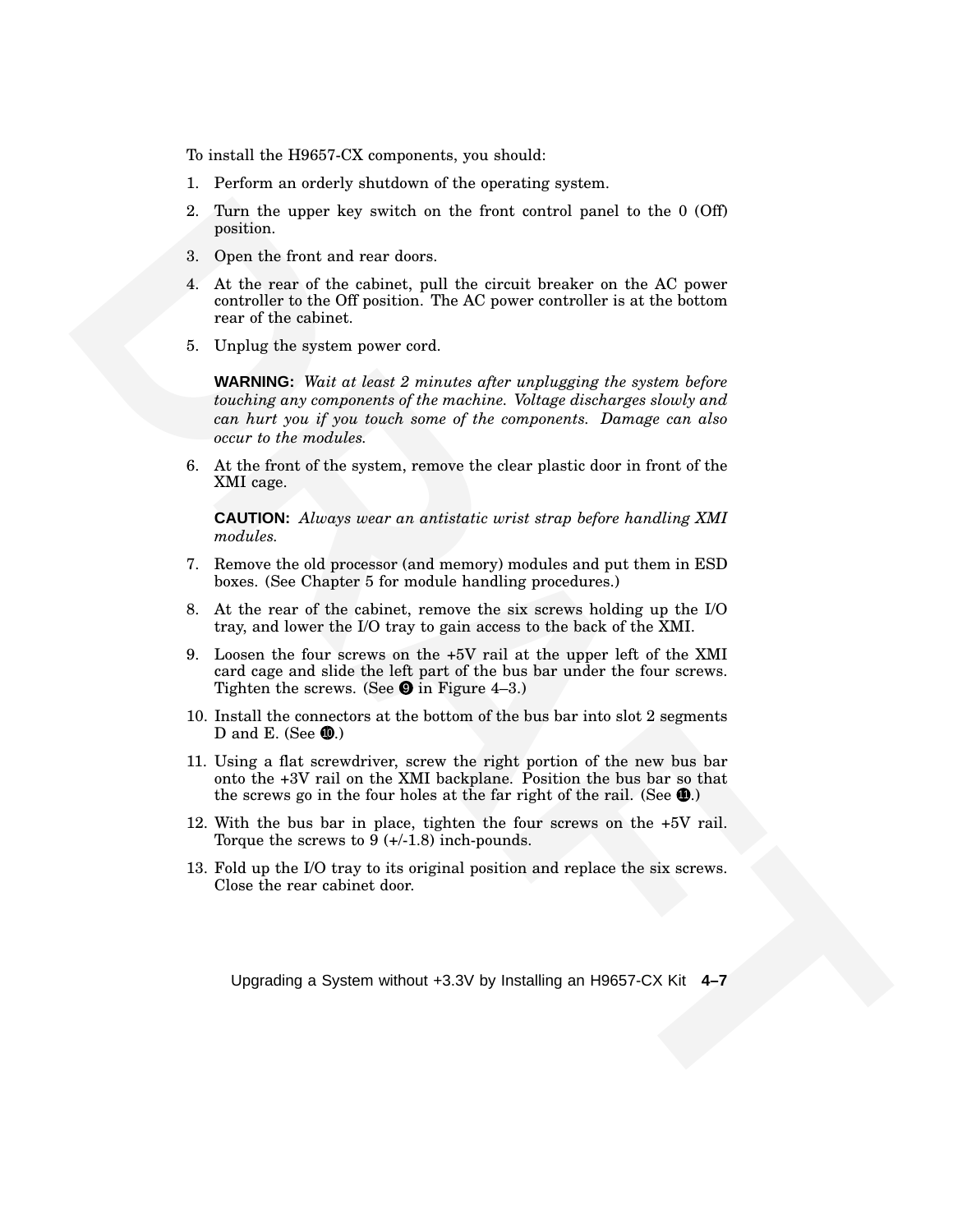To install the H9657-CX components, you should:

- 1. Perform an orderly shutdown of the operating system.
- 2. Turn the upper key switch on the front control panel to the 0 (Off) position.
- 3. Open the front and rear doors.
- 4. At the rear of the cabinet, pull the circuit breaker on the AC power controller to the Off position. The AC power controller is at the bottom rear of the cabinet.
- 5. Unplug the system power cord.

2. Turn the upper lacy workeds on the front entroid panel do the 0 (0ff)<br>
2. Eure the front and rear down.<br>
4. At the verse of the entries resp. H the element breaker on the AG power<br>
4. At the verse of the entries resp. **WARNING:** *Wait at least 2 minutes after unplugging the system before touching any components of the machine. Voltage discharges slowly and can hurt you if you touch some of the components. Damage can also occur to the modules.*

6. At the front of the system, remove the clear plastic door in front of the XMI cage.

**CAUTION:** *Always wear an antistatic wrist strap before handling XMI modules.*

- 7. Remove the old processor (and memory) modules and put them in ESD boxes. (See Chapter 5 for module handling procedures.)
- 8. At the rear of the cabinet, remove the six screws holding up the I/O tray, and lower the I/O tray to gain access to the back of the XMI.
- 9. Loosen the four screws on the +5V rail at the upper left of the XMI card cage and slide the left part of the bus bar under the four screws. Tighten the screws. (See  $\bullet$  in Figure 4–3.)
- 10. Install the connectors at the bottom of the bus bar into slot 2 segments D and E. (See  $\mathbf{\Phi}$ .)
- 11. Using a flat screwdriver, screw the right portion of the new bus bar onto the +3V rail on the XMI backplane. Position the bus bar so that the screws go in the four holes at the far right of the rail. (See  $\Phi$ .)
- 12. With the bus bar in place, tighten the four screws on the +5V rail. Torque the screws to 9 (+/-1.8) inch-pounds.
- 13. Fold up the I/O tray to its original position and replace the six screws. Close the rear cabinet door.

Upgrading a System without +3.3V by Installing an H9657-CX Kit **4–7**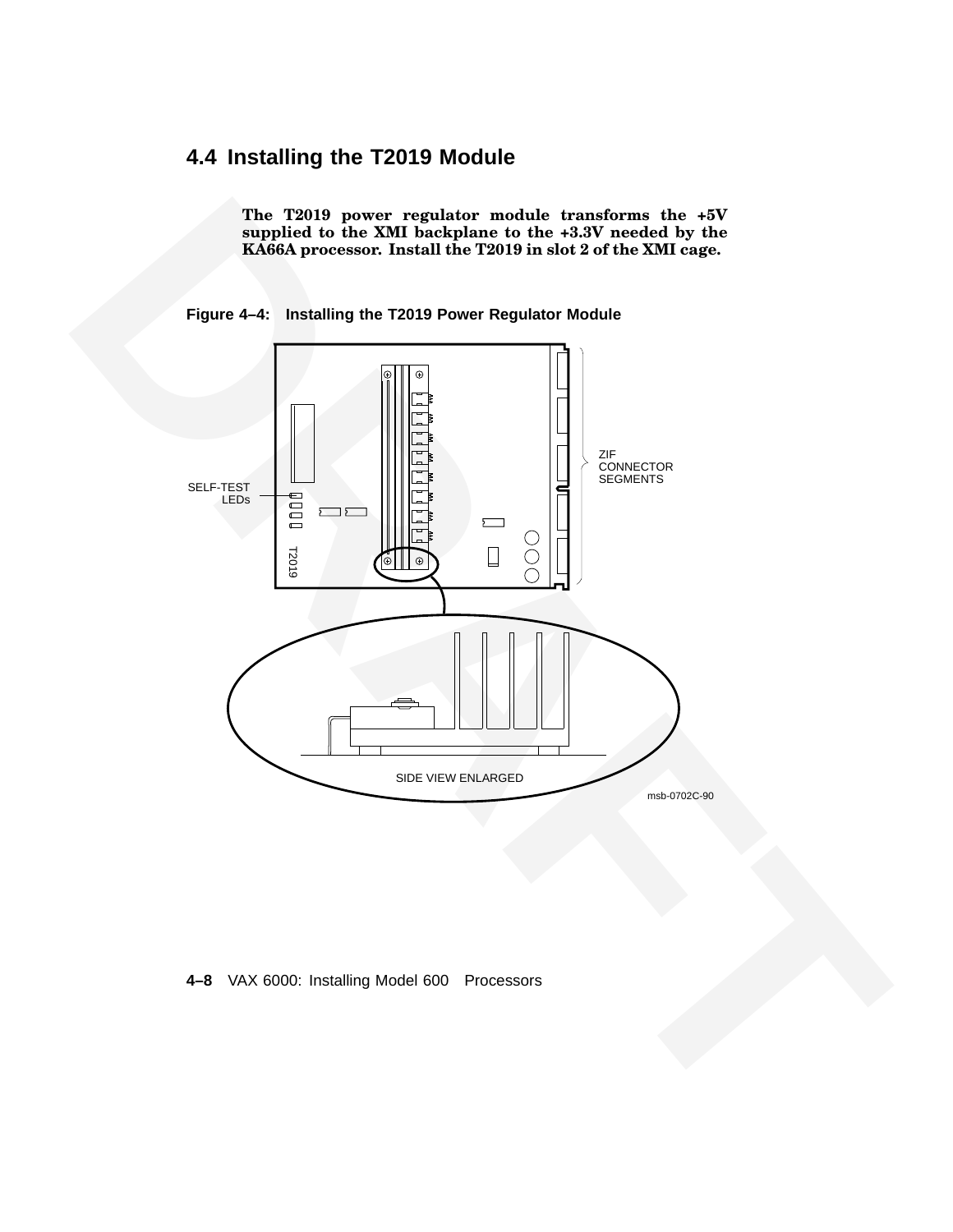# **4.4 Installing the T2019 Module**

**The T2019 power regulator module transforms the +5V supplied to the XMI backplane to the +3.3V needed by the KA66A processor. Install the T2019 in slot 2 of the XMI cage.**





**<sup>4–8</sup>** VAX 6000: Installing Model 600 Processors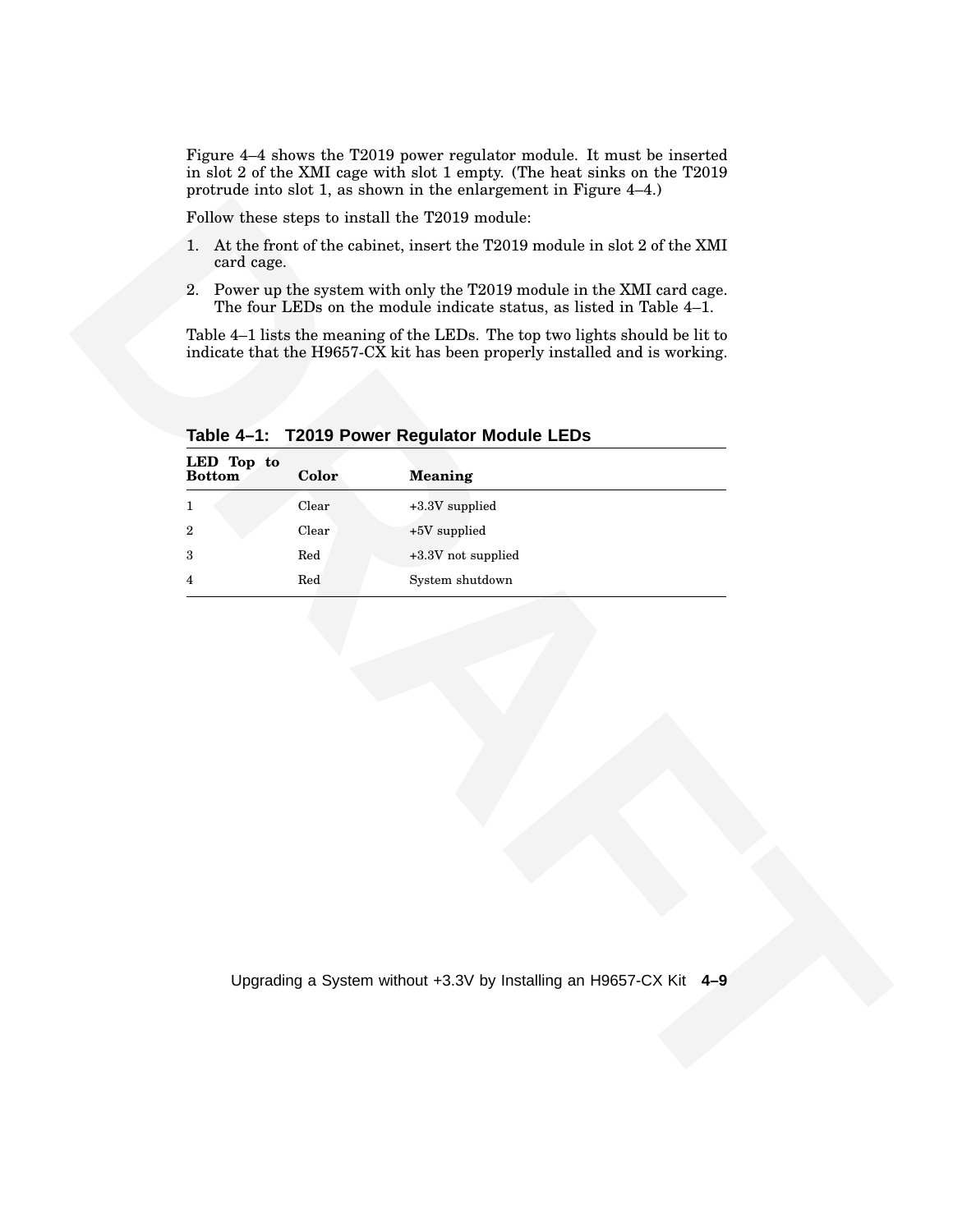Figure 4–4 shows the T2019 power regulator module. It must be inserted in slot 2 of the XMI cage with slot 1 empty. (The heat sinks on the T2019 protrude into slot 1, as shown in the enlargement in Figure 4–4.)

- 1. At the front of the cabinet, insert the T2019 module in slot 2 of the XMI card cage.
- 2. Power up the system with only the T2019 module in the XMI card cage. The four LEDs on the module indicate status, as listed in Table 4–1.

| Clear<br>$\boldsymbol{2}$<br>+5V supplied<br>Red<br>+3.3V not supplied<br>3<br>Red<br>System shutdown<br>$\overline{4}$ | LED Top to<br><b>Bottom</b><br>1 | Color<br>Clear | <b>Meaning</b><br>+3.3V supplied |
|-------------------------------------------------------------------------------------------------------------------------|----------------------------------|----------------|----------------------------------|
|                                                                                                                         |                                  |                |                                  |
|                                                                                                                         |                                  |                |                                  |
|                                                                                                                         |                                  |                |                                  |
|                                                                                                                         |                                  |                |                                  |

**Table 4–1: T2019 Power Regulator Module LEDs**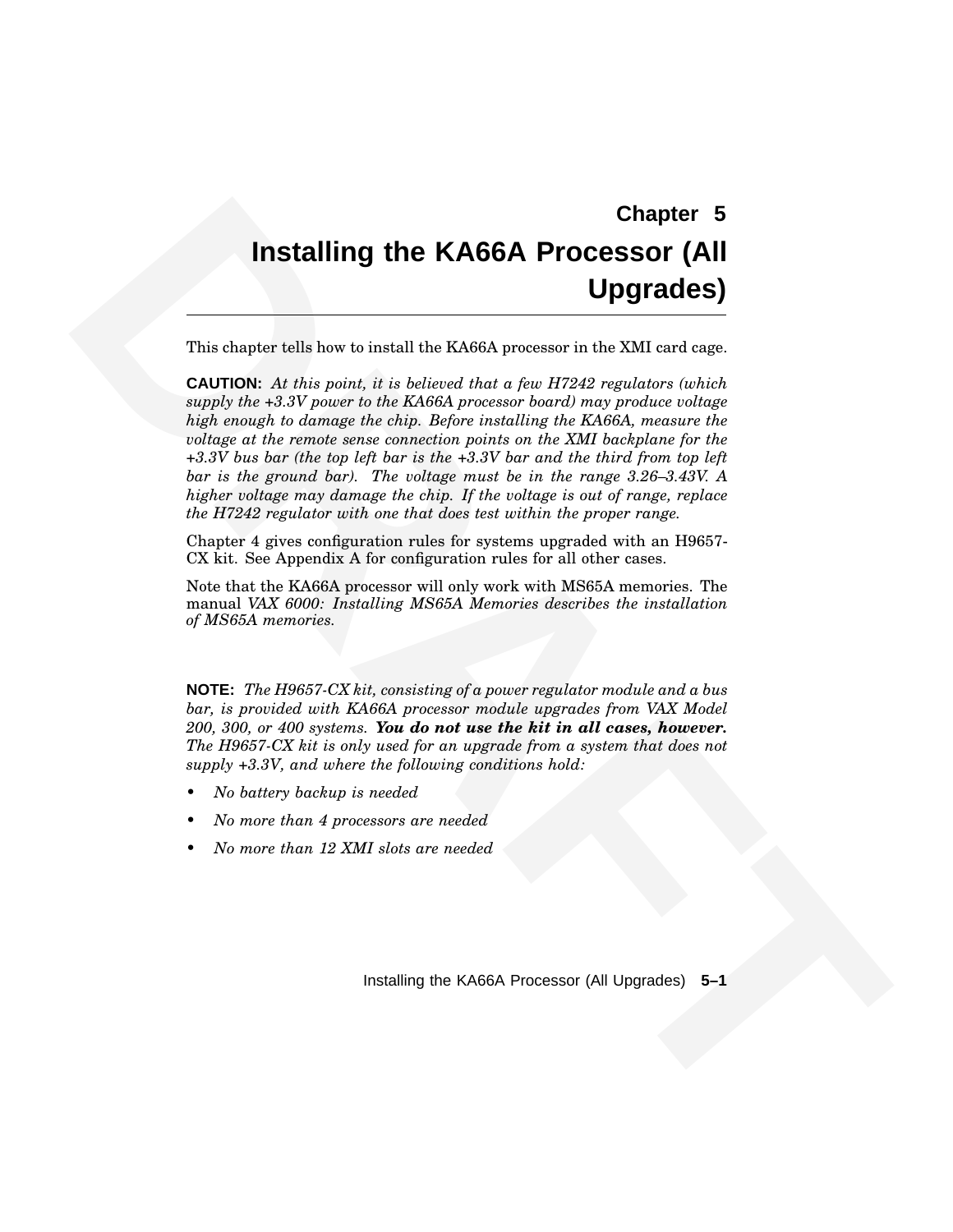# **Chapter 5 Installing the KA66A Processor (All Upgrades)**

This chapter tells how to install the KA66A processor in the XMI card cage.

**Chapter 5**<br> **Chapter 5**<br> **Chapter solutions** to useful the KA66A **Processor** in **Upgrades)**<br>
This chapter solutions to useful the KA66A processor in the XD12 reading contribute.<br>
controlle Al the point, if it is believed **CAUTION:** *At this point, it is believed that a few H7242 regulators (which supply the +3.3V power to the KA66A processor board) may produce voltage high enough to damage the chip. Before installing the KA66A, measure the voltage at the remote sense connection points on the XMI backplane for the +3.3V bus bar (the top left bar is the +3.3V bar and the third from top left bar is the ground bar). The voltage must be in the range 3.26–3.43V. A higher voltage may damage the chip. If the voltage is out of range, replace the H7242 regulator with one that does test within the proper range.*

Chapter 4 gives configuration rules for systems upgraded with an H9657- CX kit. See Appendix A for configuration rules for all other cases.

Note that the KA66A processor will only work with MS65A memories. The manual *VAX 6000: Installing MS65A Memories describes the installation of MS65A memories.*

**NOTE:** *The H9657-CX kit, consisting of a power regulator module and a bus bar, is provided with KA66A processor module upgrades from VAX Model 200, 300, or 400 systems. You do not use the kit in all cases, however. The H9657-CX kit is only used for an upgrade from a system that does not supply +3.3V, and where the following conditions hold:*

- *• No battery backup is needed*
- *• No more than 4 processors are needed*
- *• No more than 12 XMI slots are needed*

Installing the KA66A Processor (All Upgrades) **5–1**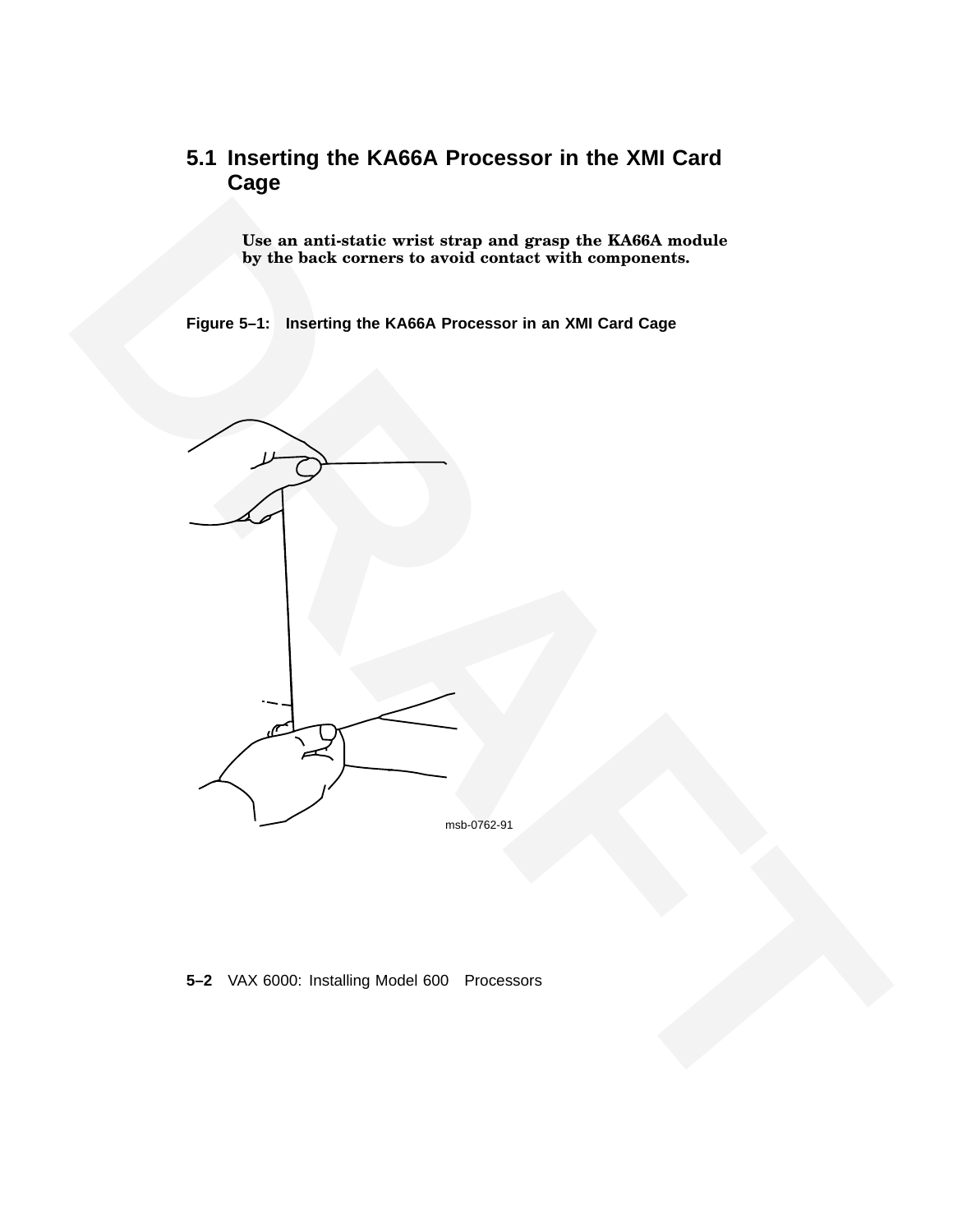# **5.1 Inserting the KA66A Processor in the XMI Card Cage**

**Use an anti-static wrist strap and grasp the KA66A module by the back corners to avoid contact with components.**

**Figure 5–1: Inserting the KA66A Processor in an XMI Card Cage**



**5–2** VAX 6000: Installing Model 600 Processors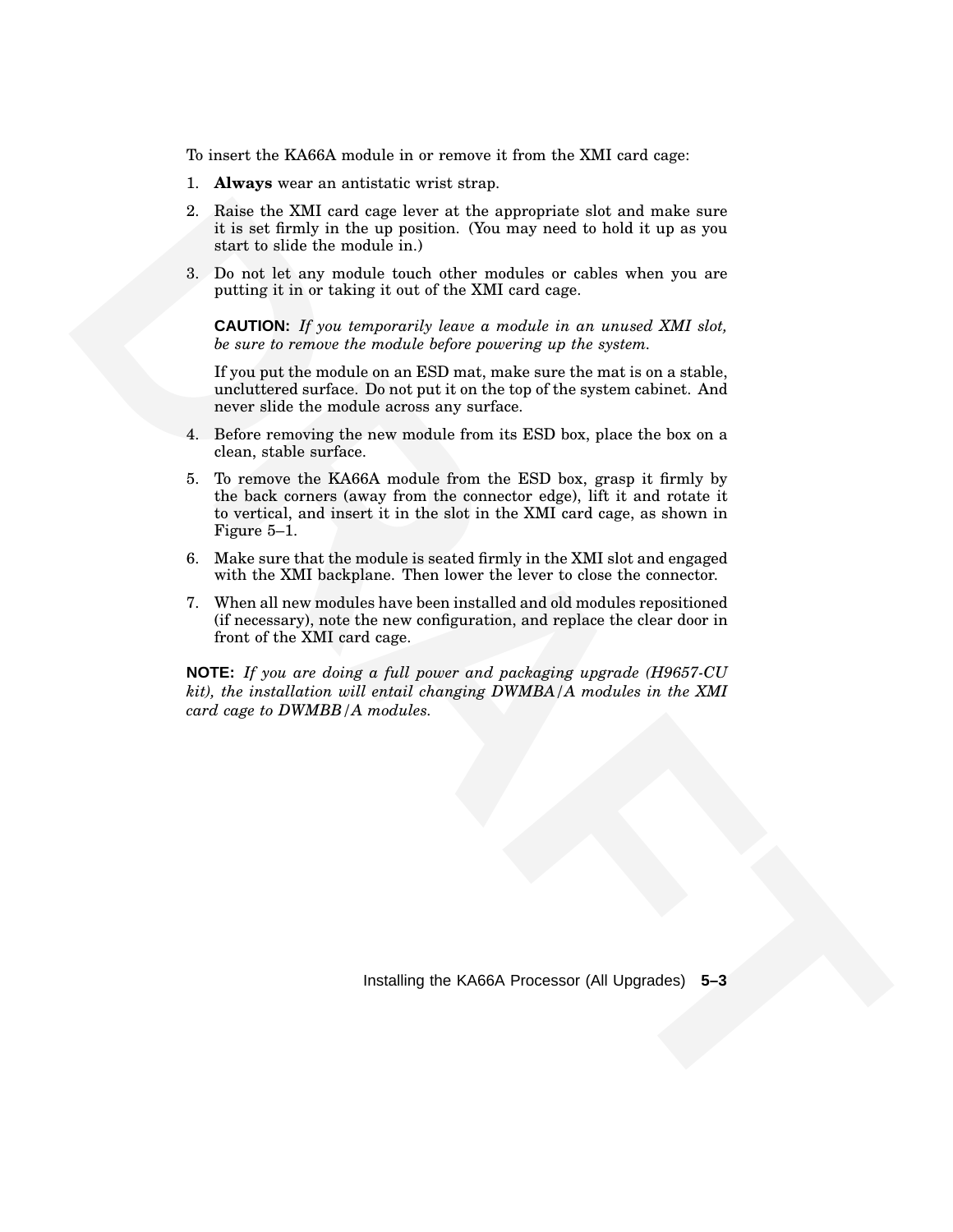To insert the KA66A module in or remove it from the XMI card cage:

- 1. **Always** wear an antistatic wrist strap.
- 2. Raise the XMI card cage lever at the appropriate slot and make sure it is set firmly in the up position. (You may need to hold it up as you start to slide the module in.)
- 3. Do not let any module touch other modules or cables when you are putting it in or taking it out of the XMI card cage.

**CAUTION:** *If you temporarily leave a module in an unused XMI slot, be sure to remove the module before powering up the system.*

If you put the module on an ESD mat, make sure the mat is on a stable, uncluttered surface. Do not put it on the top of the system cabinet. And never slide the module across any surface.

- 4. Before removing the new module from its ESD box, place the box on a clean, stable surface.
- **2.** Raise the KMI cand cape lower to the appropriate that and make one of the subset of the different based for the simulation of the matrix of the based of the simulation of the simulation of the simulation of the simul 5. To remove the KA66A module from the ESD box, grasp it firmly by the back corners (away from the connector edge), lift it and rotate it to vertical, and insert it in the slot in the XMI card cage, as shown in Figure 5–1.
	- 6. Make sure that the module is seated firmly in the XMI slot and engaged with the XMI backplane. Then lower the lever to close the connector.
	- 7. When all new modules have been installed and old modules repositioned (if necessary), note the new configuration, and replace the clear door in front of the XMI card cage.

**NOTE:** *If you are doing a full power and packaging upgrade (H9657-CU kit), the installation will entail changing DWMBA/A modules in the XMI card cage to DWMBB/A modules.*

Installing the KA66A Processor (All Upgrades) **5–3**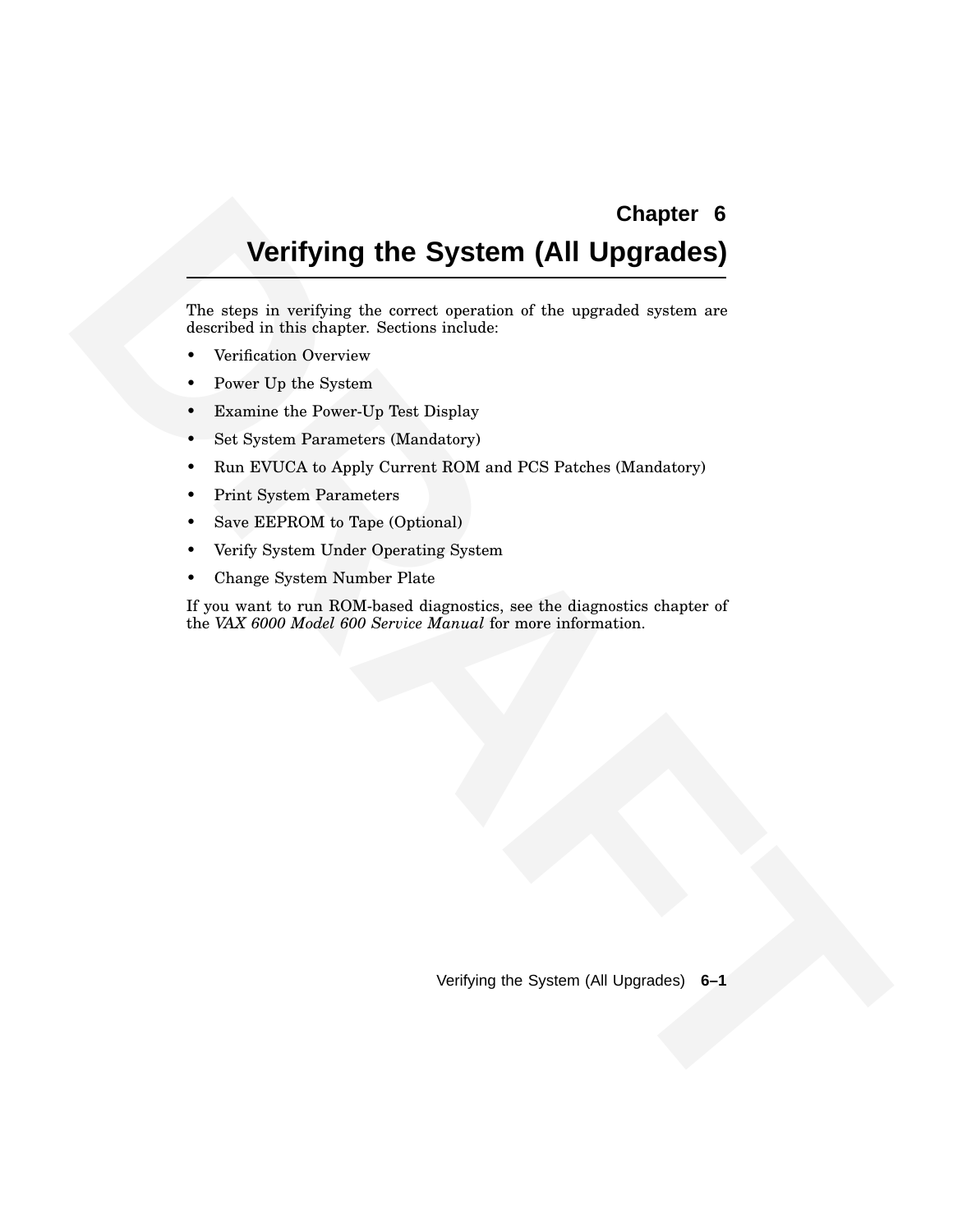# **Chapter 6**

# **Verifying the System (All Upgrades)**

The steps in verifying the correct operation of the upgraded system are described in this chapter. Sections include:

- Verification Overview
- Power Up the System
- Examine the Power-Up Test Display
- Set System Parameters (Mandatory)
- Run EVUCA to Apply Current ROM and PCS Patches (Mandatory)
- Print System Parameters
- Save EEPROM to Tape (Optional)
- Verify System Under Operating System
- Change System Number Plate

**Chapter 6**<br>
The storic in weighing the exceed operation of the weighted system are<br>
the correct parameters and the street operation of the weighted system are<br>
the windication Develop These Distribution<br> **Form Up These Di** If you want to run ROM-based diagnostics, see the diagnostics chapter of the *VAX 6000 Model 600 Service Manual* for more information.

Verifying the System (All Upgrades) **6–1**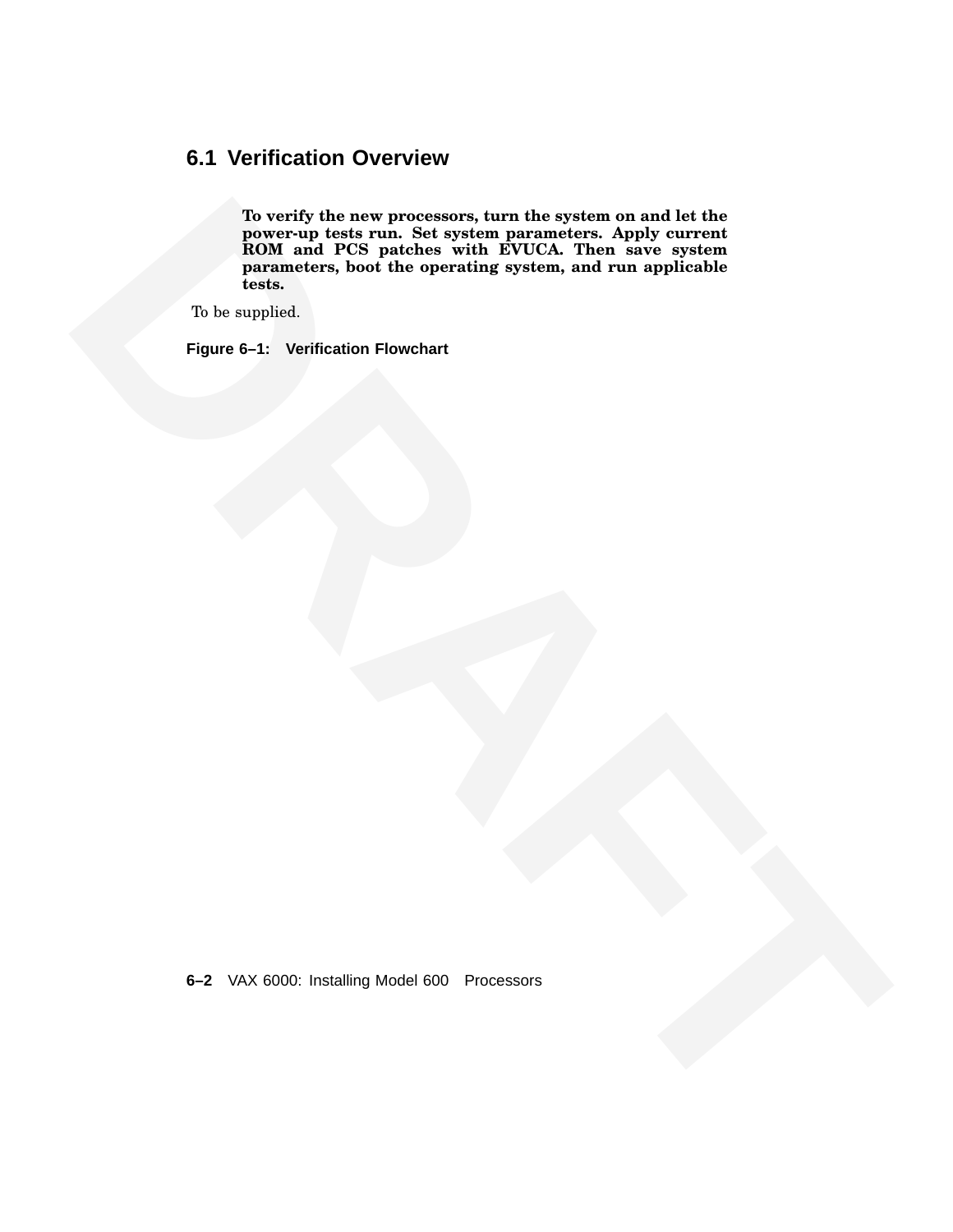# **6.1 Verification Overview**

The verty lictima Set system parameters, Apply current<br>
HOM mad PCS patieles with EVCA. Then save eyetem<br>
HOM mad PCS patieles with EVCA. Then save eyetem<br>
DRAFT DRAFT and the operating system, and run applicable<br>
This any **To verify the new processors, turn the system on and let the power-up tests run. Set system parameters. Apply current ROM and PCS patches with EVUCA. Then save system parameters, boot the operating system, and run applicable tests.**

To be supplied.

**Figure 6–1: Verification Flowchart**

**6–2** VAX 6000: Installing Model 600 Processors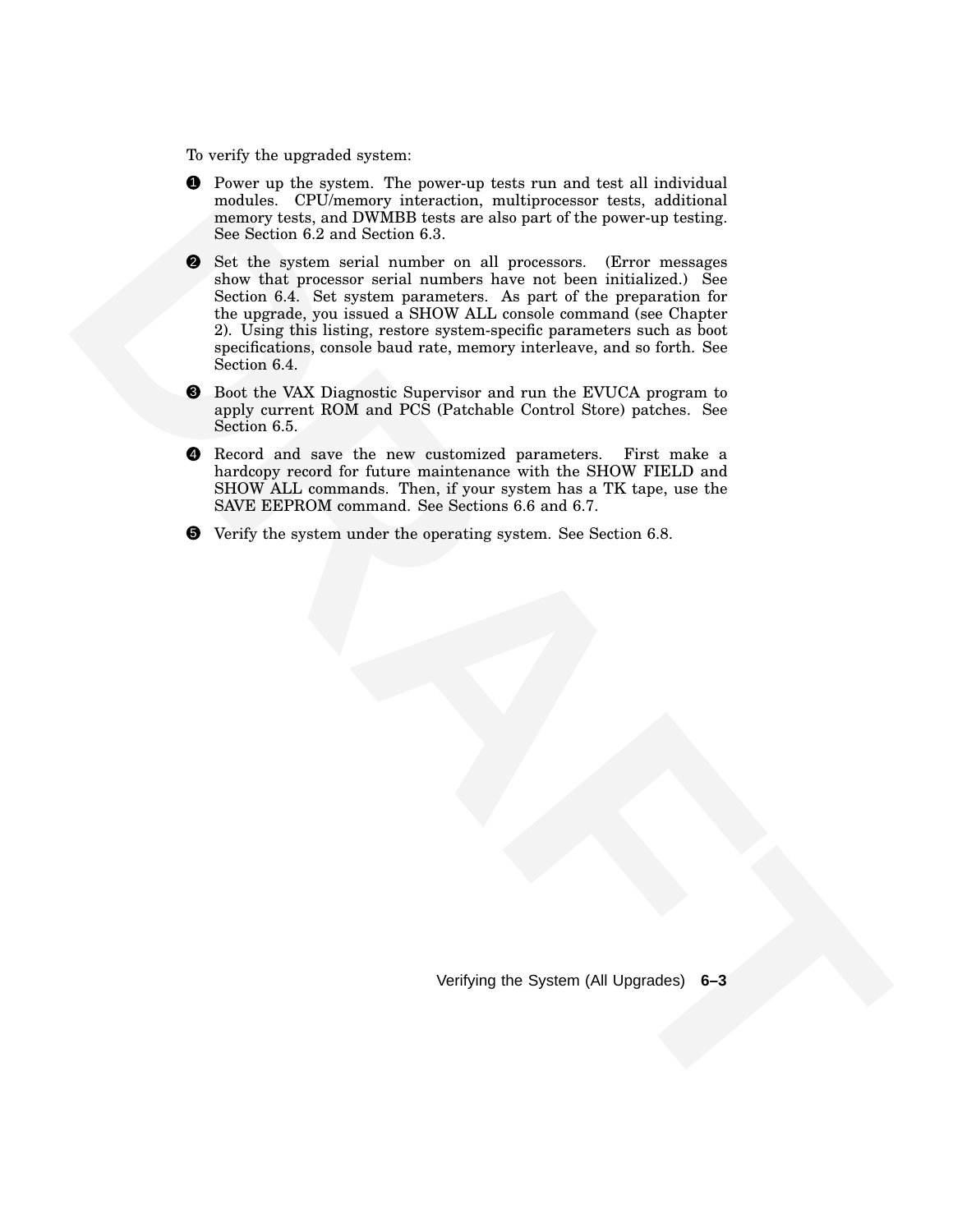To verify the upgraded system:

- **1** Power up the system. The power-up tests run and test all individual modules. CPU/memory interaction, multiprocessor tests, additional memory tests, and DWMBB tests are also part of the power-up testing. See Section 6.2 and Section 6.3.
- **modules.** (Ultimation Training international multiplexes test in this control test of the species of the species of the species of the species of the species of the species of the species of the species of the species of 2 Set the system serial number on all processors. (Error messages show that processor serial numbers have not been initialized.) See Section 6.4. Set system parameters. As part of the preparation for the upgrade, you issued a SHOW ALL console command (see Chapter 2). Using this listing, restore system-specific parameters such as boot specifications, console baud rate, memory interleave, and so forth. See Section 6.4.
	- 3 Boot the VAX Diagnostic Supervisor and run the EVUCA program to apply current ROM and PCS (Patchable Control Store) patches. See Section 6.5.
	- 4 Record and save the new customized parameters. First make a hardcopy record for future maintenance with the SHOW FIELD and SHOW ALL commands. Then, if your system has a TK tape, use the SAVE EEPROM command. See Sections 6.6 and 6.7.
	- 5 Verify the system under the operating system. See Section 6.8.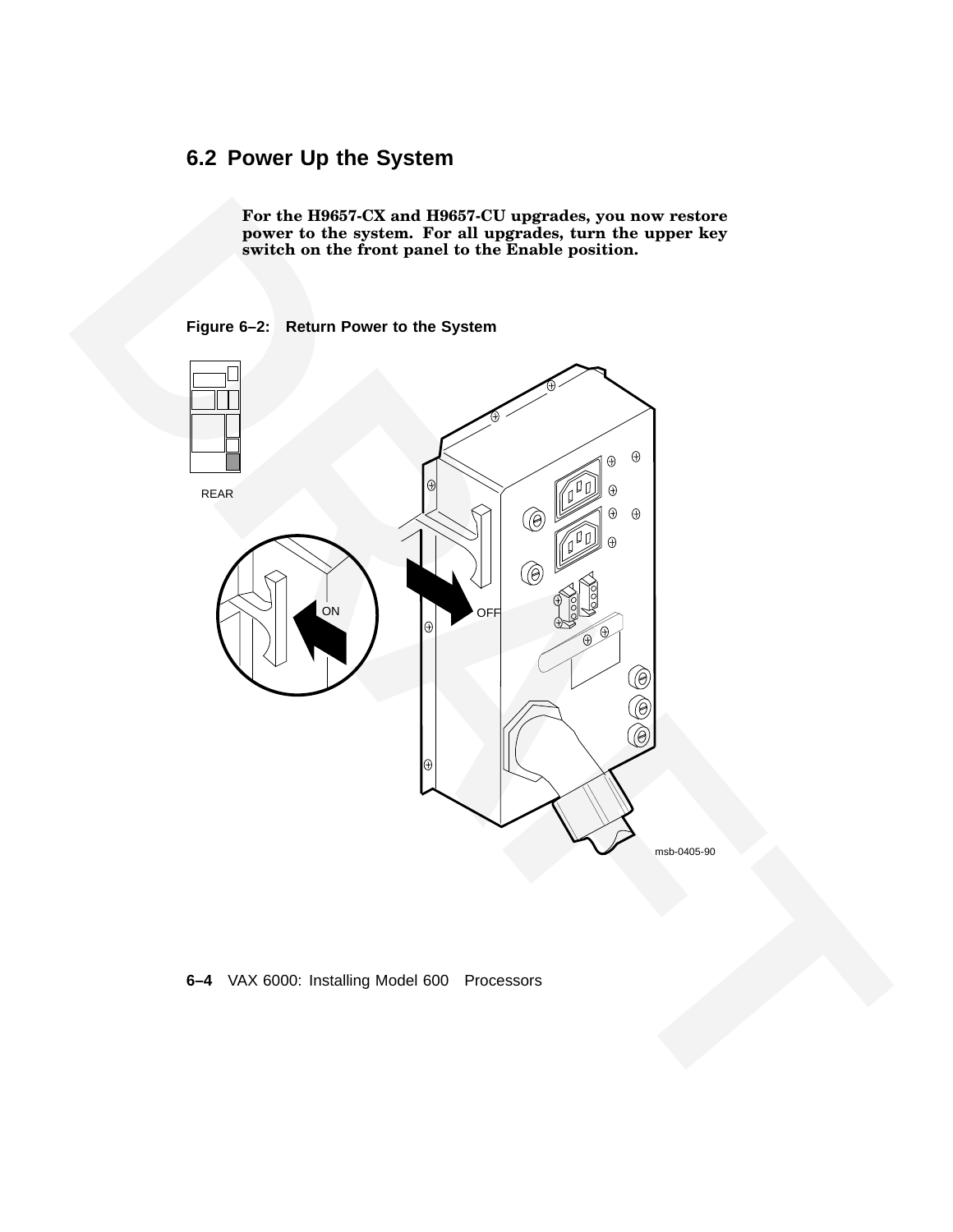# **6.2 Power Up the System**

**For the H9657-CX and H9657-CU upgrades, you now restore power to the system. For all upgrades, turn the upper key switch on the front panel to the Enable position.**

#### **Figure 6–2: Return Power to the System**



#### **6–4** VAX 6000: Installing Model 600 Processors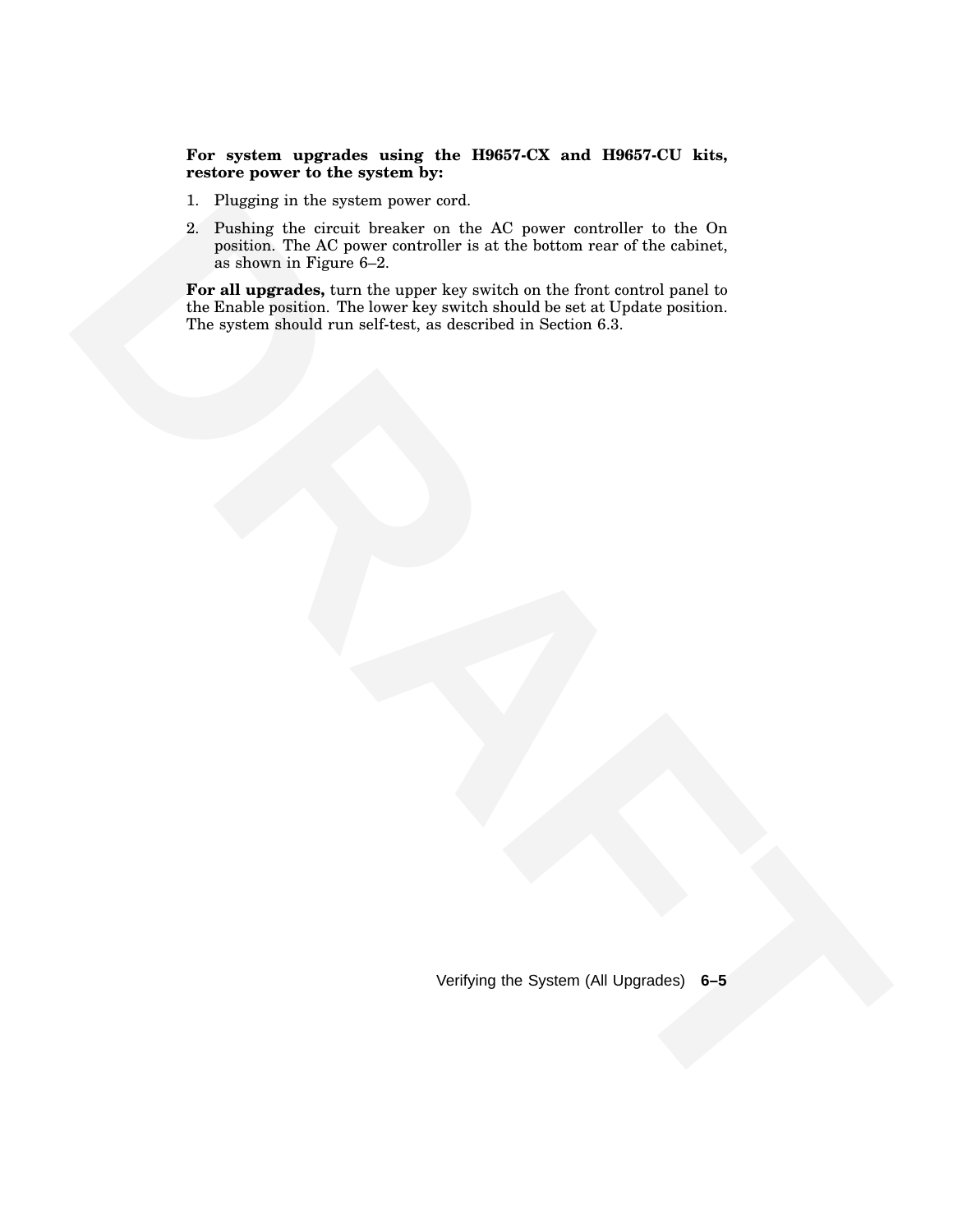**For system upgrades using the H9657-CX and H9657-CU kits, restore power to the system by:**

- 1. Plugging in the system power cord.
- 2. Pushing the circuit breaker on the AC power controller to the On position. The AC power controller is at the bottom rear of the cabinet, as shown in Figure 6–2.

**1. Phosphage the detective house over the AC power controller to the One of the Schultz properties and the AC power controller is at the broken controller in the AC power controller in the AC power controller in the AC po For all upgrades,** turn the upper key switch on the front control panel to the Enable position. The lower key switch should be set at Update position. The system should run self-test, as described in Section 6.3.

Verifying the System (All Upgrades) **6–5**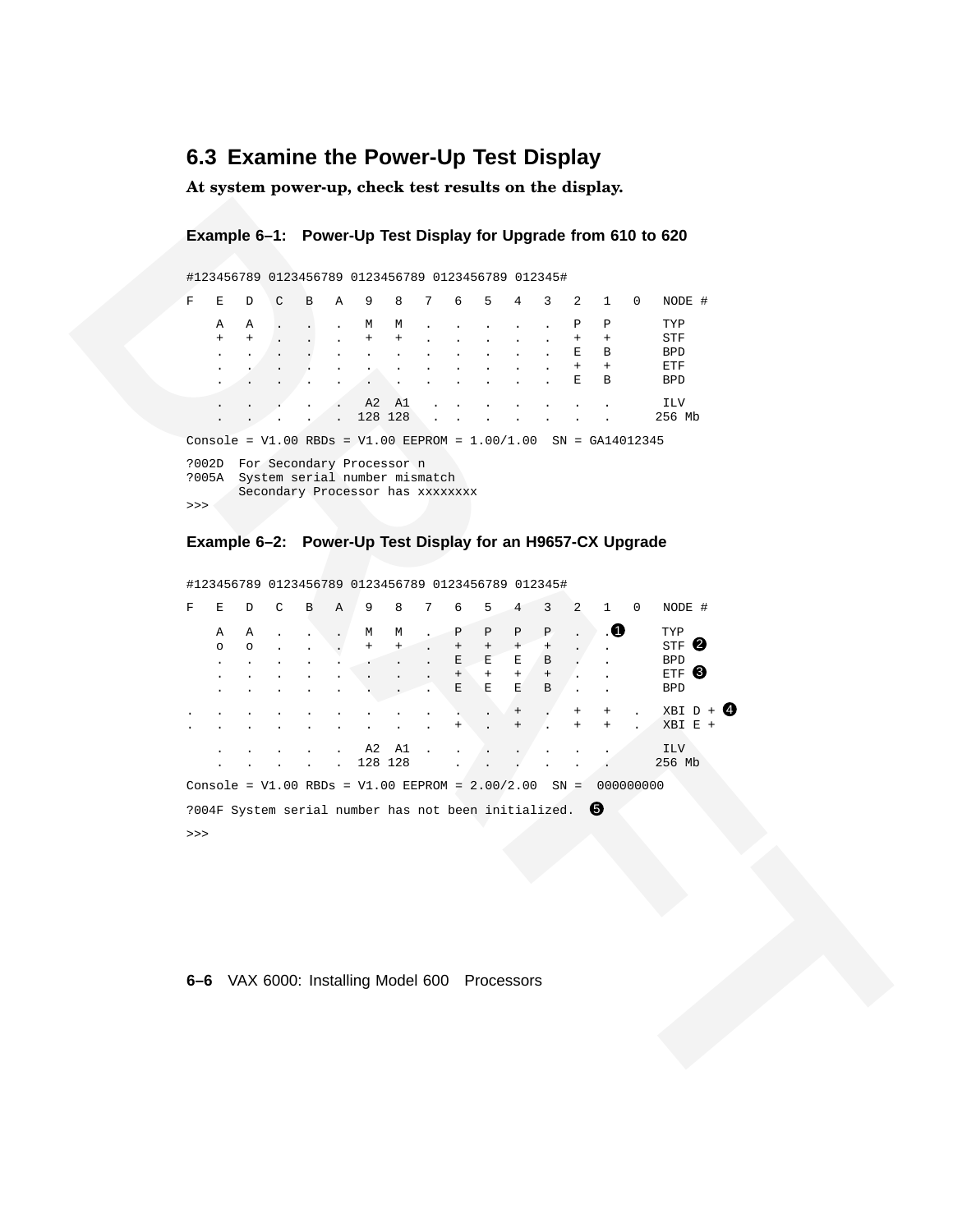# **6.3 Examine the Power-Up Test Display**

**At system power-up, check test results on the display.**

#### **Example 6–1: Power-Up Test Display for Upgrade from 610 to 620**

|       |     |              |   |   |   |                                  |           |                 |   | #123456789 0123456789 0123456789 0123456789 012345#                   |                |                |     |              |          |            |  |
|-------|-----|--------------|---|---|---|----------------------------------|-----------|-----------------|---|-----------------------------------------------------------------------|----------------|----------------|-----|--------------|----------|------------|--|
| F     | F.  | <sup>D</sup> | ⊂ | B | A | 9                                | 8         | $7\overline{ }$ | 6 | 5                                                                     | $\overline{4}$ | $\overline{3}$ | 2   | $\mathbf{1}$ | $\Omega$ | NODE #     |  |
|       | A   | A            |   |   |   | М                                | М         |                 |   |                                                                       |                |                | P   | Ρ            |          | TYP        |  |
|       | $+$ | $+$          |   |   |   | $\ddot{}$                        | $\ddot{}$ |                 |   |                                                                       |                |                | $+$ | $+$          |          | STF        |  |
|       |     |              |   |   |   |                                  |           |                 |   |                                                                       |                |                | Ε   | В            |          | <b>BPD</b> |  |
|       |     |              |   |   |   |                                  |           |                 |   |                                                                       |                |                | $+$ | $+$          |          | ETF        |  |
|       |     |              |   |   |   |                                  |           |                 |   |                                                                       |                |                | Ε   | В            |          | <b>BPD</b> |  |
|       |     |              |   |   |   | A2                               | - A1      |                 |   |                                                                       |                |                |     |              |          | <b>ILV</b> |  |
|       |     |              |   |   |   | 128 128                          |           |                 |   |                                                                       |                |                |     |              |          | 256 Mb     |  |
|       |     |              |   |   |   |                                  |           |                 |   | Console = $V1.00$ RBDs = $V1.00$ EEPROM = $1.00/1.00$ SN = GA14012345 |                |                |     |              |          |            |  |
| ?002D |     |              |   |   |   | For Secondary Processor n        |           |                 |   |                                                                       |                |                |     |              |          |            |  |
| ?005A |     |              |   |   |   | System serial number mismatch    |           |                 |   |                                                                       |                |                |     |              |          |            |  |
|       |     |              |   |   |   | Secondary Processor has xxxxxxxx |           |                 |   |                                                                       |                |                |     |              |          |            |  |
| >>    |     |              |   |   |   |                                  |           |                 |   |                                                                       |                |                |     |              |          |            |  |

#### **Example 6–2: Power-Up Test Display for an H9657-CX Upgrade**

| F     | Е              | D            | #123456789 0123456789 0123456789 0123456789 012345#<br>C                                             | В | Α | 9              | 8              | 7 | 6                      | 5           | 4                               | 3           | 2              | $\mathbf{1}$              | $\mathbf 0$ | NODE #                          |  |
|-------|----------------|--------------|------------------------------------------------------------------------------------------------------|---|---|----------------|----------------|---|------------------------|-------------|---------------------------------|-------------|----------------|---------------------------|-------------|---------------------------------|--|
|       | Α<br>$\ddot{}$ | Α            |                                                                                                      |   |   | М              | М<br>$\ddot{}$ |   |                        |             |                                 |             | Ρ              | $\, {\bf p}$<br>$^+$      |             | TYP<br>STF                      |  |
|       |                |              |                                                                                                      |   |   |                |                |   |                        |             |                                 |             | Е<br>Ε         | В<br>$\! + \!\!\!\!$<br>В |             | <b>BPD</b><br>ETF<br><b>BPD</b> |  |
|       |                |              |                                                                                                      |   |   | A2<br>128 128  | A1             |   |                        |             |                                 |             |                |                           |             | ILV<br>256 Mb                   |  |
|       |                |              | Console = $V1.00$ RBDs = $V1.00$ EEPROM = $1.00/1.00$ SN = GA14012345                                |   |   |                |                |   |                        |             |                                 |             |                |                           |             |                                 |  |
|       | ?005A          |              | ?002D For Secondary Processor n<br>System serial number mismatch<br>Secondary Processor has xxxxxxxx |   |   |                |                |   |                        |             |                                 |             |                |                           |             |                                 |  |
| $>>>$ |                |              |                                                                                                      |   |   |                |                |   |                        |             |                                 |             |                |                           |             |                                 |  |
|       |                |              | Example 6-2: Power-Up Test Display for an H9657-CX Upgrade                                           |   |   |                |                |   |                        |             |                                 |             |                |                           |             |                                 |  |
|       |                |              | #123456789 0123456789 0123456789 0123456789 012345#                                                  |   |   |                |                |   |                        |             |                                 |             |                |                           |             |                                 |  |
| F     | Е              | D            | C                                                                                                    | В | Α | 9              | 8              |   |                        | 5           | 4                               | 3           | $\overline{a}$ | $\mathbf{1}$              | $\mathbf 0$ | NODE #                          |  |
|       | Α<br>$\circ$   | Α<br>$\circ$ |                                                                                                      |   |   | М<br>$\ddot{}$ | М<br>$\ddot{}$ |   | Ρ<br>$\qquad \qquad +$ | Ρ<br>$^+$   | $\, {\bf P}$<br>$^{\mathrm{+}}$ | Ρ<br>$\, +$ |                | $\bullet$                 |             | TYP<br>STF <sup>Q</sup>         |  |
|       |                |              |                                                                                                      |   |   |                |                |   | Ε<br>$^{+}$            | Ε<br>$^{+}$ | E<br>$+$                        | В<br>$\, +$ |                |                           |             | <b>BPD</b><br>ETF <sup>8</sup>  |  |
|       |                |              |                                                                                                      |   |   |                |                |   | Ε                      | Е           | Ε                               | В           |                |                           |             | <b>BPD</b>                      |  |
|       |                |              |                                                                                                      |   |   |                |                |   |                        |             |                                 |             |                |                           |             | $XBI D + 0$<br>$XBI$ $E$ +      |  |
|       |                |              |                                                                                                      |   |   | A2<br>128 128  | A1             |   |                        |             |                                 |             |                |                           |             | ILV<br>256 Mb                   |  |
|       |                |              | Console = $V1.00$ RBDs = $V1.00$ EEPROM = $2.00/2.00$ SN = 000000000                                 |   |   |                |                |   |                        |             |                                 |             |                |                           |             |                                 |  |
|       |                |              | ?004F System serial number has not been initialized. $\bullet$                                       |   |   |                |                |   |                        |             |                                 |             |                |                           |             |                                 |  |
| $>>>$ |                |              |                                                                                                      |   |   |                |                |   |                        |             |                                 |             |                |                           |             |                                 |  |
|       |                |              |                                                                                                      |   |   |                |                |   |                        |             |                                 |             |                |                           |             |                                 |  |
|       |                |              |                                                                                                      |   |   |                |                |   |                        |             |                                 |             |                |                           |             |                                 |  |
|       |                |              |                                                                                                      |   |   |                |                |   |                        |             |                                 |             |                |                           |             |                                 |  |
|       |                |              |                                                                                                      |   |   |                |                |   |                        |             |                                 |             |                |                           |             |                                 |  |
|       |                |              | 6-6 VAX 6000: Installing Model 600 Processors                                                        |   |   |                |                |   |                        |             |                                 |             |                |                           |             |                                 |  |
|       |                |              |                                                                                                      |   |   |                |                |   |                        |             |                                 |             |                |                           |             |                                 |  |
|       |                |              |                                                                                                      |   |   |                |                |   |                        |             |                                 |             |                |                           |             |                                 |  |
|       |                |              |                                                                                                      |   |   |                |                |   |                        |             |                                 |             |                |                           |             |                                 |  |
|       |                |              |                                                                                                      |   |   |                |                |   |                        |             |                                 |             |                |                           |             |                                 |  |

#### **6–6** VAX 6000: Installing Model 600 Processors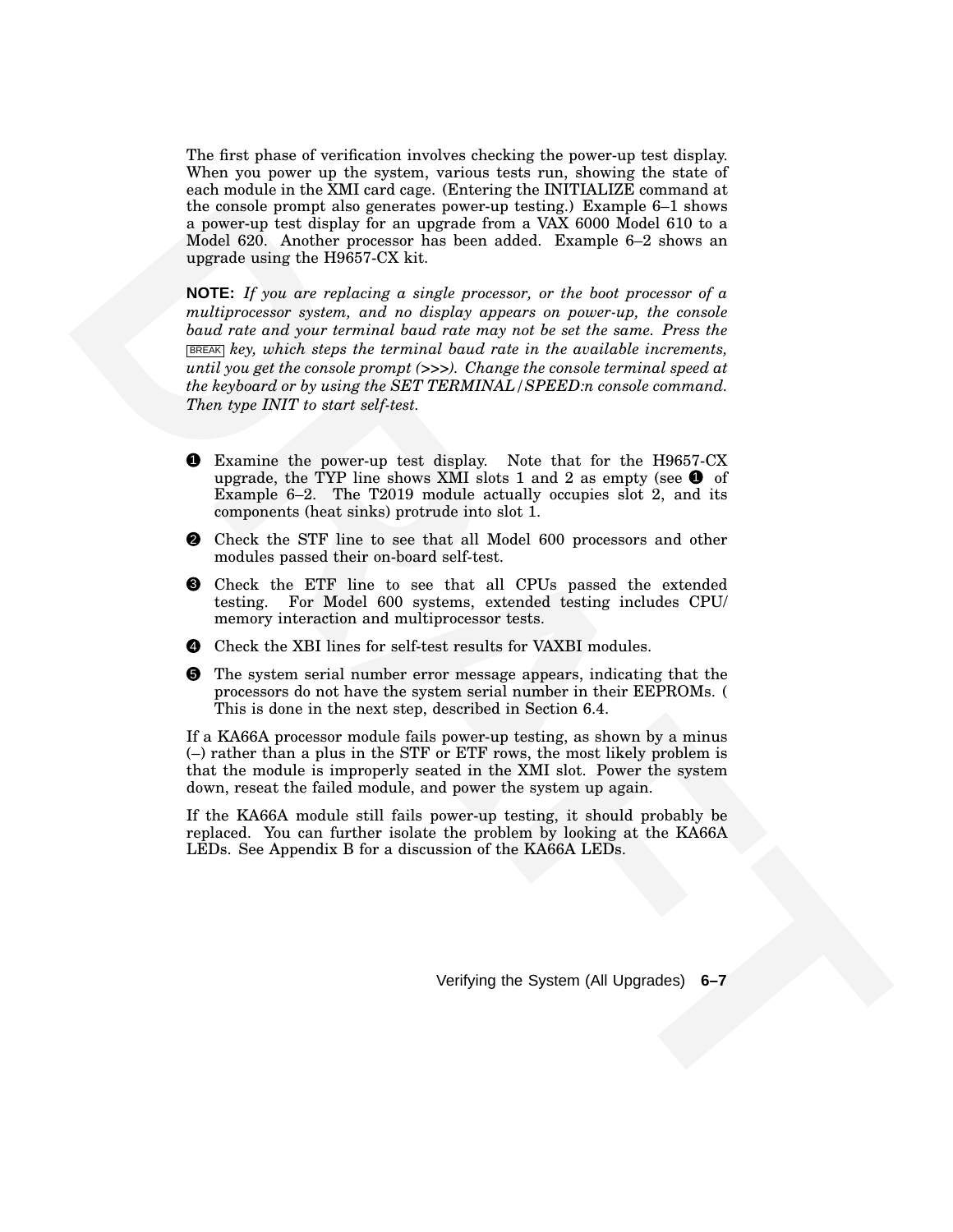The first phase of verification involves checking the power-up test display. When you power up the system, various tests run, showing the state of each module in the XMI card cage. (Entering the INITIALIZE command at the console prompt also generates power-up testing.) Example 6–1 shows a power-up test display for an upgrade from a VAX 6000 Model 610 to a Model 620. Another processor has been added. Example 6–2 shows an upgrade using the H9657-CX kit.

The control of the presentation for the state of the control of the state in the control of the state of the state in the state is the state of the state of the state in the state is the state of the state in the state in **NOTE:** *If you are replacing a single processor, or the boot processor of a multiprocessor system, and no display appears on power-up, the console baud rate and your terminal baud rate may not be set the same. Press the* BREAK *key, which steps the terminal baud rate in the available increments, until you get the console prompt (>>>). Change the console terminal speed at the keyboard or by using the SET TERMINAL/SPEED:n console command. Then type INIT to start self-test.*

- 1 Examine the power-up test display. Note that for the H9657-CX upgrade, the TYP line shows XMI slots 1 and 2 as empty (see  $\bullet$  of Example 6–2. The T2019 module actually occupies slot 2, and its components (heat sinks) protrude into slot 1.
- 2 Check the STF line to see that all Model 600 processors and other modules passed their on-board self-test.
- 3 Check the ETF line to see that all CPUs passed the extended testing. For Model 600 systems, extended testing includes CPU/ memory interaction and multiprocessor tests.
- 4 Check the XBI lines for self-test results for VAXBI modules.
- 5 The system serial number error message appears, indicating that the processors do not have the system serial number in their EEPROMs. ( This is done in the next step, described in Section 6.4.

If a KA66A processor module fails power-up testing, as shown by a minus (–) rather than a plus in the STF or ETF rows, the most likely problem is that the module is improperly seated in the XMI slot. Power the system down, reseat the failed module, and power the system up again.

If the KA66A module still fails power-up testing, it should probably be replaced. You can further isolate the problem by looking at the KA66A LEDs. See Appendix B for a discussion of the KA66A LEDs.

Verifying the System (All Upgrades) **6–7**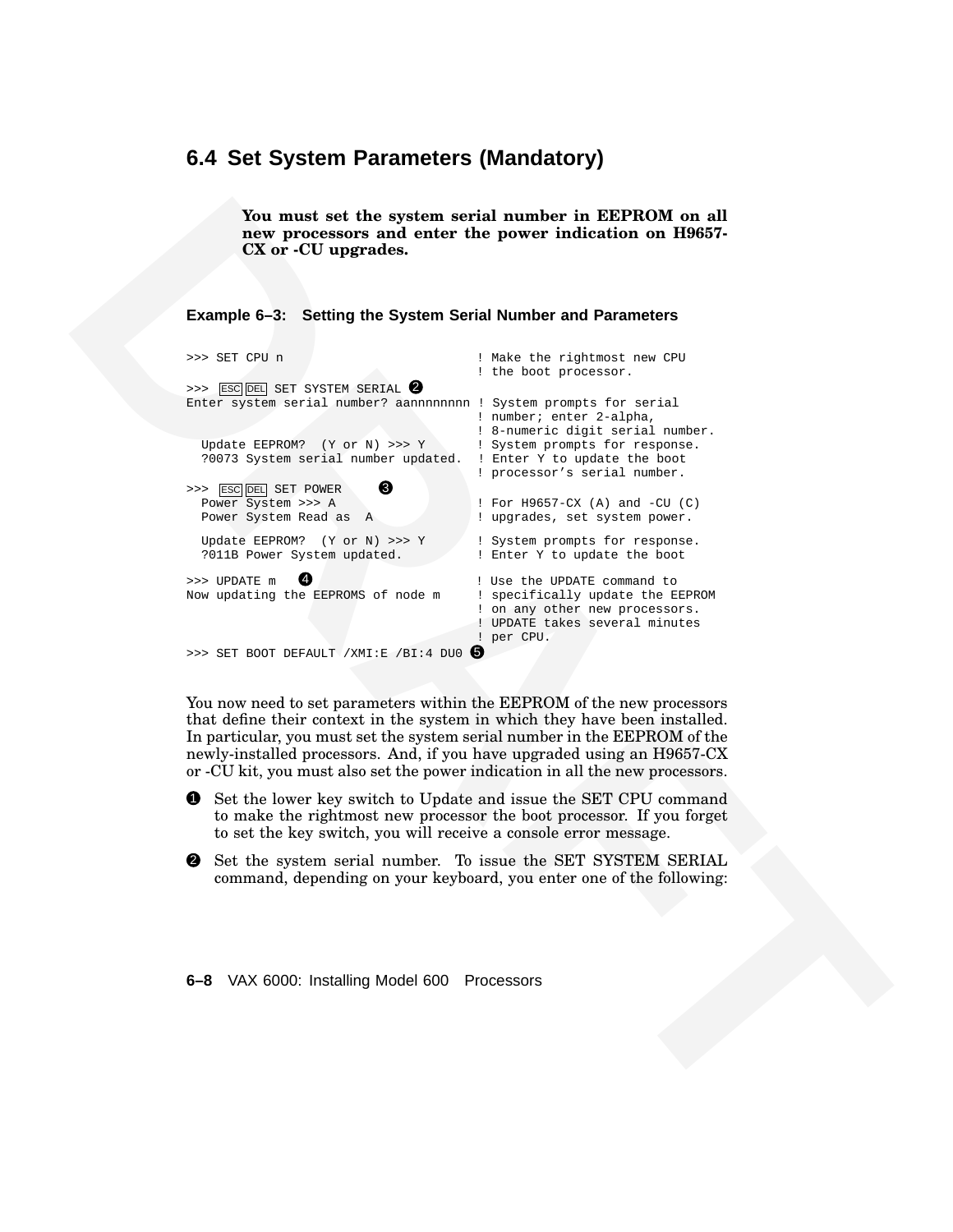#### **6.4 Set System Parameters (Mandatory)**

**Example 6–3: Setting the System Serial Number and Parameters**

| Example 6-3: Setting the System Serial Number and Parameters                                                                                                                                                                                                                                                                                                                                  |                                                                                                                                                                                                                                                                                            |
|-----------------------------------------------------------------------------------------------------------------------------------------------------------------------------------------------------------------------------------------------------------------------------------------------------------------------------------------------------------------------------------------------|--------------------------------------------------------------------------------------------------------------------------------------------------------------------------------------------------------------------------------------------------------------------------------------------|
| >>> SET CPU n<br><b>ESC DEL SET SYSTEM SERIAL 2</b><br>>><br>Enter system serial number? aannnnnnnn ! System prompts for serial<br>Update EEPROM? $(Y \text{ or } N) >> Y$<br>?0073 System serial number updated.<br>❸<br>>>> ESC DEL SET POWER<br>Power System >>> A<br>Power System Read as A                                                                                               | ! Make the rightmost new CPU<br>! the boot processor.<br>! number; enter 2-alpha,<br>! 8-numeric digit serial number.<br>! System prompts for response.<br>! Enter Y to update the boot<br>! processor's serial number.<br>! For H9657-CX (A) and -CU (C)<br>! upgrades, set system power. |
| Update EEPROM? (Y or N) >>> Y<br>?011B Power System updated.                                                                                                                                                                                                                                                                                                                                  | ! System prompts for response.<br>! Enter Y to update the boot                                                                                                                                                                                                                             |
| Ø<br>>>> UPDATE m<br>Now updating the EEPROMS of node m                                                                                                                                                                                                                                                                                                                                       | ! Use the UPDATE command to<br>! specifically update the EEPROM<br>! on any other new processors.<br>! UPDATE takes several minutes                                                                                                                                                        |
| >>> SET BOOT DEFAULT / XMI:E / BI:4 DU0 $\bullet$                                                                                                                                                                                                                                                                                                                                             | ! per CPU.                                                                                                                                                                                                                                                                                 |
| You now need to set parameters within the EEPROM of the new processors<br>that define their context in the system in which they have been installed.<br>In particular, you must set the system serial number in the EEPROM of the<br>newly-installed processors. And, if you have upgraded using an H9657-CX<br>or -CU kit, you must also set the power indication in all the new processors. |                                                                                                                                                                                                                                                                                            |
| Set the lower key switch to Update and issue the SET CPU command<br>➊<br>to make the rightmost new processor the boot processor. If you forget<br>to set the key switch, you will receive a console error message.                                                                                                                                                                            |                                                                                                                                                                                                                                                                                            |
| Set the system serial number. To issue the SET SYSTEM SERIAL<br>❷<br>command, depending on your keyboard, you enter one of the following:                                                                                                                                                                                                                                                     |                                                                                                                                                                                                                                                                                            |
| 6-8 VAX 6000: Installing Model 600 Processors                                                                                                                                                                                                                                                                                                                                                 |                                                                                                                                                                                                                                                                                            |
|                                                                                                                                                                                                                                                                                                                                                                                               |                                                                                                                                                                                                                                                                                            |

- 1 Set the lower key switch to Update and issue the SET CPU command to make the rightmost new processor the boot processor. If you forget to set the key switch, you will receive a console error message.
- 2 Set the system serial number. To issue the SET SYSTEM SERIAL command, depending on your keyboard, you enter one of the following:

#### **6–8** VAX 6000: Installing Model 600 Processors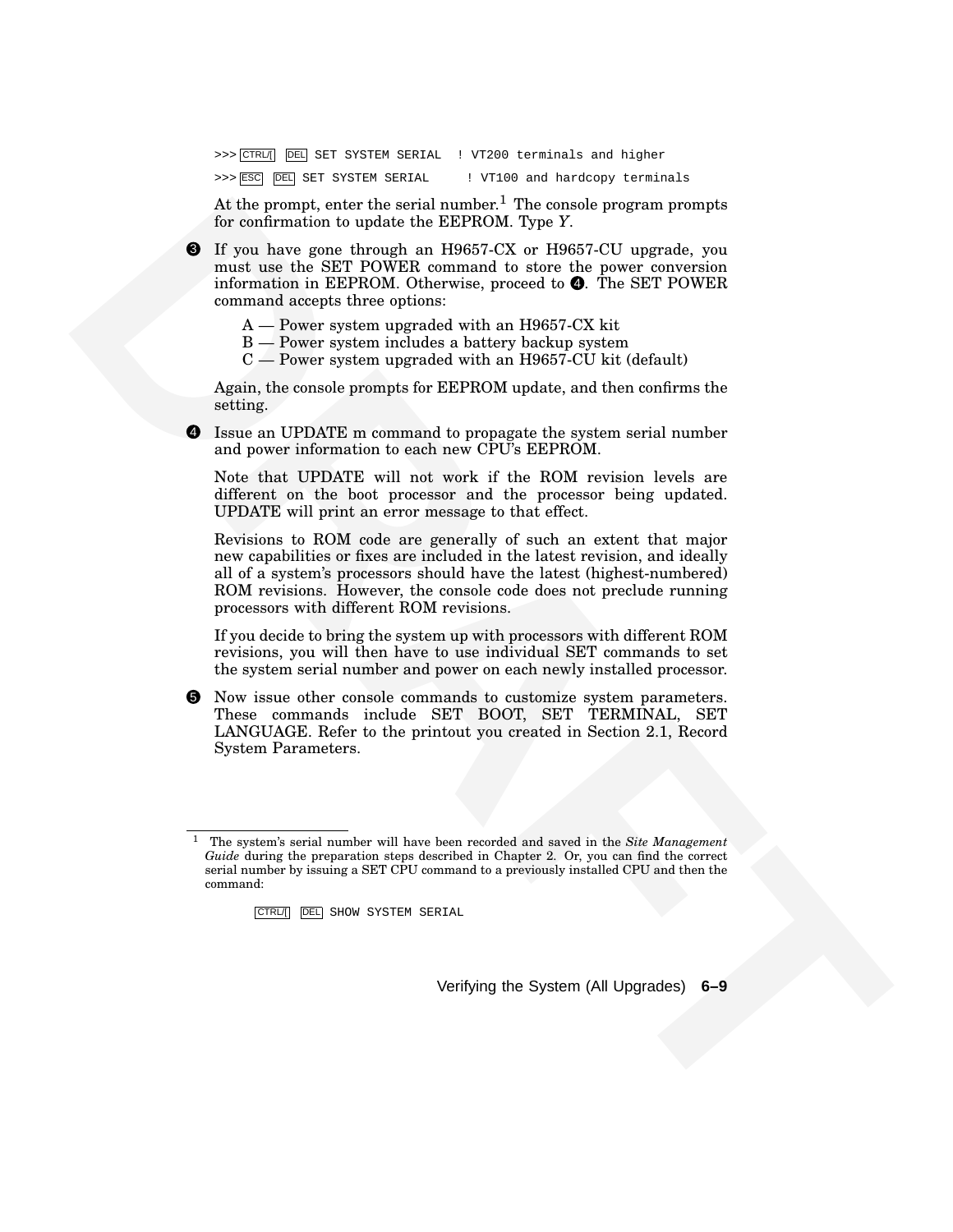>>> CTRL/[ DEL SET SYSTEM SERIAL ! VT200 terminals and higher

>>> ESC DEL SET SYSTEM SERIAL ! VT100 and hardcopy terminals

At the prompt, enter the serial number.<sup>1</sup> The console program prompts for confirmation to update the EEPROM. Type *Y*.

3 If you have gone through an H9657-CX or H9657-CU upgrade, you must use the SET POWER command to store the power conversion information in EEPROM. Otherwise, proceed to  $\bullet$ . The SET POWER command accepts three options:

- A Power system upgraded with an H9657-CX kit
- B Power system includes a battery backup system
- $C$  Power system upgraded with an H9657-CU kit (default)

Again, the console prompts for EEPROM update, and then confirms the setting.

4 Issue an UPDATE m command to propagate the system serial number and power information to each new CPU's EEPROM.

Note that UPDATE will not work if the ROM revision levels are different on the boot processor and the processor being updated. UPDATE will print an error message to that effect.

As the proof , easier that samella units are the samella three terms on the constraints of the priority of the samella and HBS77CXX are 194957. CV and the same changes in the stress of the samella and the samella three sa Revisions to ROM code are generally of such an extent that major new capabilities or fixes are included in the latest revision, and ideally all of a system's processors should have the latest (highest-numbered) ROM revisions. However, the console code does not preclude running processors with different ROM revisions.

If you decide to bring the system up with processors with different ROM revisions, you will then have to use individual SET commands to set the system serial number and power on each newly installed processor.

5 Now issue other console commands to customize system parameters. These commands include SET BOOT, SET TERMINAL, SET LANGUAGE. Refer to the printout you created in Section 2.1, Record System Parameters.

CTRL/[ DEL SHOW SYSTEM SERIAL

Verifying the System (All Upgrades) **6–9**

<sup>1</sup> The system's serial number will have been recorded and saved in the *Site Management Guide* during the preparation steps described in Chapter 2. Or, you can find the correct serial number by issuing a SET CPU command to a previously installed CPU and then the command: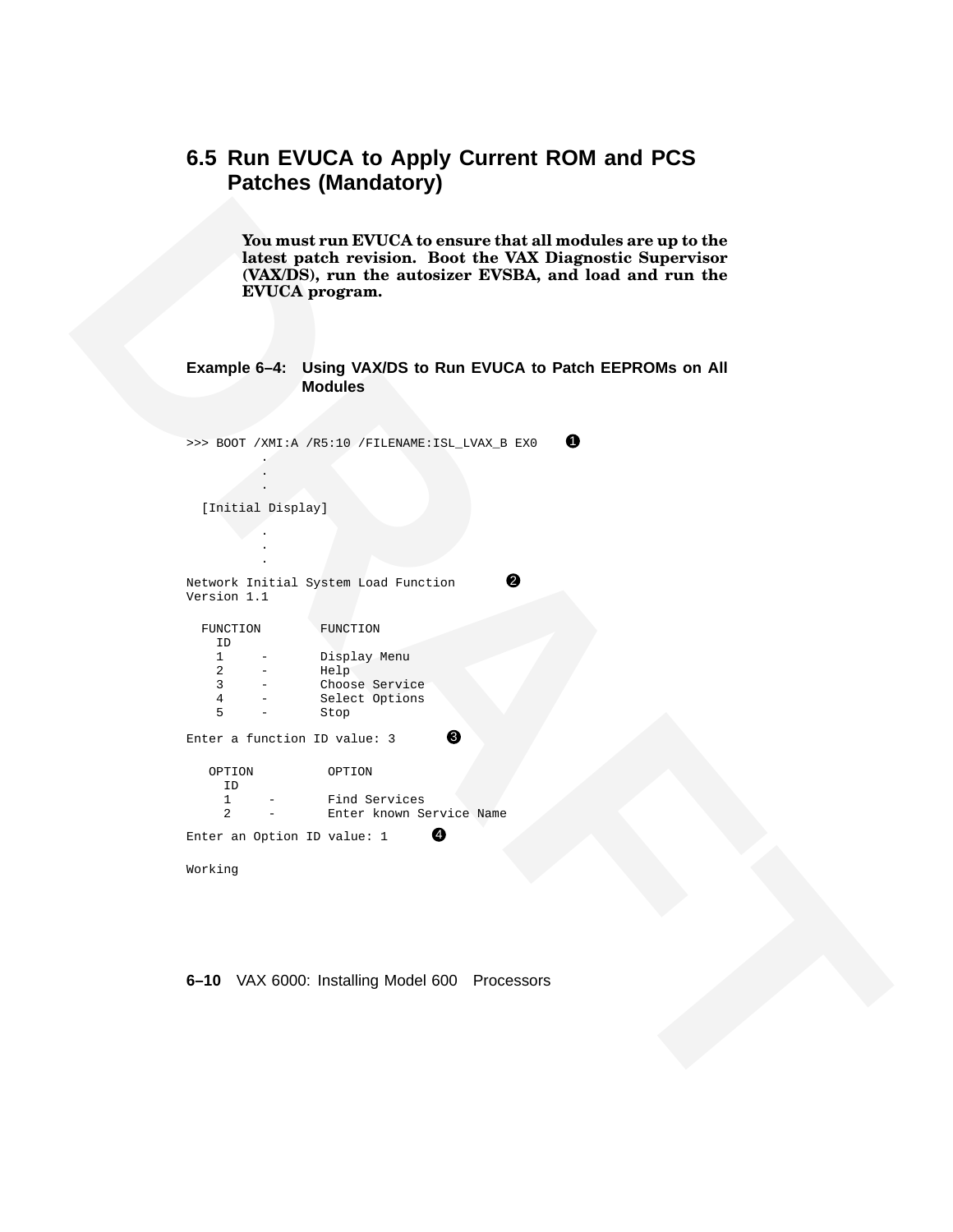# **6.5 Run EVUCA to Apply Current ROM and PCS Patches (Mandatory)**

#### **Example 6–4: Using VAX/DS to Run EVUCA to Patch EEPROMs on All Modules**

| EVUCA program.                                                                   |
|----------------------------------------------------------------------------------|
| Example 6-4: Using VAX/DS to Run EVUCA to Patch EEPROMs on All<br><b>Modules</b> |
|                                                                                  |
| $\mathbf 0$<br>>>> BOOT /XMI:A /R5:10 /FILENAME:ISL_LVAX_B EX0                   |
|                                                                                  |
| [Initial Display]                                                                |
|                                                                                  |
|                                                                                  |
| ❷<br>Network Initial System Load Function<br>Version 1.1                         |
| FUNCTION<br>FUNCTION<br>ID                                                       |
| Display Menu<br>$\mathbf{1}$                                                     |
| $\overline{2}$<br>Help<br>$\overline{3}$<br>Choose Service                       |
| $\overline{4}$<br>Select Options                                                 |
| 5<br>Stop<br>❸                                                                   |
| Enter a function ID value: 3                                                     |
| OPTION<br>OPTION<br>ID                                                           |
| $\mathbf{1}$<br>Find Services<br>2                                               |
| Enter known Service Name<br>❹<br>Enter an Option ID value: 1                     |
| Working                                                                          |
|                                                                                  |
|                                                                                  |
|                                                                                  |
| 6-10 VAX 6000: Installing Model 600 Processors                                   |
|                                                                                  |
|                                                                                  |
|                                                                                  |
|                                                                                  |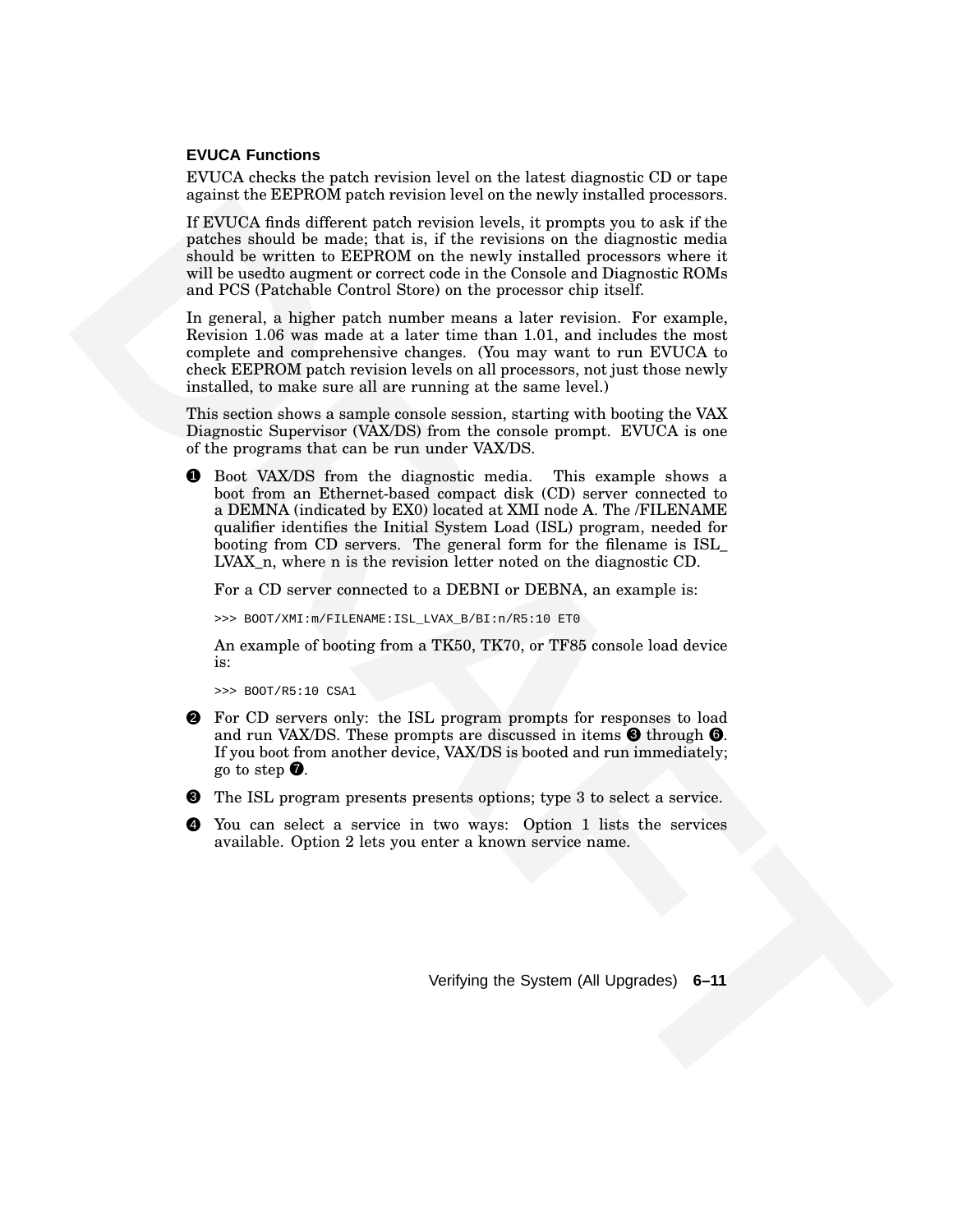#### **EVUCA Functions**

EVUCA checks the patch revision level on the latest diagnostic CD or tape against the EEPROM patch revision level on the newly installed processors.

If EVUCA finds different patch revision levels, it prompts you to ask if the patches should be made; that is, if the revisions on the diagnostic media should be written to EEPROM on the newly installed processors where it will be usedto augment or correct code in the Console and Diagnostic ROMs and PCS (Patchable Control Store) on the processor chip itself.

In general, a higher patch number means a later revision. For example, Revision 1.06 was made at a later time than 1.01, and includes the most complete and comprehensive changes. (You may want to run EVUCA to check EEPROM patch revision levels on all processors, not just those newly installed, to make sure all are running at the same level.)

This section shows a sample console session, starting with booting the VAX Diagnostic Supervisor (VAX/DS) from the console prompt. EVUCA is one of the programs that can be run under VAX/DS.

**EXERCIS CONFIRM CONFIRM CONFIRM CONFIRM CONFIRM CONFIRM CONFIRM CONFIRM CONFIRM CONFIRM CONFIRM CONFIRM CONFIRM CONFIRM CONFIRM CONFIRM CONFIRM CONFIRM CONFIRM CONFIRM CONFIRM CONFIRM CONFIRM CONFIRM CONFIRM CONFIRM CONF** 1 Boot VAX/DS from the diagnostic media. This example shows a boot from an Ethernet-based compact disk (CD) server connected to a DEMNA (indicated by EX0) located at XMI node A. The /FILENAME qualifier identifies the Initial System Load (ISL) program, needed for booting from CD servers. The general form for the filename is ISL\_ LVAX n, where n is the revision letter noted on the diagnostic CD.

For a CD server connected to a DEBNI or DEBNA, an example is:

>>> BOOT/XMI:m/FILENAME:ISL\_LVAX\_B/BI:n/R5:10 ET0

An example of booting from a TK50, TK70, or TF85 console load device is:

>>> BOOT/R5:10 CSA1

- 2 For CD servers only: the ISL program prompts for responses to load and run VAX/DS. These prompts are discussed in items  $\Theta$  through  $\Theta$ . If you boot from another device, VAX/DS is booted and run immediately; go to step  $\bullet$ .
- 3 The ISL program presents presents options; type 3 to select a service.
- You can select a service in two ways: Option 1 lists the services available. Option 2 lets you enter a known service name.

Verifying the System (All Upgrades) **6–11**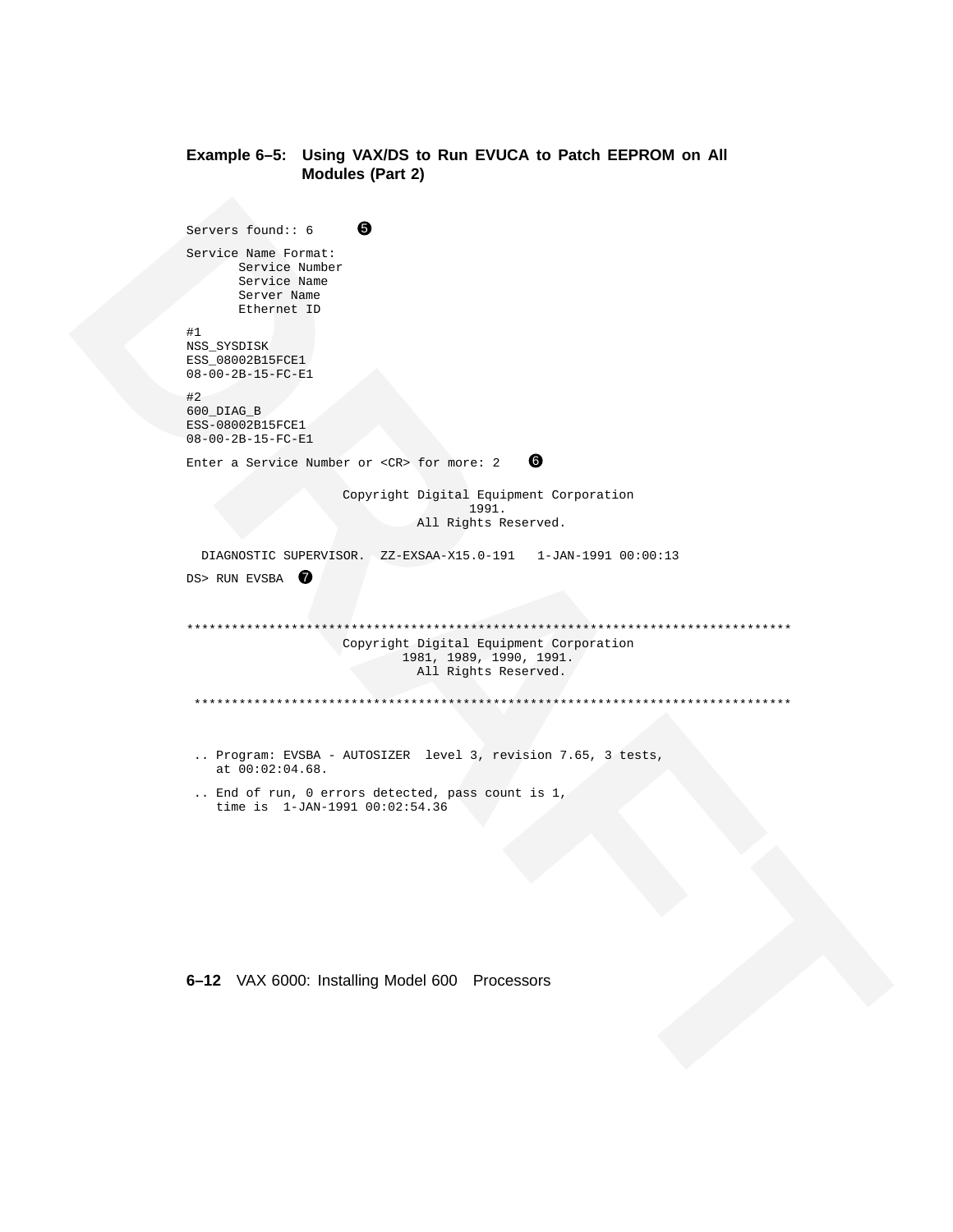#### **Example 6–5: Using VAX/DS to Run EVUCA to Patch EEPROM on All Modules (Part 2)**

```
Survey Property : \theta<br>
Therefore Reserves<br>
Experimental<br>
Experimental<br>
DRAFT DRAFT CONTEXT<br>
CONTEXT CONTEXT<br>
CONTEXT CONTEXT<br>
CONTEXT CONTEXT CONTEXT CONTEXT CONTEXT<br>
CONTEXT CONTEXT CONTEXT CONTEXT CONTEXT CONTEXT<br>
CO
                            Servers found:: 6 \qquad \bulletService Name Format:
                                   Service Number
                                    Service Name
                                    Server Name
                                    Ethernet ID
                            #1
                            NSS_SYSDISK
                            ESS_08002B15FCE1
                            08-00-2B-15-FC-E1
                            #2
                            600_DIAG_B
                            ESS-08002B15FCE1
                            08-00-2B-15-FC-E1
                            Enter a Service Number or \langle CR \rangle for more: 2 6
                                                    Copyright Digital Equipment Corporation
                                                                       1991.
                                                               All Rights Reserved.
                              DIAGNOSTIC SUPERVISOR. ZZ-EXSAA-X15.0-191 1-JAN-1991 00:00:13
                            DS> RUN EVSBA
                            *********************************************************************************
                                                  Copyright Digital Equipment Corporation
                                                            1981, 1989, 1990, 1991.
                                                               All Rights Reserved.
                             ********************************************************************************
                             .. Program: EVSBA - AUTOSIZER level 3, revision 7.65, 3 tests,
                                at 00:02:04.68.
                             .. End of run, 0 errors detected, pass count is 1,
                                time is 1-JAN-1991 00:02:54.36
```
#### **6–12** VAX 6000: Installing Model 600 Processors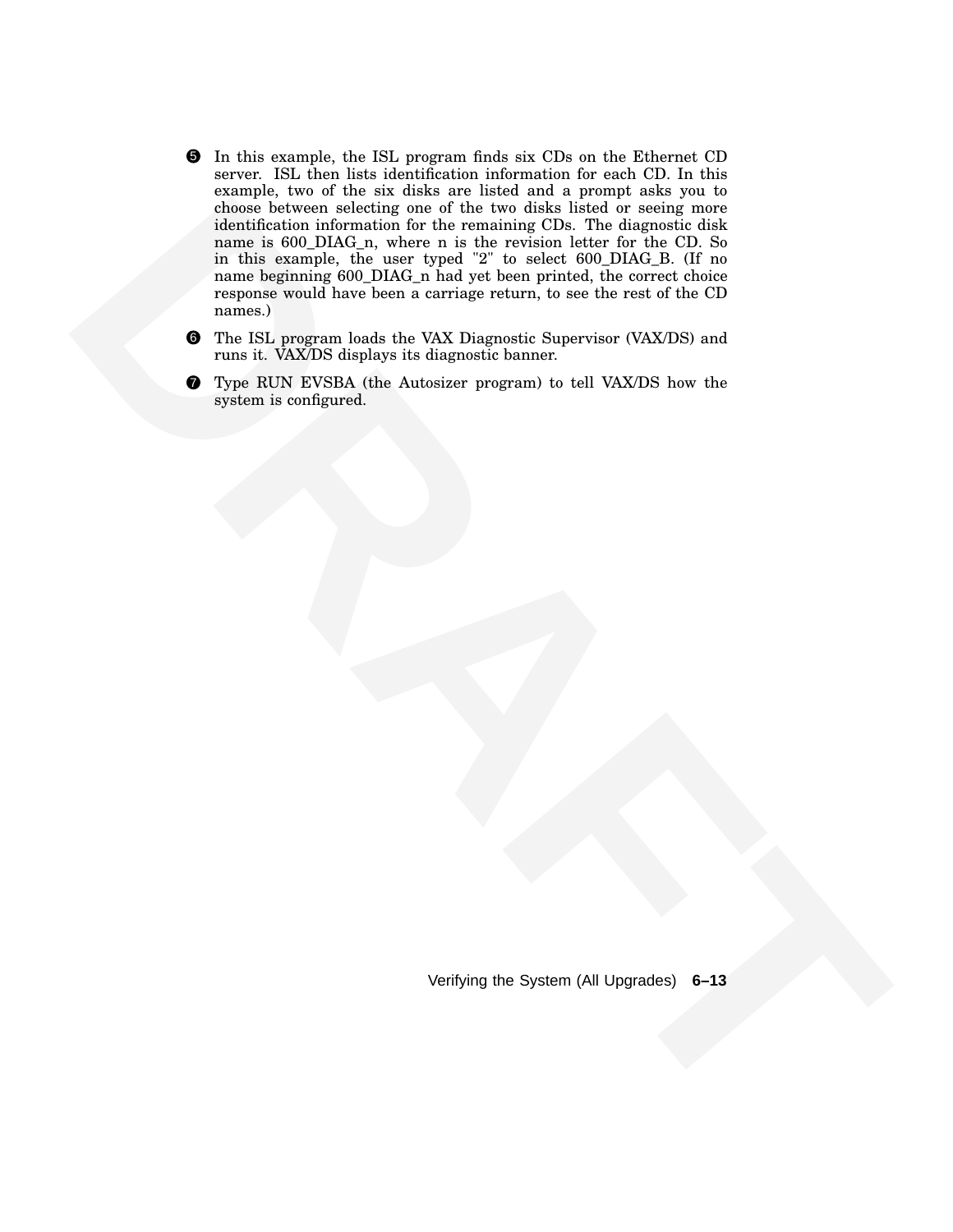- change haveness colorestig and effects the stress plus linear temperature of the stress information for the reasonating CDP. The distribution is a main beginning 600 JJMK at half yet is very stricted. The control distribu 5 In this example, the ISL program finds six CDs on the Ethernet CD server. ISL then lists identification information for each CD. In this example, two of the six disks are listed and a prompt asks you to choose between selecting one of the two disks listed or seeing more identification information for the remaining CDs. The diagnostic disk name is 600\_DIAG\_n, where n is the revision letter for the CD. So in this example, the user typed "2" to select 600\_DIAG\_B. (If no name beginning 600\_DIAG\_n had yet been printed, the correct choice response would have been a carriage return, to see the rest of the CD names.)
	- 6 The ISL program loads the VAX Diagnostic Supervisor (VAX/DS) and runs it. VAX/DS displays its diagnostic banner.
	- **Type RUN EVSBA** (the Autosizer program) to tell VAX/DS how the system is configured.

Verifying the System (All Upgrades) **6–13**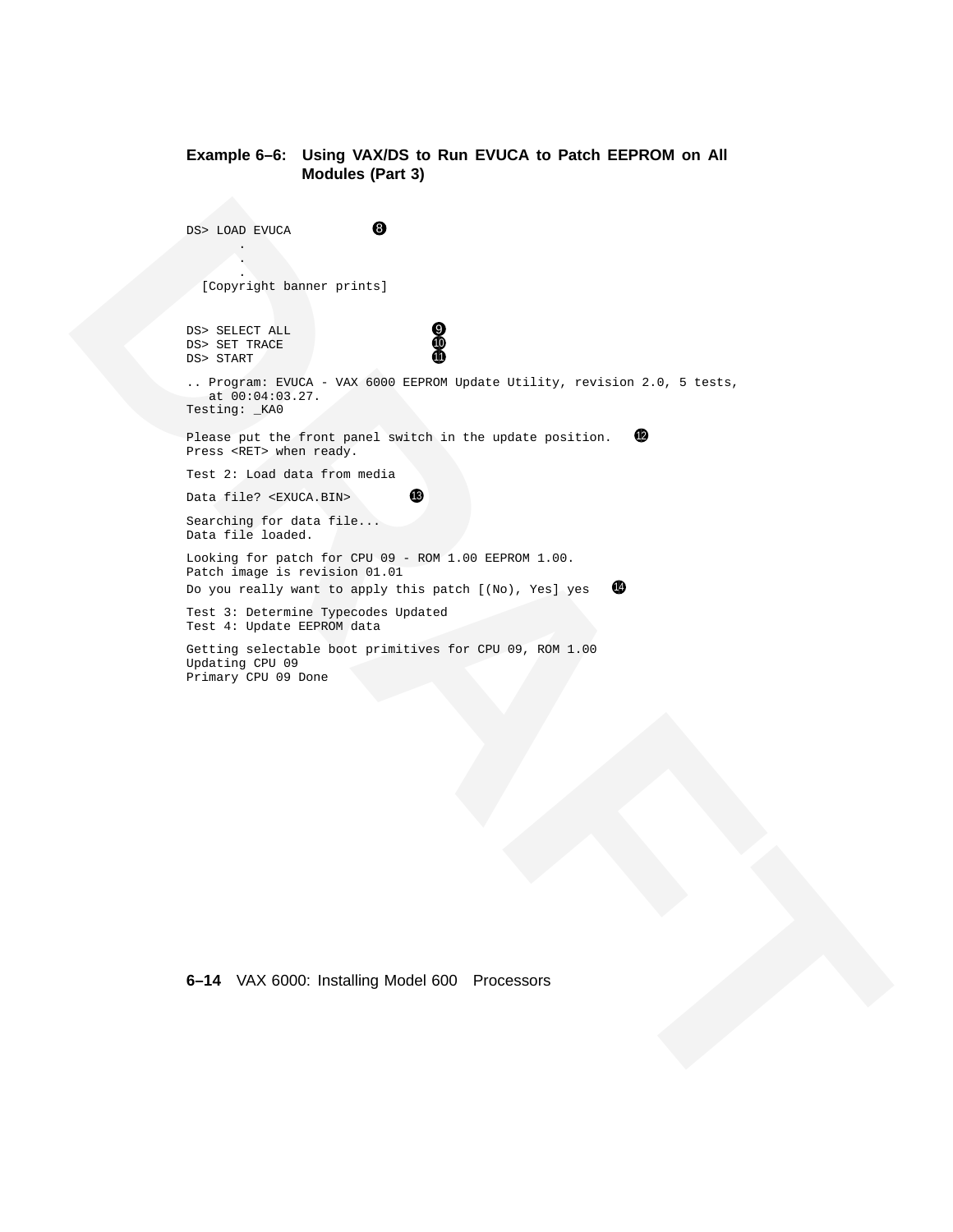#### **Example 6–6: Using VAX/DS to Run EVUCA to Patch EEPROM on All Modules (Part 3)**

**EXAMPLE CONFIRM CONTINUES AND ACTIVITY ACCOUNT AND ACTIVITY ACCOUNT AND ACTIVITY AND CONFIRM AND CONTINUES ARE<br>
<b>BETTING CONFIRM AND CONFIRM AND ACTIVITY ACCOUNT ACTIVITY ACCOUNT ACTIVITY ACCOUNT ACTIVITY ACCOUNT ACTIVIT** DS> LOAD EVUCA 8 . . . [Copyright banner prints] DS> SELECT ALL <br>DS> SET TRACE<br>DS> START DS> SET TRACE DS> START .. Program: EVUCA - VAX 6000 EEPROM Update Utility, revision 2.0, 5 tests, at 00:04:03.27. Testing: \_KA0 Please put the front panel switch in the update position.  $\bullet$ Press <RET> when ready. Test 2: Load data from media Data file? <EXUCA.BIN> Searching for data file... Data file loaded. Looking for patch for CPU 09 - ROM 1.00 EEPROM 1.00. Patch image is revision 01.01 Do you really want to apply this patch  $[(No)]$ , Yes] yes  $[4]$ Test 3: Determine Typecodes Updated Test 4: Update EEPROM data Getting selectable boot primitives for CPU 09, ROM 1.00 Updating CPU 09 Primary CPU 09 Done

**6–14** VAX 6000: Installing Model 600 Processors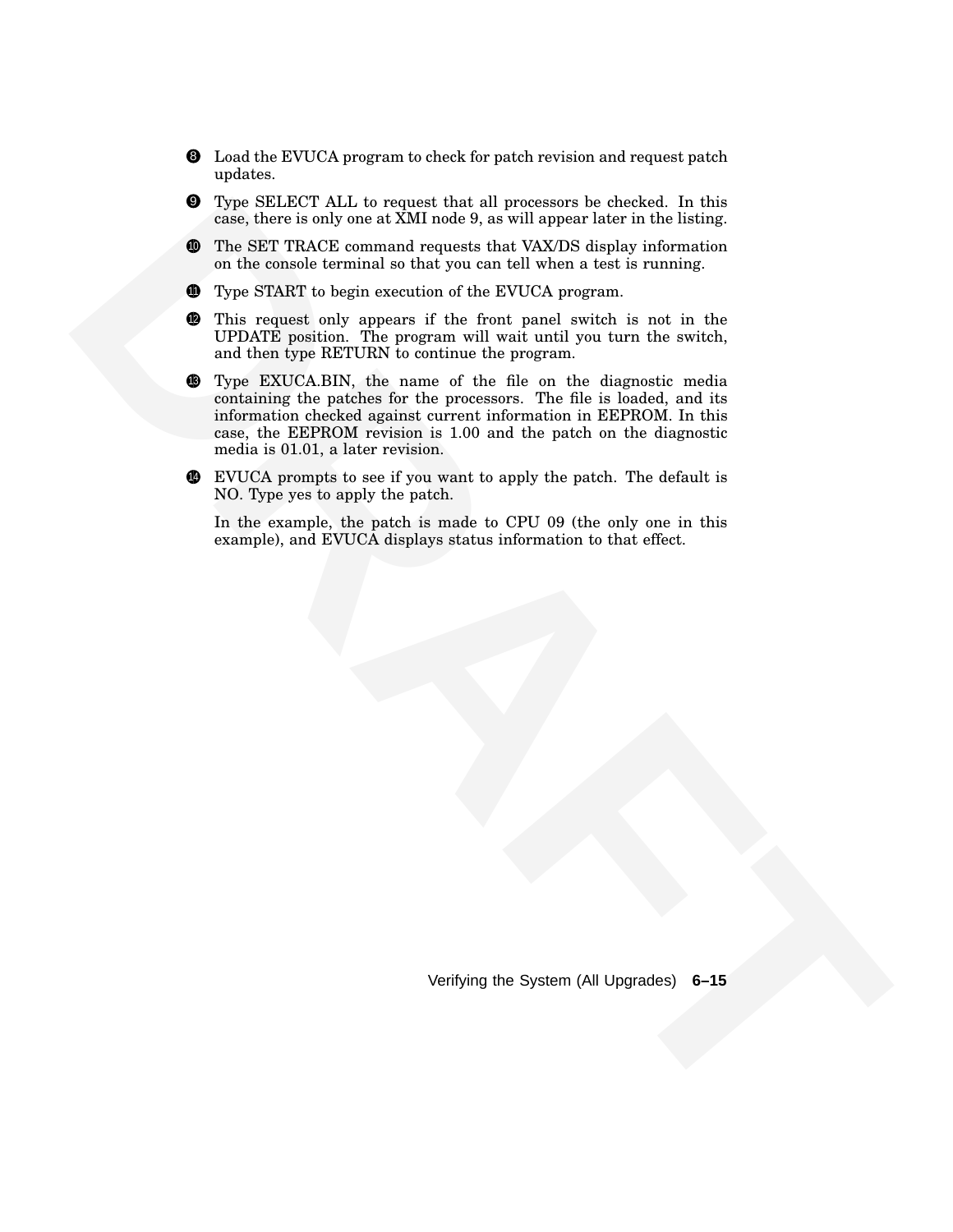- 8 Load the EVUCA program to check for patch revision and request patch updates.
- 9 Type SELECT ALL to request that all processors be checked. In this case, there is only one at XMI node 9, as will appear later in the listing.
- <sup>10</sup> The SET TRACE command requests that VAX/DS display information on the console terminal so that you can tell when a test is running.
- **11** Type START to begin execution of the EVUCA program.
- **2** This request only appears if the front panel switch is not in the UPDATE position. The program will wait until you turn the switch, and then type RETURN to continue the program.
- **E** hyper SELECT ALL to request that all presents the cluster. In this properties the content of the select that the select the selection of the SET PLV-C average of the NVCPS and properties of the selection of the SET PL **13** Type EXUCA.BIN, the name of the file on the diagnostic media containing the patches for the processors. The file is loaded, and its information checked against current information in EEPROM. In this case, the EEPROM revision is 1.00 and the patch on the diagnostic media is 01.01, a later revision.
	- <sup>14</sup> EVUCA prompts to see if you want to apply the patch. The default is NO. Type yes to apply the patch.

In the example, the patch is made to CPU 09 (the only one in this example), and EVUCA displays status information to that effect.

Verifying the System (All Upgrades) **6–15**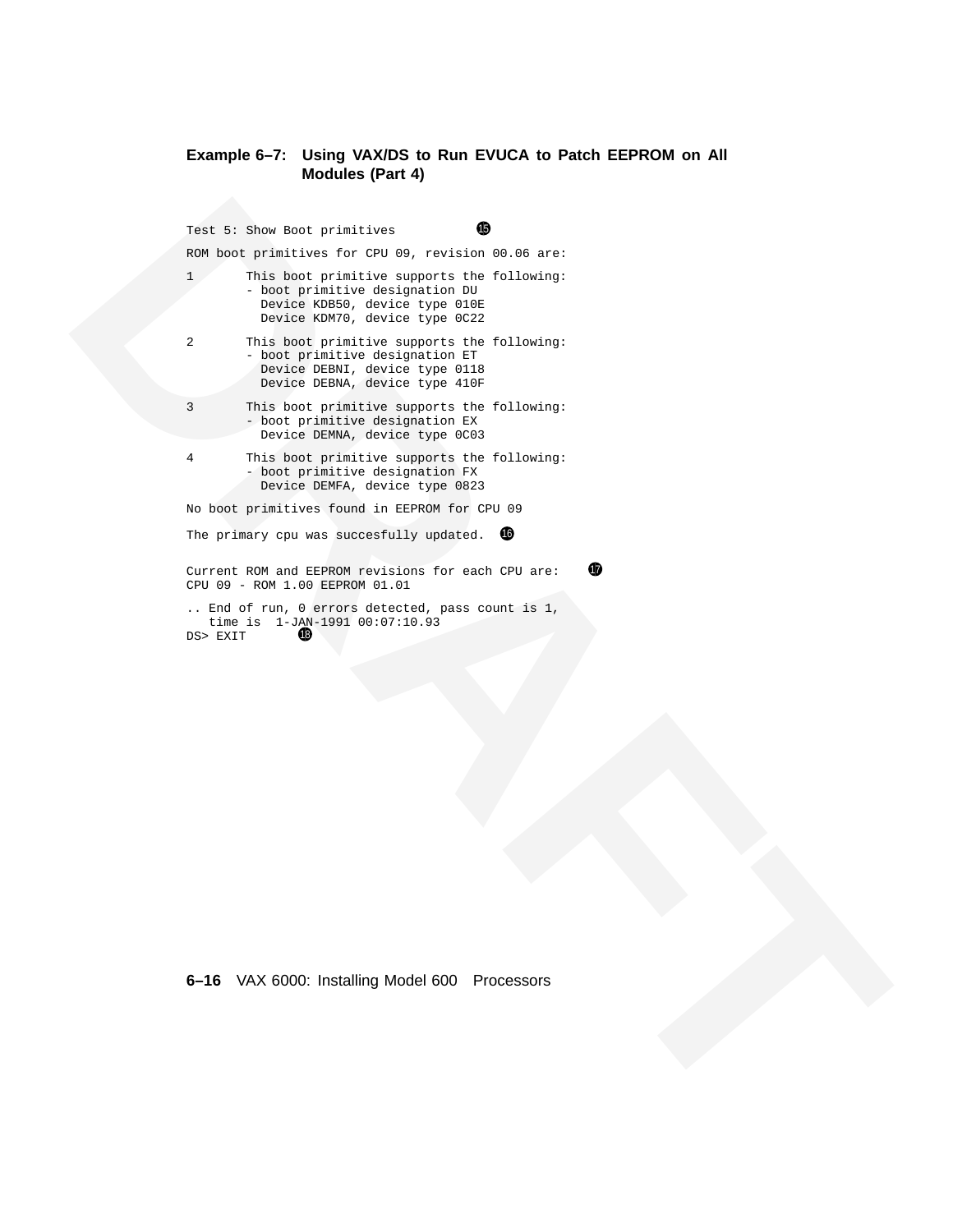#### **Example 6–7: Using VAX/DS to Run EVUCA to Patch EEPROM on All Modules (Part 4)**

**EXAMPLE SUBJECT CONTINUOUS CONTINUOUS CONTINUOUS CONTINUOUS CONTINUOUS CONTINUOUS CONTINUOUS CONTINUOUS CONTINUOUS CONTINUOUS CONTINUOUS CONTINUOUS CONTINUOUS CONTINUOUS CONTINUOUS CONTINUOUS CONTINUOUS CONTINUOUS CONTIN** Test 5: Show Boot primitives  $\bigoplus$ ROM boot primitives for CPU 09, revision 00.06 are: 1 This boot primitive supports the following: - boot primitive designation DU Device KDB50, device type 010E Device KDM70, device type 0C22 2 This boot primitive supports the following: - boot primitive designation ET Device DEBNI, device type 0118 Device DEBNA, device type 410F 3 This boot primitive supports the following: - boot primitive designation EX Device DEMNA, device type 0C03 4 This boot primitive supports the following: - boot primitive designation FX Device DEMFA, device type 0823 No boot primitives found in EEPROM for CPU 09 The primary cpu was succesfully updated.  $\bullet$ Current ROM and EEPROM revisions for each CPU are:  $\bigcirc$ CPU 09 - ROM 1.00 EEPROM 01.01 .. End of run, 0 errors detected, pass count is 1, time is 1-JAN-1991 00:07:10.93 DS> EXIT

**6–16** VAX 6000: Installing Model 600 Processors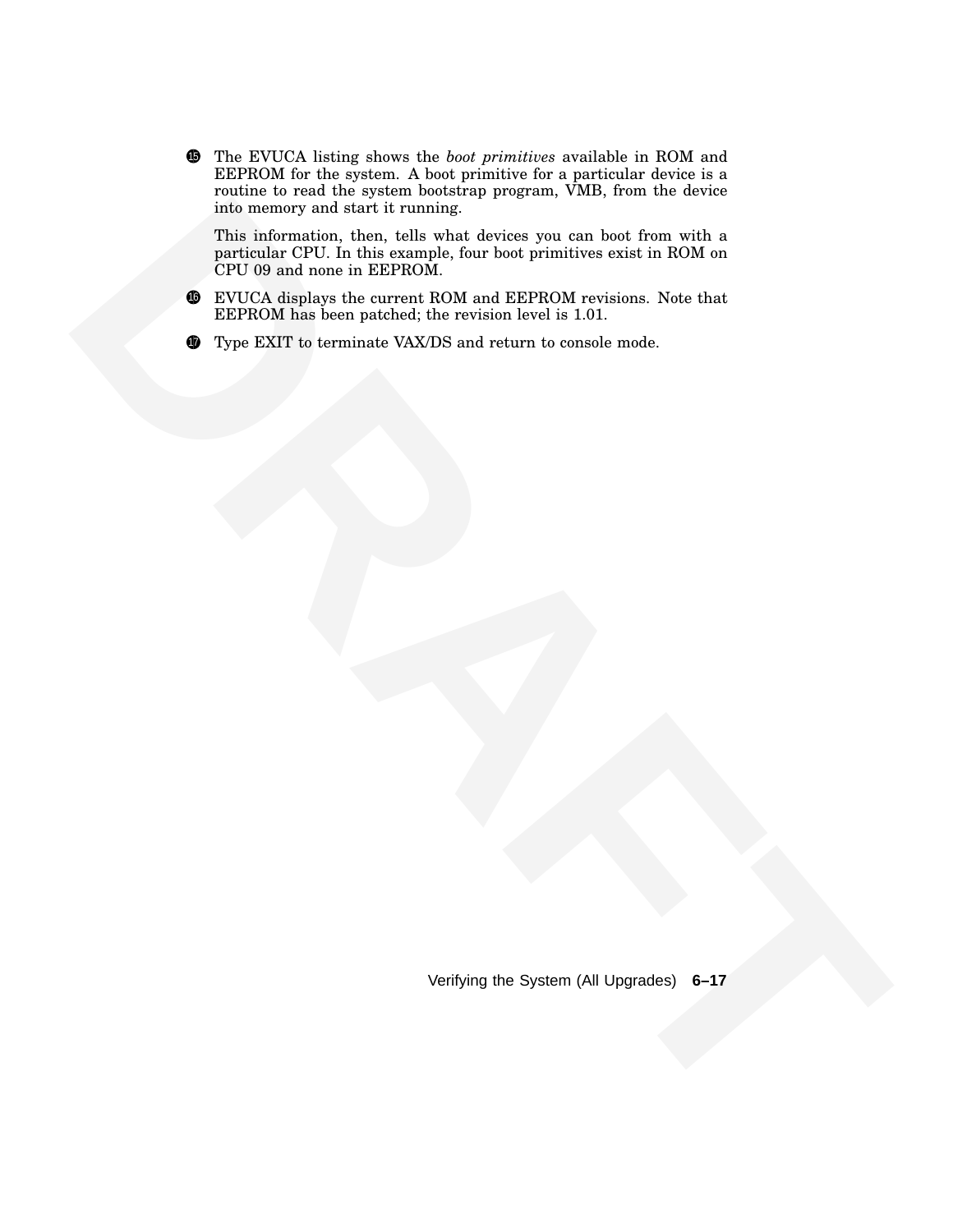<sup>15</sup> The EVUCA listing shows the *boot primitives* available in ROM and EEPROM for the system. A boot primitive for a particular device is a routine to read the system bootstrap program, VMB, from the device into memory and start it running.

**This information, then, tells what devices you can be them with a particular TPU in this information. See that devices we use that the consideration is the consideration in ROM on CPU to the analysis the consideration in** This information, then, tells what devices you can boot from with a particular CPU. In this example, four boot primitives exist in ROM on CPU 09 and none in EEPROM.

- <sup>16</sup> EVUCA displays the current ROM and EEPROM revisions. Note that EEPROM has been patched; the revision level is 1.01.
- **17** Type EXIT to terminate VAX/DS and return to console mode.

Verifying the System (All Upgrades) **6–17**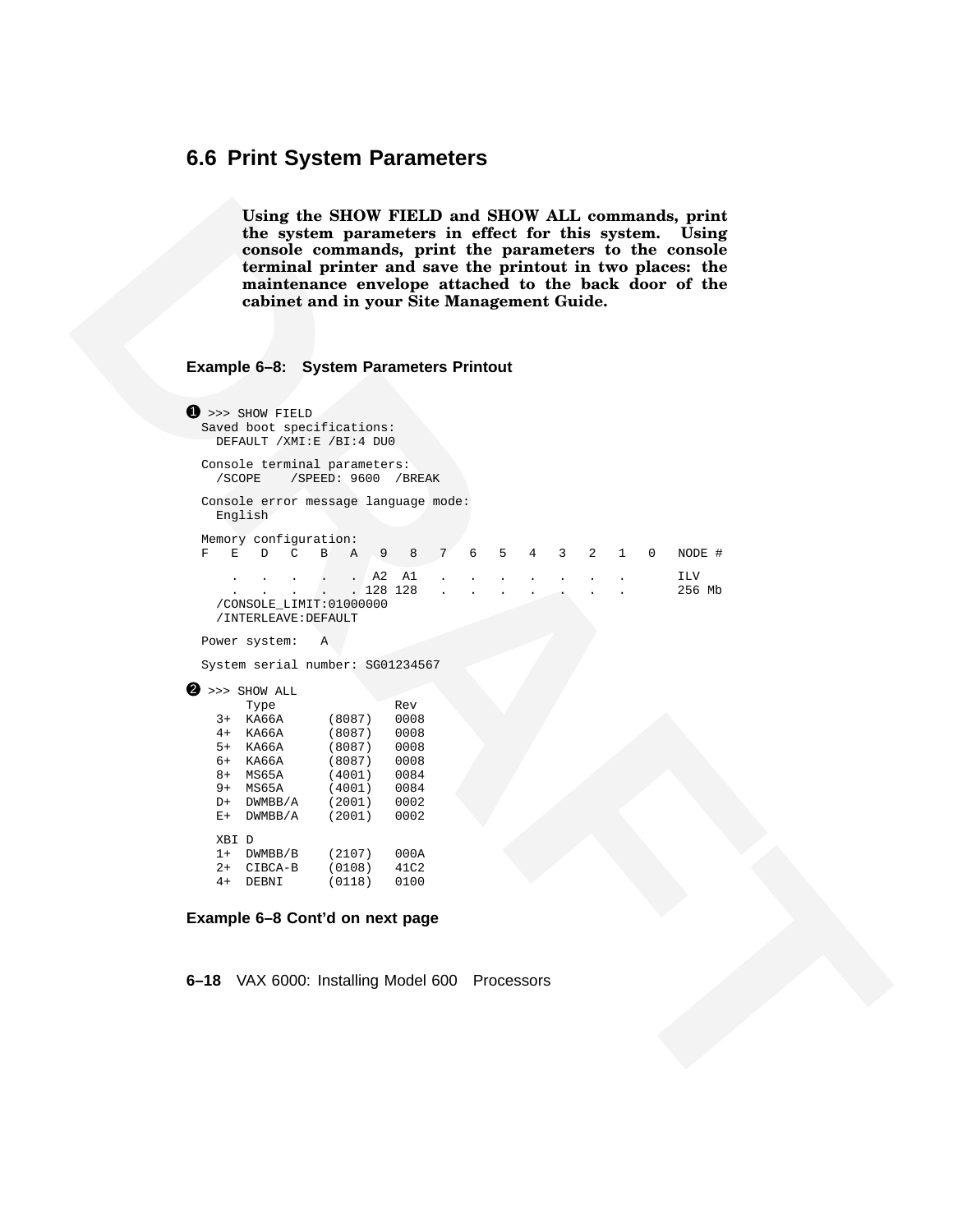#### **6.6 Print System Parameters**

**Using the SHOW FIELD and SHOW ALL commands, print the system parameters in effect for this system. Using console commands, print the parameters to the console terminal printer and save the printout in two places: the maintenance envelope attached to the back door of the cabinet and in your Site Management Guide.**

#### **Example 6–8: System Parameters Printout**

```
The proposition of SHOW PIFTID and SHOW AT-Leonarda, priori and SHOW AT-Leonarda<br>
interaction-<br>
control of the parameters to the control of the parameters<br>
control of the parameters to the control of the control of the co
                          \bullet >>> SHOW FIELD
                            Saved boot specifications:
                              DEFAULT /XMI:E /BI:4 DU0
                            Console terminal parameters:
                              /SCOPE /SPEED: 9600 /BREAK
                            Console error message language mode:
                              English
                            Memory configuration:
                            F E D C B A 9 8 7 6 5 4 3 2 1 0 NODE #
                                . . . . . A2 A1 . . . . . . . ILV
                                                 . 128 128 . . . . . . . . . 256 Mb
                              /CONSOLE_LIMIT:01000000
                              /INTERLEAVE:DEFAULT
                            Power system: A
                            System serial number: SG01234567
                          \bullet >>> SHOW ALL
                                  Type Rev<br>
KA66A (8087) 0008
                              3+ KA66A (8087) 0008
                              4+ KA66A (8087) 0008
                              5+ KA66A (8087) 0008
                              6+ KA66A (8087) 0008
                              8+ MS65A (4001) 0084
                              9+ MS65A (4001) 0084<br>D+ DWMBB/A (2001) 0002
                              D+ DWMBB/A
                              E+ DWMBB/A (2001) 0002
                              XBI D
                              1+ DWMBB/B (2107) 000A<br>2+ CIBCA-B (0108) 41C2
                              2+ CIBCA-B (0108) 41C2<br>4+ DEBNI (0118) 0100
                              4+ DEBNI (0118)
```
#### **Example 6–8 Cont'd on next page**

**6–18** VAX 6000: Installing Model 600 Processors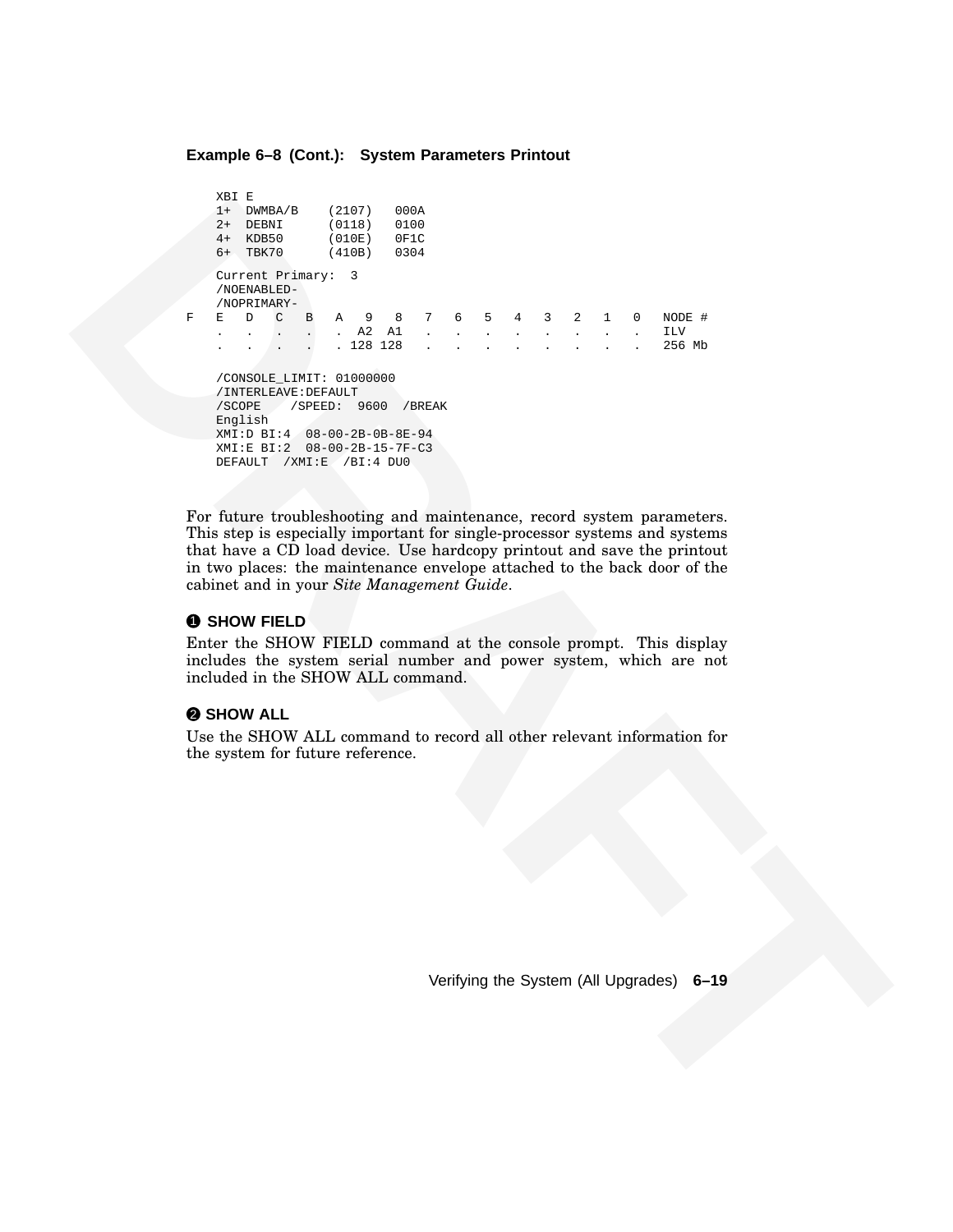#### **Example 6–8 (Cont.): System Parameters Printout**

```
2. The most of the same of the same of the same of the same of the same of the same of the same of the same of the same of the same of the same of the same of the same of the same of the same of the same of the same of th
                               XBI E
                               1+ DWMBA/B (2107) 000A<br>2+ DEBNI (0118) 0100
                               2+ DEBNI (0118) 0100<br>4+ KDB50 (010E) 0F1C
                               4+ KDB50
                               6+ TBK70 (410B) 0304
                               Current Primary: 3
                               /NOENABLED-
                               /NOPRIMARY-
                               F E D C B A 9 8 7 6 5 4 3 2 1 0 NODE #
                               . . . . . A2 A1 . . . . . . . . ILV
                                                 . 128 128 . . . . . . . . . 256 Mb
                               /CONSOLE_LIMIT: 01000000
                               /INTERLEAVE:DEFAULT
                               /SCOPE /SPEED: 9600 /BREAK
                               English
                               XMI:D BI:4 08-00-2B-0B-8E-94
                               XMI:E BI:2 08-00-2B-15-7F-C3
                               DEFAULT /XMI:E /BI:4 DU0
```
For future troubleshooting and maintenance, record system parameters. This step is especially important for single-processor systems and systems that have a CD load device. Use hardcopy printout and save the printout in two places: the maintenance envelope attached to the back door of the cabinet and in your *Site Management Guide*.

#### **0 SHOW FIELD**

Enter the SHOW FIELD command at the console prompt. This display includes the system serial number and power system, which are not included in the SHOW ALL command.

#### 2 **SHOW ALL**

Use the SHOW ALL command to record all other relevant information for the system for future reference.

Verifying the System (All Upgrades) **6–19**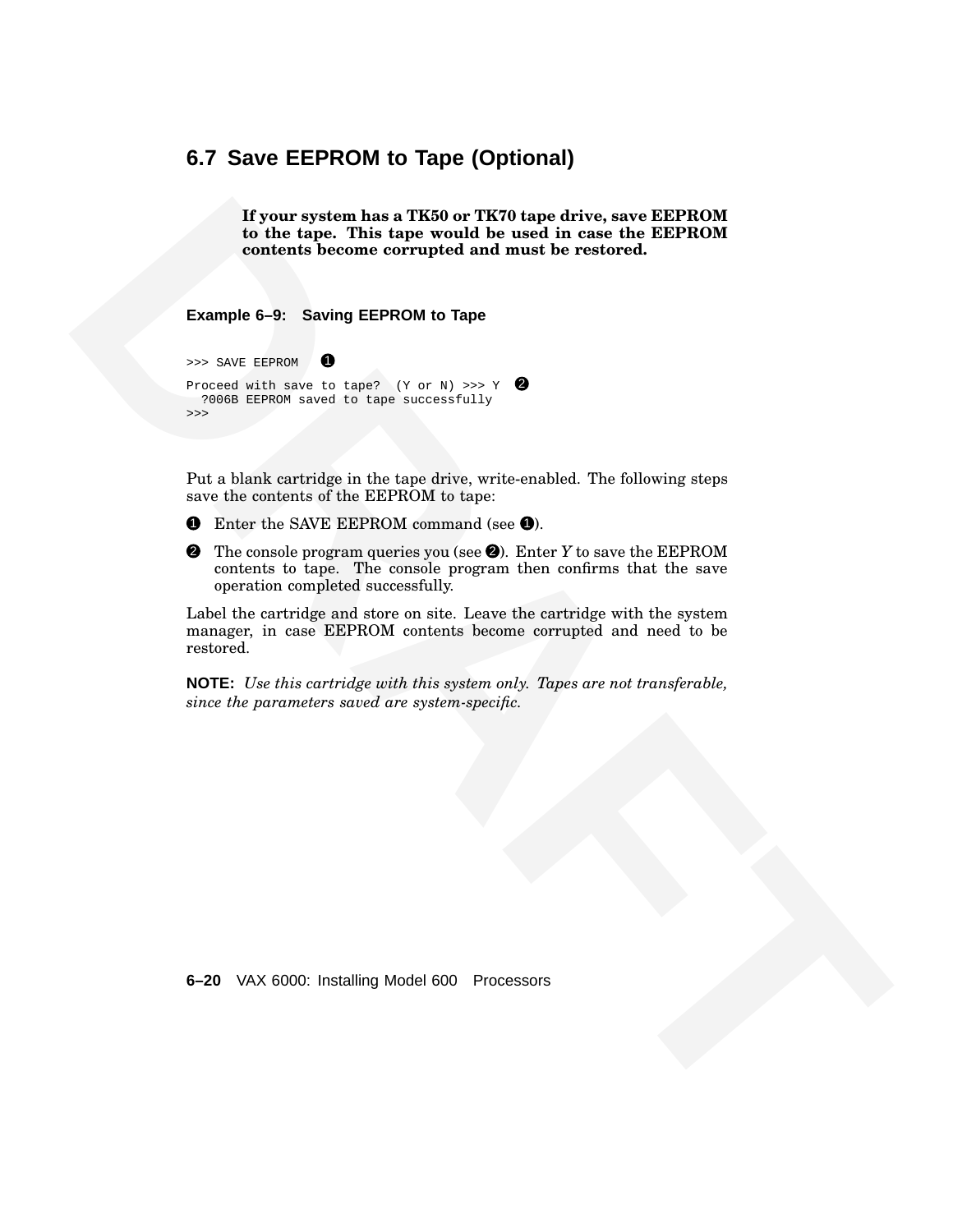#### **6.7 Save EEPROM to Tape (Optional)**

**If your system has a TK50 or TK70 tape drive, save EEPROM to the tape. This tape would be used in case the EEPROM contents become corrupted and must be restored.**

**Example 6–9: Saving EEPROM to Tape**

>>> SAVE EEPROM 1 Proceed with save to tape? (Y or N) >>> Y  $\bullet$ ?006B EEPROM saved to tape successfully >>>

Put a blank cartridge in the tape drive, write-enabled. The following steps save the contents of the EEPROM to tape:

- **1** Enter the SAVE EEPROM command (see 0).
- **If your system has a TEXA or TEON agree device, see APP (19) and**  $\alpha$  **the EEP (19) and the turns. This large would be used in case the EEP (19) contents heceme correspired and must be restored.<br>
Example 6-9: Saving EEPRO** 2 The console program queries you (see 2). Enter *Y* to save the EEPROM contents to tape. The console program then confirms that the save operation completed successfully.

Label the cartridge and store on site. Leave the cartridge with the system manager, in case EEPROM contents become corrupted and need to be restored.

**NOTE:** *Use this cartridge with this system only. Tapes are not transferable, since the parameters saved are system-specific.*

**6–20** VAX 6000: Installing Model 600 Processors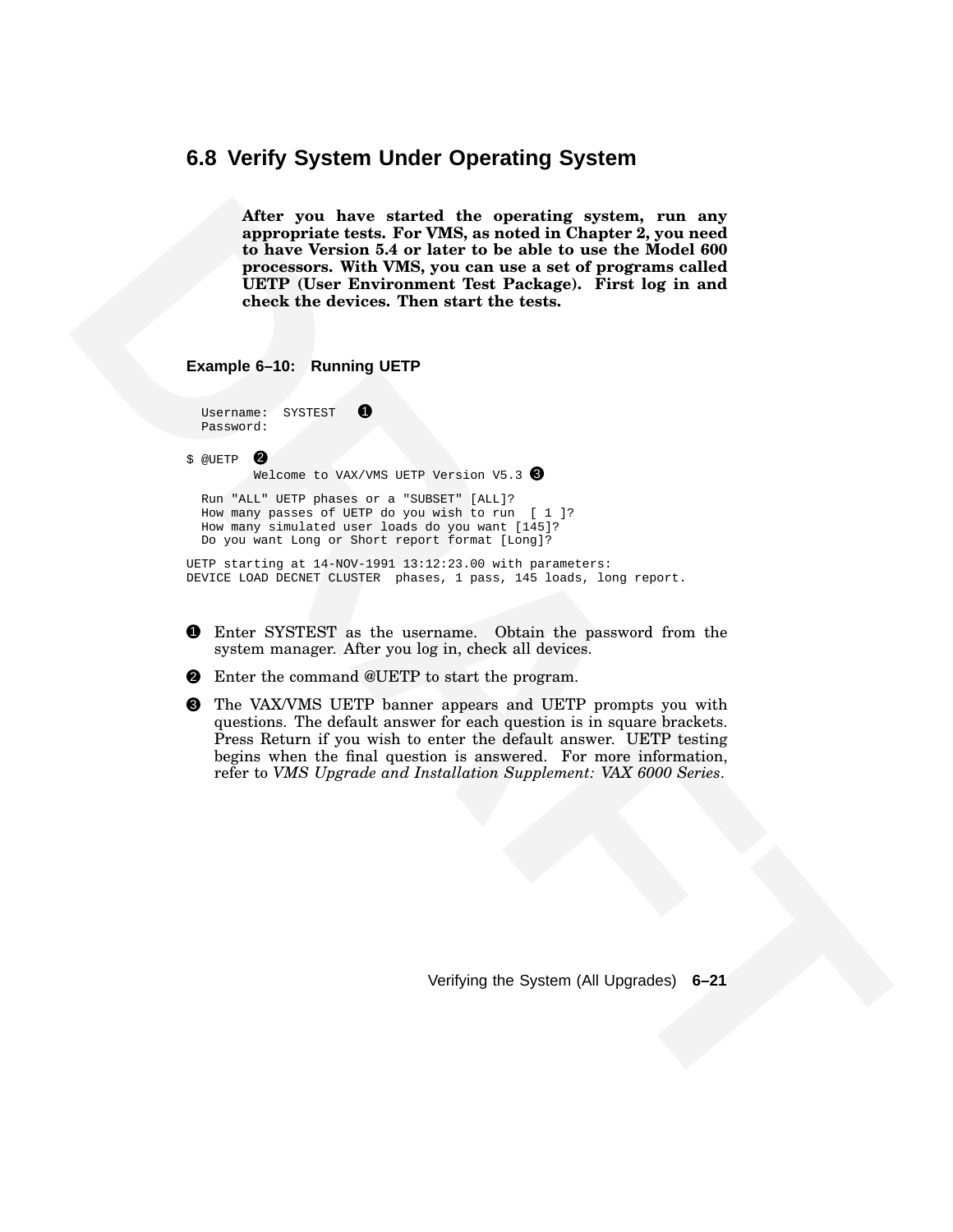#### **6.8 Verify System Under Operating System**

After you have a terretoil the operation groups of the same of the same of the law of the same version is a third to the back the same the back of the back of the back of the same of the same of the same of the same of th **After you have started the operating system, run any appropriate tests. For VMS, as noted in Chapter 2, you need to have Version 5.4 or later to be able to use the Model 600 processors. With VMS, you can use a set of programs called UETP (User Environment Test Package). First log in and check the devices. Then start the tests.**

**Example 6–10: Running UETP**

| Username: | SYSTEST |  |
|-----------|---------|--|
| Password: |         |  |

 $$$  @UETP  $\bullet$ 

Welcome to VAX/VMS UETP Version V5.3 3

Run "ALL" UETP phases or a "SUBSET" [ALL]? How many passes of UETP do you wish to run [ 1 ]? How many simulated user loads do you want [145]? Do you want Long or Short report format [Long]?

UETP starting at 14-NOV-1991 13:12:23.00 with parameters: DEVICE LOAD DECNET CLUSTER phases, 1 pass, 145 loads, long report.

- 1 Enter SYSTEST as the username. Obtain the password from the system manager. After you log in, check all devices.
- 2 Enter the command @UETP to start the program.
- 3 The VAX/VMS UETP banner appears and UETP prompts you with questions. The default answer for each question is in square brackets. Press Return if you wish to enter the default answer. UETP testing begins when the final question is answered. For more information, refer to *VMS Upgrade and Installation Supplement: VAX 6000 Series*.

Verifying the System (All Upgrades) **6–21**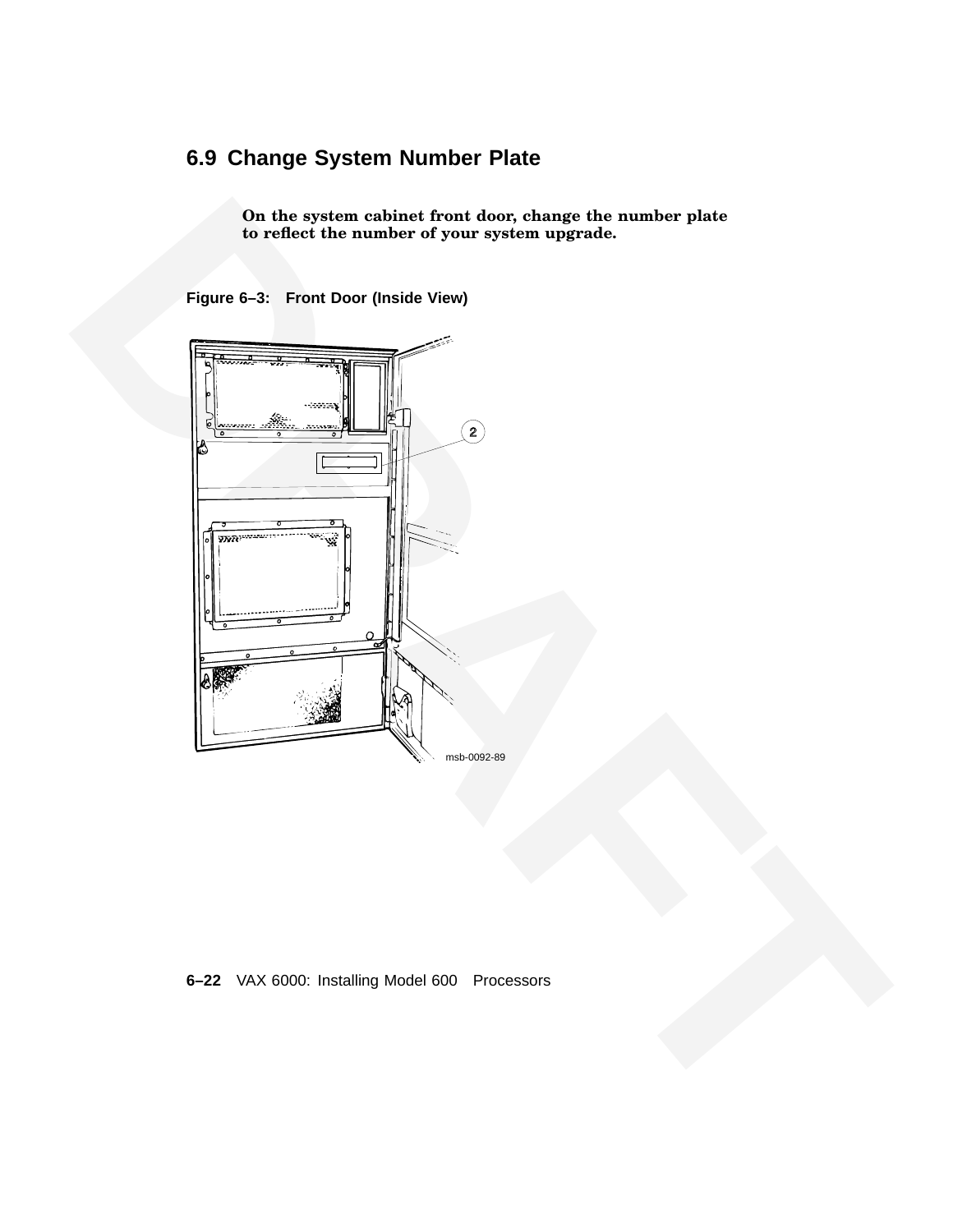# **6.9 Change System Number Plate**

**On the system cabinet front door, change the number plate to reflect the number of your system upgrade.**

**Figure 6–3: Front Door (Inside View)**



#### **6–22** VAX 6000: Installing Model 600 Processors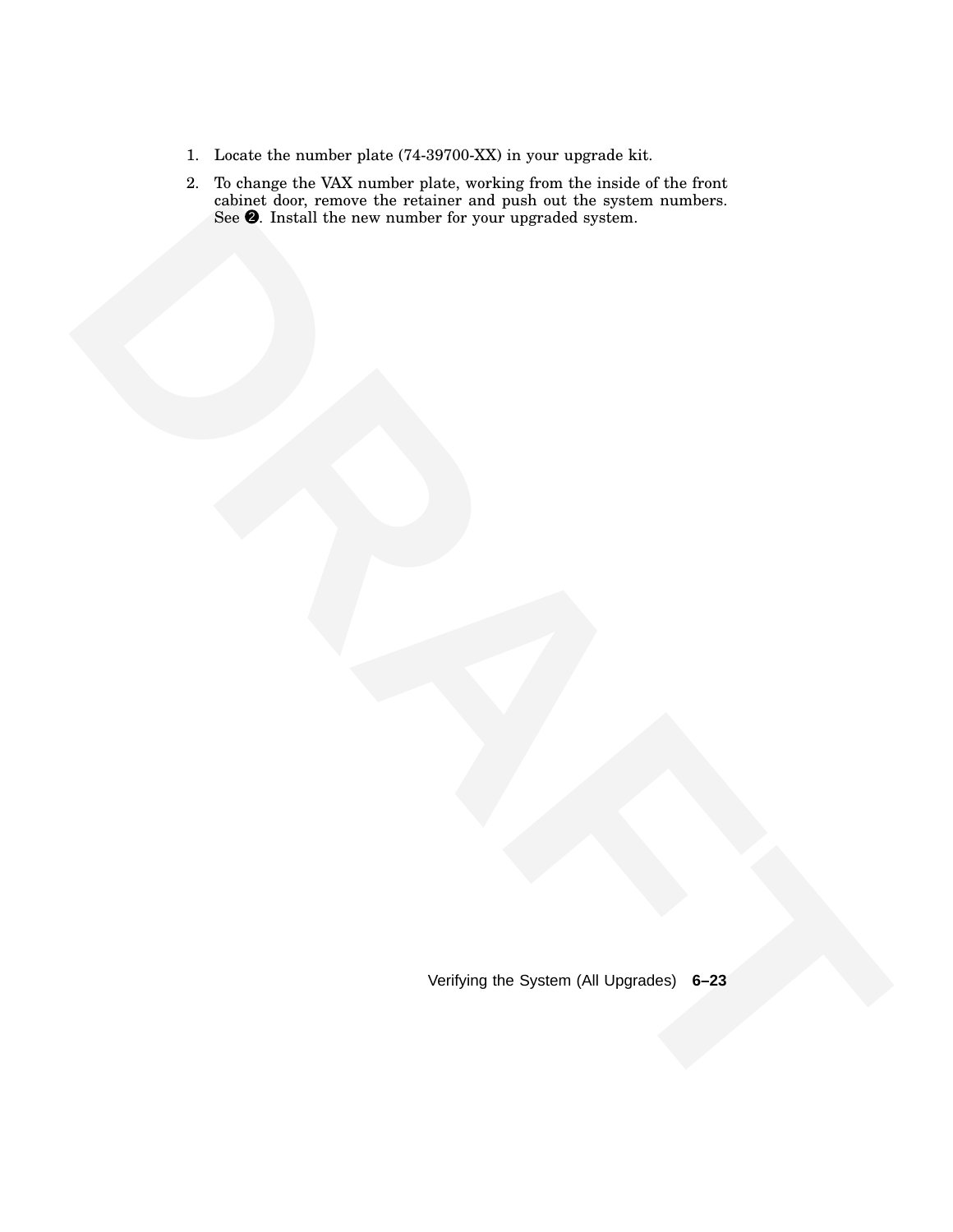- 1. Locate the number plate (74-39700-XX) in your upgrade kit.
- resident and the core manufact for your appendix sprace,<br>Son the first all the core manufact for your appendix sprace,<br>Neilying the System (Al Upgrades) 6–23<br>Verlying the System (Al Upgrades) 6–23 2. To change the VAX number plate, working from the inside of the front cabinet door, remove the retainer and push out the system numbers. See  $\bullet$ . Install the new number for your upgraded system.

Verifying the System (All Upgrades) **6–23**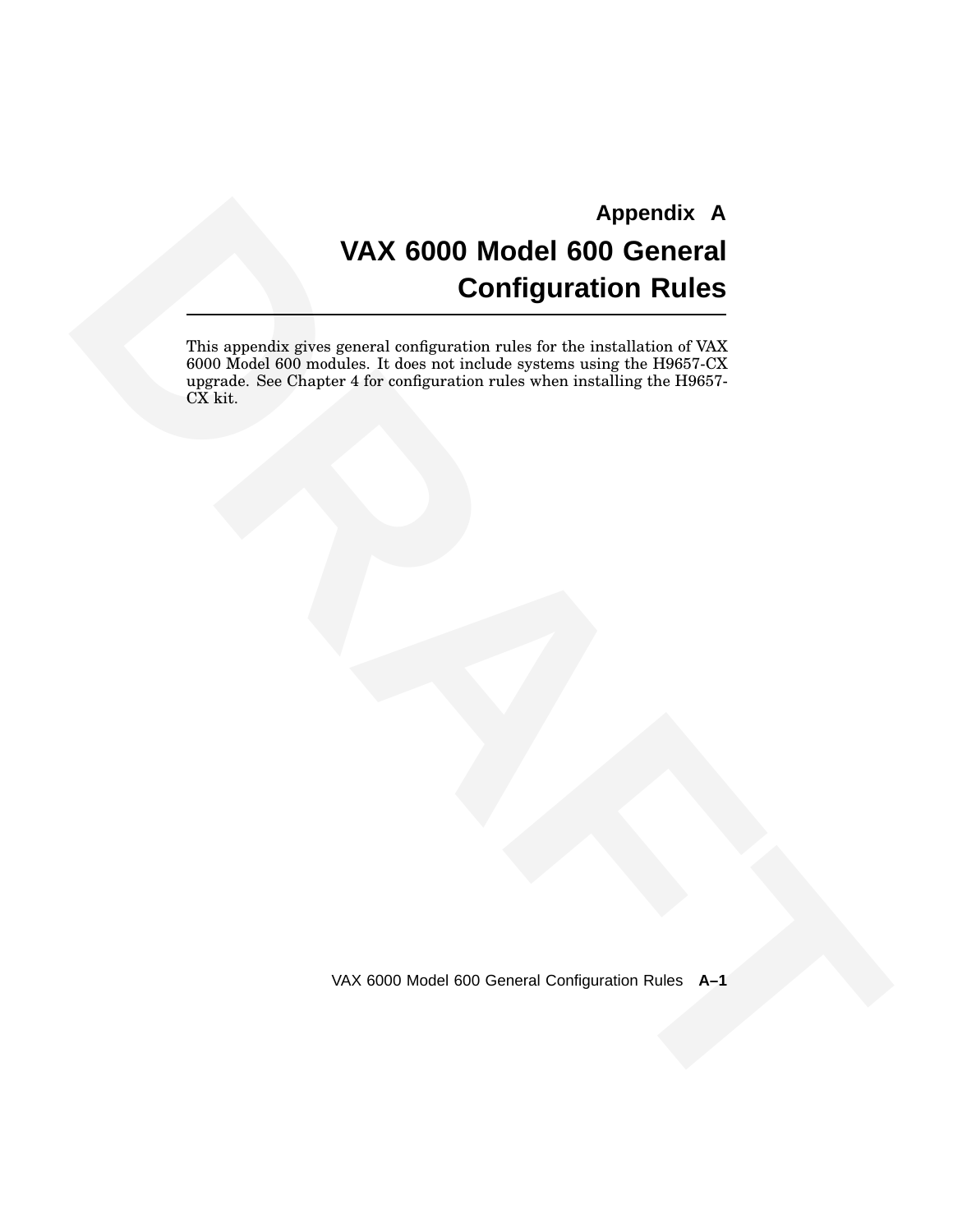# **EXAMPLE CONTINUES CONTINUES CONTINUES CONTINUES CONTINUES CONTINUES CONTINUES CONTINUES CONTINUES CONTINUES CONTINUES CONTINUES CONTINUES CONTINUES CONTINUES CONTINUES CONTINUES CONTINUES CONTINUES CONTINUES CONTINUES CON Appendix A VAX 6000 Model 600 General Configuration Rules**

This appendix gives general configuration rules for the installation of VAX 6000 Model 600 modules. It does not include systems using the H9657-CX upgrade. See Chapter 4 for configuration rules when installing the H9657- CX kit.

VAX 6000 Model 600 General Configuration Rules **A–1**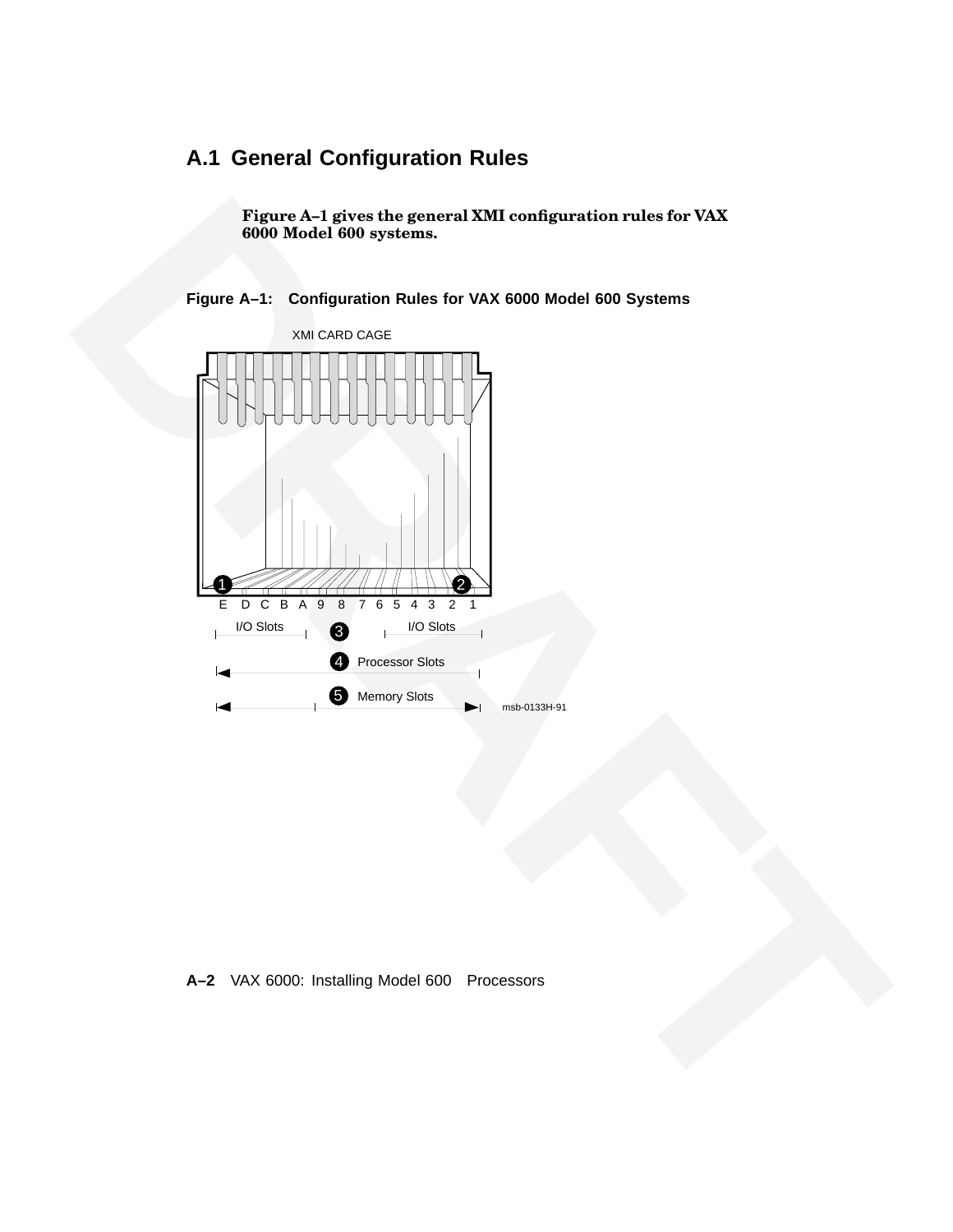# **A.1 General Configuration Rules**

**Figure A–1 gives the general XMI configuration rules for VAX 6000 Model 600 systems.**

**Figure A–1: Configuration Rules for VAX 6000 Model 600 Systems**



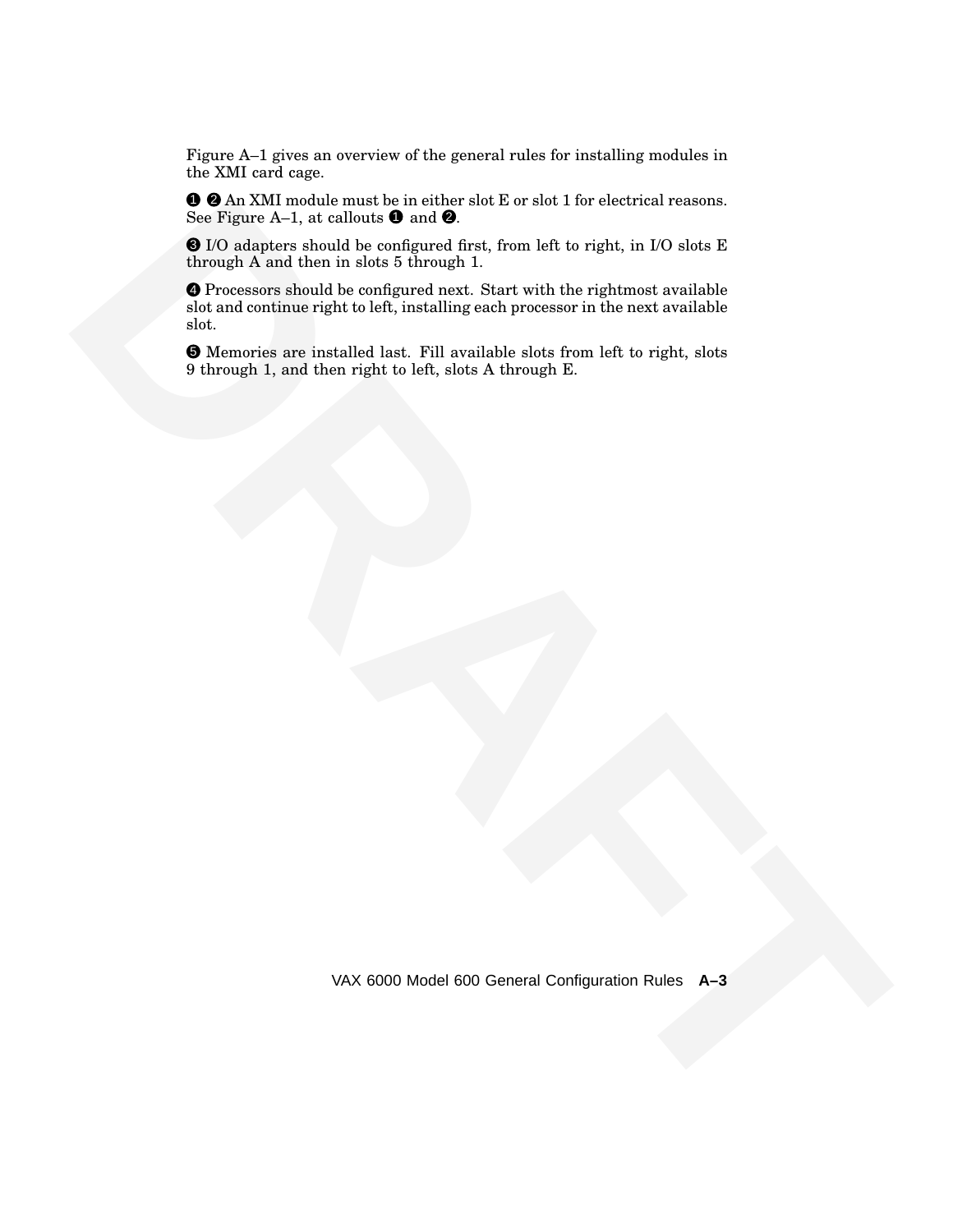Figure A–1 gives an overview of the general rules for installing modules in the XMI card cage.

1 2 An XMI module must be in either slot E or slot 1 for electrical reasons. See Figure A–1, at callouts  $\bullet$  and  $\bullet$ .

3 I/O adapters should be configured first, from left to right, in I/O slots E through A and then in slots 5 through 1.

**O d'An XXIII mundia mund les in eller moi de certain l'an electrical reasons.**<br> **Strong Repubble de An Anti-** an electric de Anti-<br> **DRAFT Contract de Anti-** an English and the strong and the strong at a product is the s 4 Processors should be configured next. Start with the rightmost available slot and continue right to left, installing each processor in the next available slot.

5 Memories are installed last. Fill available slots from left to right, slots 9 through 1, and then right to left, slots A through E.

VAX 6000 Model 600 General Configuration Rules **A–3**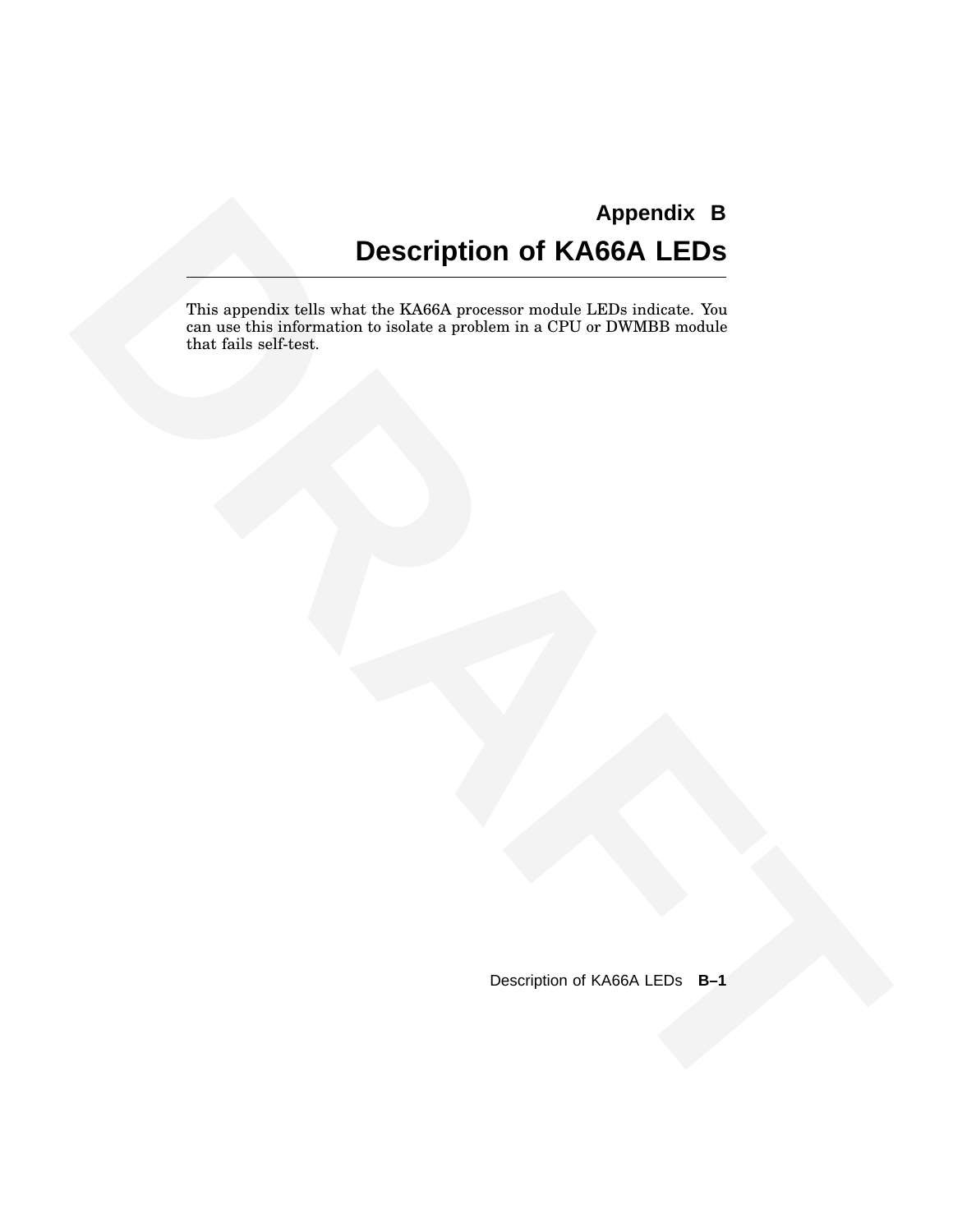# **Appendix B Description of KA66A LEDs**

**Example of the Statistical Statistics (Since Western Control of KAGGA LEDS**<br>
This approvement scale is the Statistic procedure we will be the Statistical Control of the Statistics of the Statistics and CPU or WWW.Film wea This appendix tells what the KA66A processor module LEDs indicate. You can use this information to isolate a problem in a CPU or DWMBB module that fails self-test.

Description of KA66A LEDs **B–1**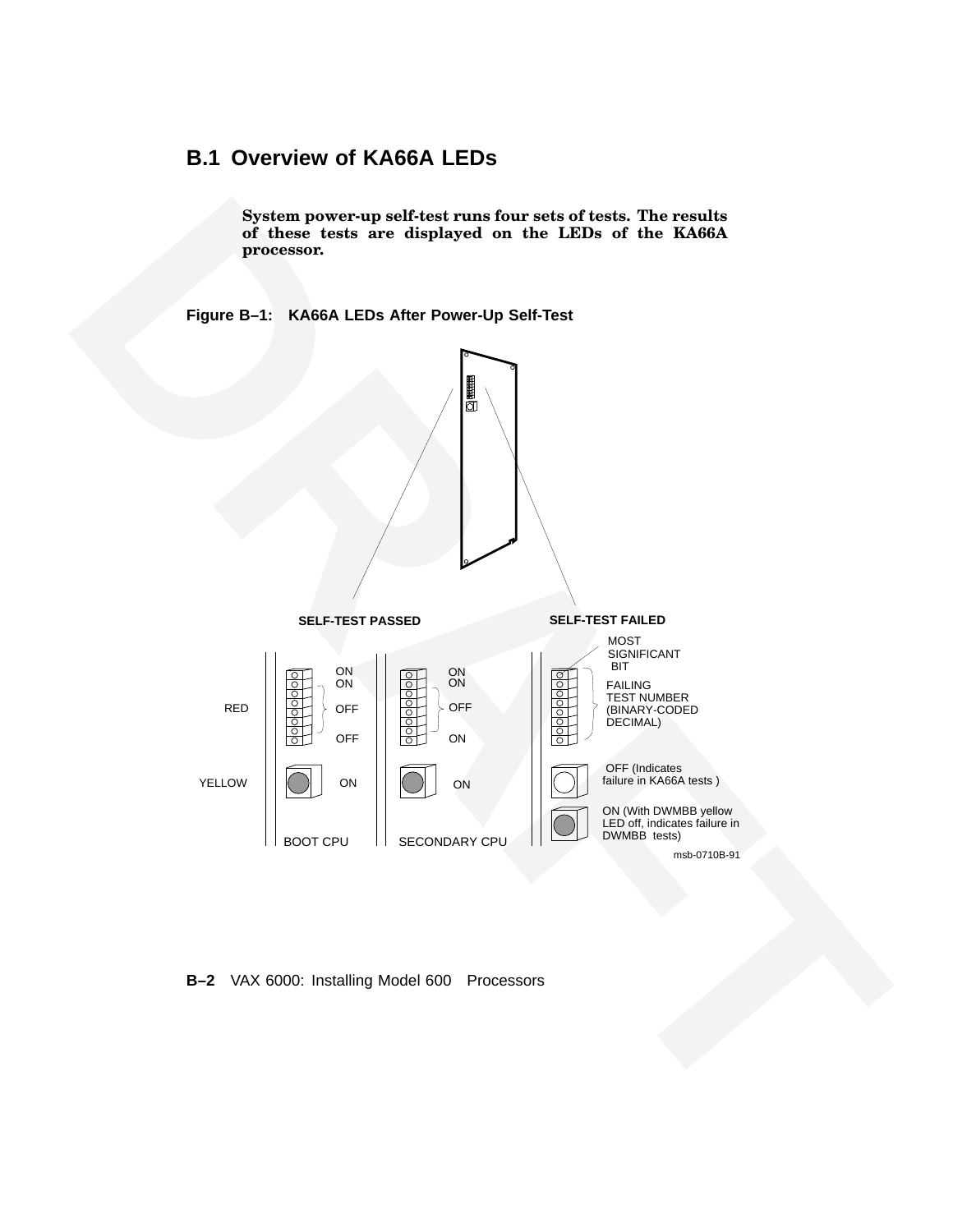# **B.1 Overview of KA66A LEDs**

**System power-up self-test runs four sets of tests. The results of these tests are displayed on the LEDs of the KA66A processor.**

**Figure B–1: KA66A LEDs After Power-Up Self-Test**



**B–2** VAX 6000: Installing Model 600 Processors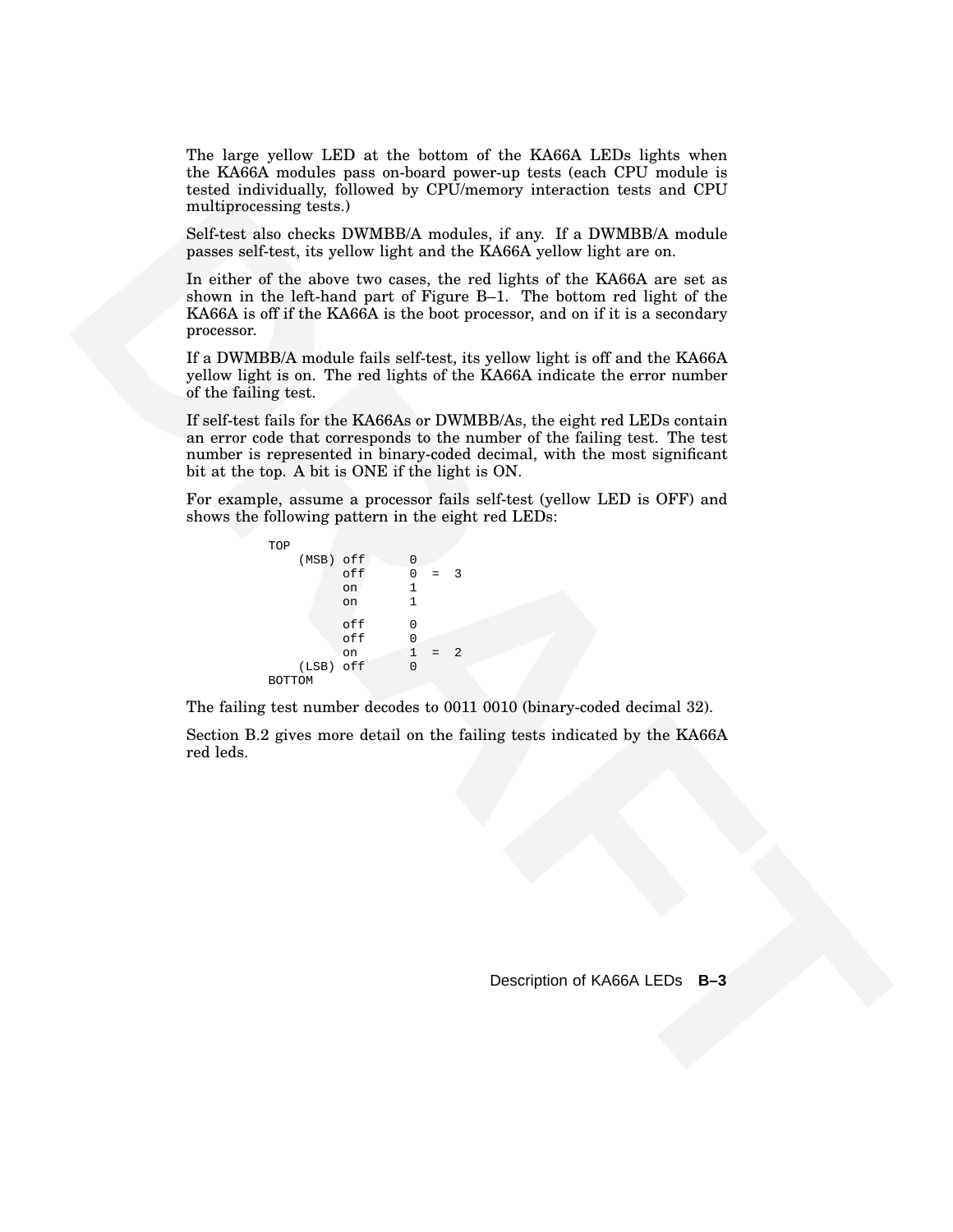The large yellow LED at the bottom of the KA66A LEDs lights when the KA66A modules pass on-board power-up tests (each CPU module is tested individually, followed by CPU/memory interaction tests and CPU multiprocessing tests.)

Self-test also checks DWMBB/A modules, if any. If a DWMBB/A module passes self-test, its yellow light and the KA66A yellow light are on.

multiplement reteral IV. While Not the RDAFT and the RDAFT state of the RDAFT state of the state of the state is two weaks the red light of the RDAFT state on the state of the state of the state of the state of the state In either of the above two cases, the red lights of the KA66A are set as shown in the left-hand part of Figure B–1. The bottom red light of the KA66A is off if the KA66A is the boot processor, and on if it is a secondary processor.

If a DWMBB/A module fails self-test, its yellow light is off and the KA66A yellow light is on. The red lights of the KA66A indicate the error number of the failing test.

If self-test fails for the KA66As or DWMBB/As, the eight red LEDs contain an error code that corresponds to the number of the failing test. The test number is represented in binary-coded decimal, with the most significant bit at the top. A bit is ONE if the light is ON.

For example, assume a processor fails self-test (yellow LED is OFF) and shows the following pattern in the eight red LEDs:

```
TOP
  (MSB) off 0
      off 0 = 3
       on 1
       on 1
       off 0
       off 0
       on 1 = 2
  (LSB) off 0
BOTTOM
```
The failing test number decodes to 0011 0010 (binary-coded decimal 32).

Section B.2 gives more detail on the failing tests indicated by the KA66A red leds.

Description of KA66A LEDs **B–3**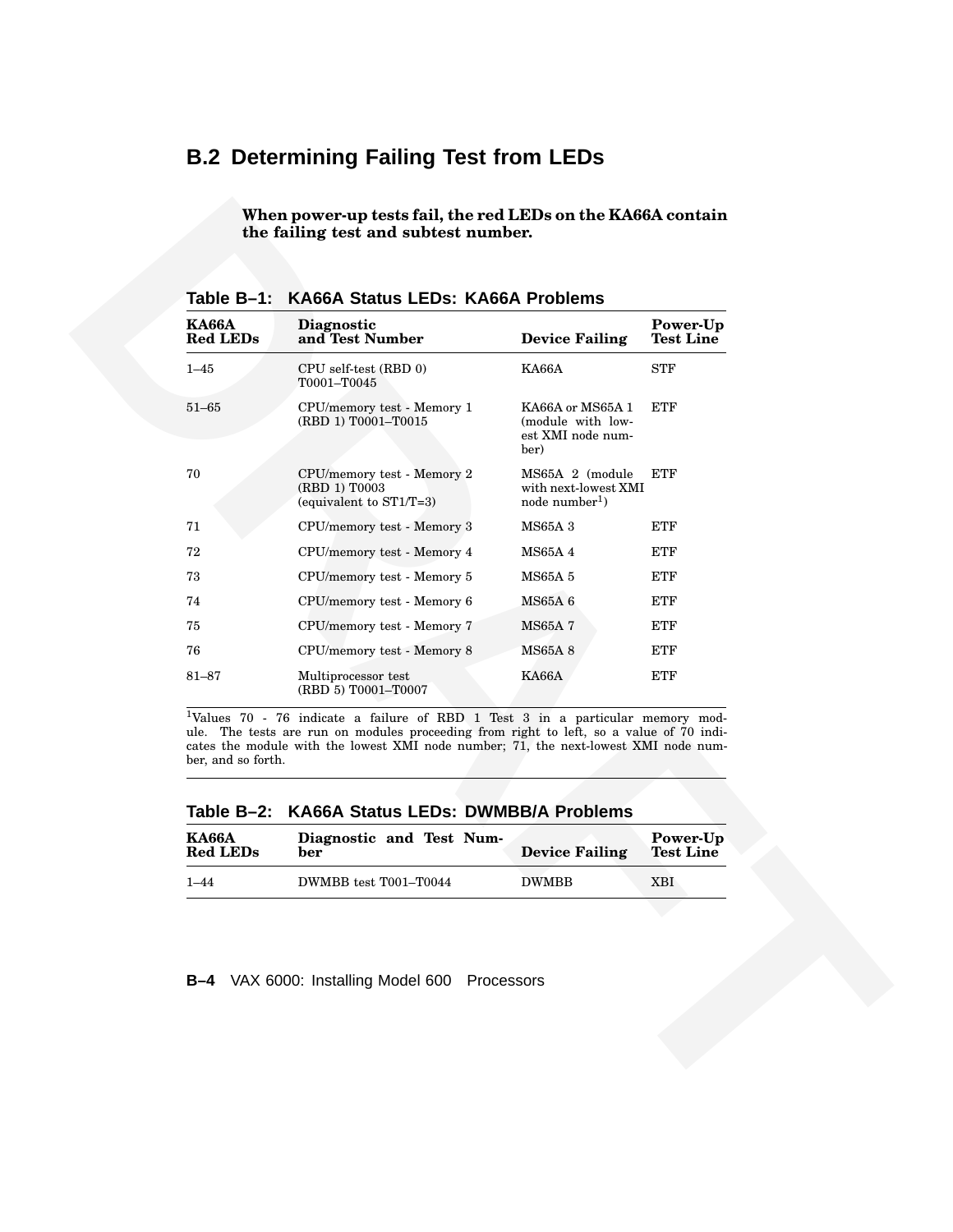# **B.2 Determining Failing Test from LEDs**

| <b>KA66A</b><br><b>Red LEDs</b>  | Diagnostic<br>and Test Number                                                                                                                                                                                                | <b>Device Failing</b>                                               | Power-Up<br><b>Test Line</b> |
|----------------------------------|------------------------------------------------------------------------------------------------------------------------------------------------------------------------------------------------------------------------------|---------------------------------------------------------------------|------------------------------|
| $1 - 45$                         | CPU self-test (RBD 0)<br>T0001-T0045                                                                                                                                                                                         | <b>KA66A</b>                                                        | <b>STF</b>                   |
| $51 - 65$                        | CPU/memory test - Memory 1<br>(RBD 1) T0001-T0015                                                                                                                                                                            | KA66A or MS65A 1<br>(module with low-<br>est XMI node num-<br>ber)  | <b>ETF</b>                   |
| 70                               | CPU/memory test - Memory 2<br>(RBD 1) T0003<br>(equivalent to ST1/T=3)                                                                                                                                                       | MS65A 2 (module<br>with next-lowest XMI<br>node number <sup>1</sup> | ETF                          |
| 71                               | CPU/memory test - Memory 3                                                                                                                                                                                                   | <b>MS65A3</b>                                                       | ETF                          |
| 72                               | CPU/memory test - Memory 4                                                                                                                                                                                                   | <b>MS65A4</b>                                                       | ETF                          |
| 73                               | CPU/memory test - Memory 5                                                                                                                                                                                                   | <b>MS65A 5</b>                                                      | ETF                          |
| 74                               | CPU/memory test - Memory 6                                                                                                                                                                                                   | MS65A 6                                                             | ETF                          |
| 75                               | CPU/memory test - Memory 7                                                                                                                                                                                                   | <b>MS65A7</b>                                                       | ETF                          |
| 76                               | CPU/memory test - Memory 8                                                                                                                                                                                                   | <b>MS65A8</b>                                                       | ETF                          |
| $81 - 87$                        | Multiprocessor test<br>(RBD 5) T0001-T0007                                                                                                                                                                                   | KA66A                                                               | <b>ETF</b>                   |
| ber, and so forth.<br>Table B-2: | ule. The tests are run on modules proceeding from right to left, so a value of 70 indi-<br>cates the module with the lowest XMI node number; 71, the next-lowest XMI node num-<br><b>KA66A Status LEDs: DWMBB/A Problems</b> |                                                                     |                              |
| <b>KA66A</b><br><b>Red LEDs</b>  | Diagnostic and Test Num-<br>ber                                                                                                                                                                                              | <b>Device Failing</b>                                               | Power-Up<br><b>Test Line</b> |
| $1 - 44$                         | DWMBB test T001-T0044                                                                                                                                                                                                        | <b>DWMBB</b>                                                        | <b>XBI</b>                   |

**Table B–1: KA66A Status LEDs: KA66A Problems**

**Table B–2: KA66A Status LEDs: DWMBB/A Problems**

| <b>KA66A</b>    | Diagnostic and Test Num- | <b>Device Failing</b> | Power-Up         |
|-----------------|--------------------------|-----------------------|------------------|
| <b>Red LEDs</b> | ber                      |                       | <b>Test Line</b> |
| $1 - 44$        | DWMBB test T001-T0044    | <b>DWMBB</b>          | XBI              |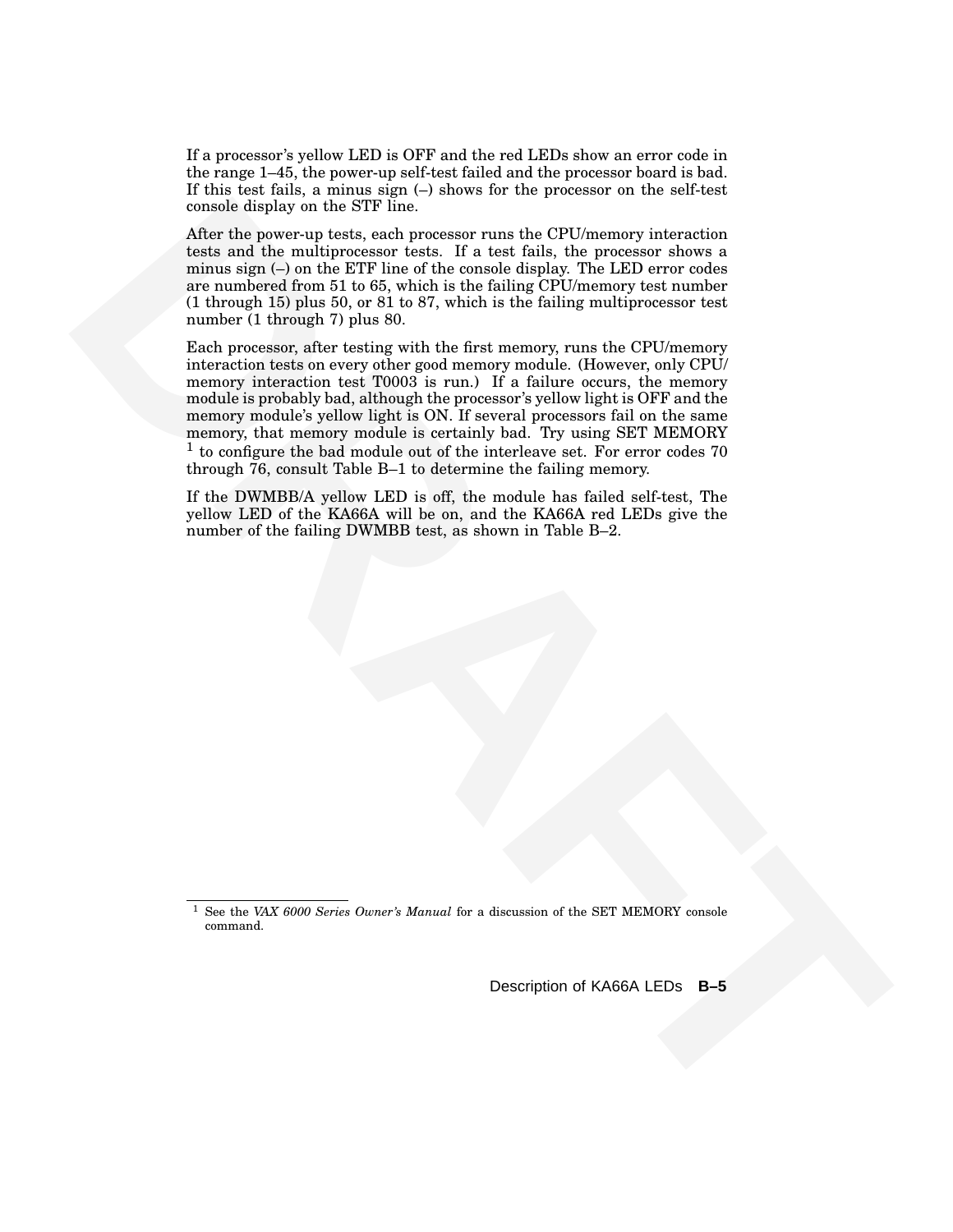If a processor's yellow LED is OFF and the red LEDs show an error code in the range 1–45, the power-up self-test failed and the processor board is bad. If this test fails, a minus sign (–) shows for the processor on the self-test console display on the STF line.

After the power-up tests, each processor runs the CPU/memory interaction tests and the multiprocessor tests. If a test fails, the processor shows a minus sign (–) on the ETF line of the console display. The LED error codes are numbered from 51 to 65, which is the failing CPU/memory test number (1 through 15) plus 50, or 81 to 87, which is the failing multiprocessor test number (1 through 7) plus 80.

consists simply on the STF fines.<br> **EXABLE the power-up tests, and processor runs the CPL/constory interaction**<br> **ARE the power-up tests, and the mean interaction of the system and the system of the system of the system o** Each processor, after testing with the first memory, runs the CPU/memory interaction tests on every other good memory module. (However, only CPU/ memory interaction test T0003 is run.) If a failure occurs, the memory module is probably bad, although the processor's yellow light is OFF and the memory module's yellow light is ON. If several processors fail on the same memory, that memory module is certainly bad. Try using SET MEMORY <sup>1</sup> to configure the bad module out of the interleave set. For error codes 70 through 76, consult Table B–1 to determine the failing memory.

If the DWMBB/A yellow LED is off, the module has failed self-test, The yellow LED of the KA66A will be on, and the KA66A red LEDs give the number of the failing DWMBB test, as shown in Table B–2.

Description of KA66A LEDs **B–5**

<sup>1</sup> See the *VAX 6000 Series Owner's Manual* for a discussion of the SET MEMORY console command.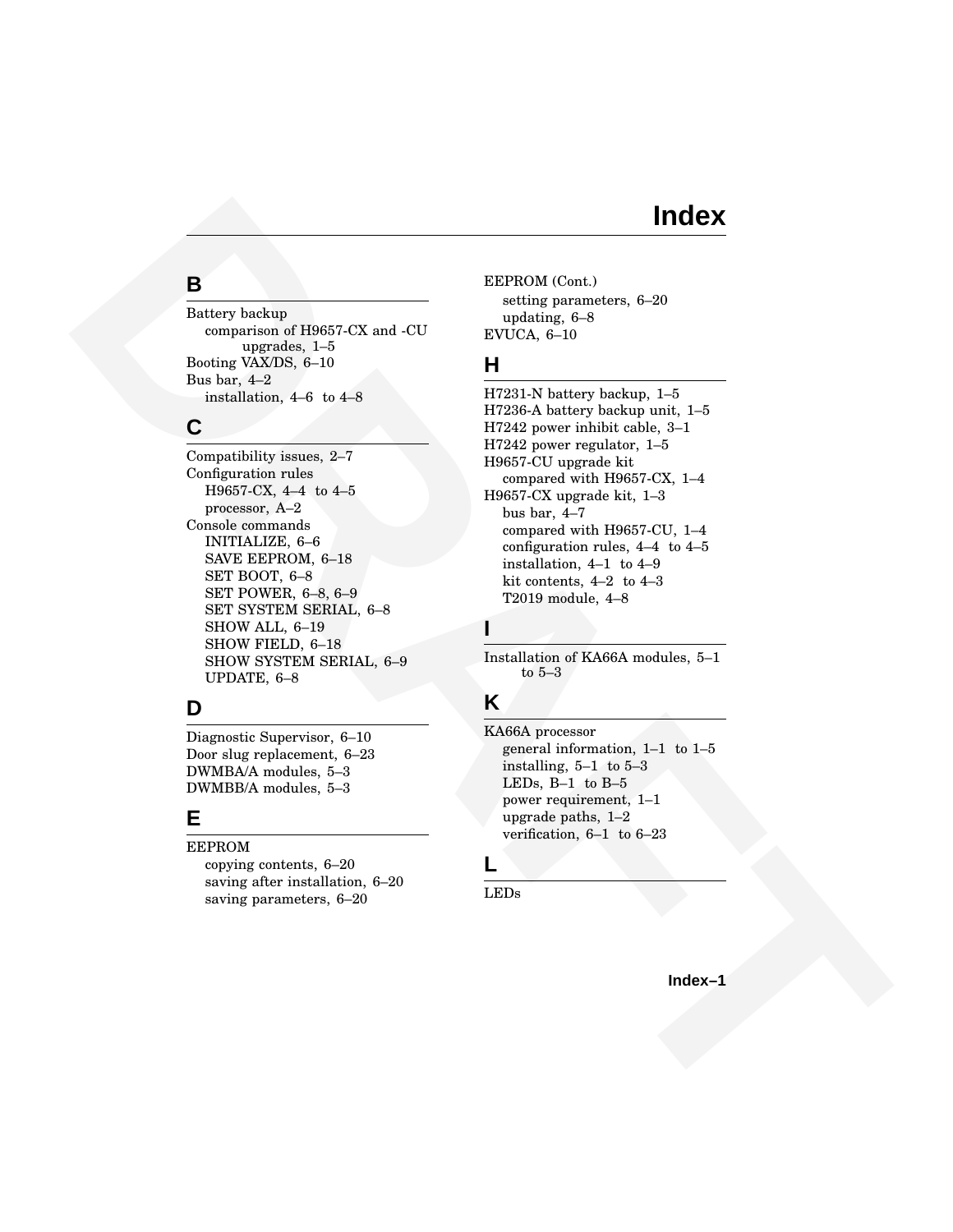# **Index**

#### **B**

Battery backup comparison of H9657-CX and -CU upgrades, 1–5 Booting VAX/DS, 6–10 Bus bar, 4–2 installation, 4–6 to 4–8

#### **C**

**IDENTIFY**<br> **B**<br>
Extracted behind the state of the state of the state of the state of the state of the state of the state of the state of the state of the state of the state of the state of the state of the state of the s Compatibility issues, 2–7 Configuration rules H9657-CX, 4–4 to 4–5 processor, A–2 Console commands INITIALIZE, 6–6 SAVE EEPROM, 6–18 SET BOOT, 6–8 SET POWER, 6–8, 6–9 SET SYSTEM SERIAL, 6–8 SHOW ALL, 6–19 SHOW FIELD, 6–18 SHOW SYSTEM SERIAL, 6–9 UPDATE, 6–8

#### **D**

Diagnostic Supervisor, 6–10 Door slug replacement, 6–23 DWMBA/A modules, 5–3 DWMBB/A modules, 5–3

#### **E**

EEPROM

copying contents, 6–20 saving after installation, 6–20 saving parameters, 6–20

EEPROM (Cont.) setting parameters, 6–20 updating, 6–8 EVUCA, 6–10

#### **H**

H7231-N battery backup, 1–5 H7236-A battery backup unit, 1–5 H7242 power inhibit cable, 3–1 H7242 power regulator, 1–5 H9657-CU upgrade kit compared with H9657-CX, 1–4 H9657-CX upgrade kit, 1–3 bus bar, 4–7 compared with H9657-CU, 1–4 configuration rules, 4–4 to 4–5 installation, 4–1 to 4–9 kit contents, 4–2 to 4–3 T2019 module, 4–8

#### **I**

Installation of KA66A modules, 5–1 to 5–3

# **K**

KA66A processor general information, 1–1 to 1–5 installing, 5–1 to 5–3 LEDs, B–1 to B–5 power requirement, 1–1 upgrade paths, 1–2 verification, 6–1 to 6–23

# **L**

LEDs

**Index–1**